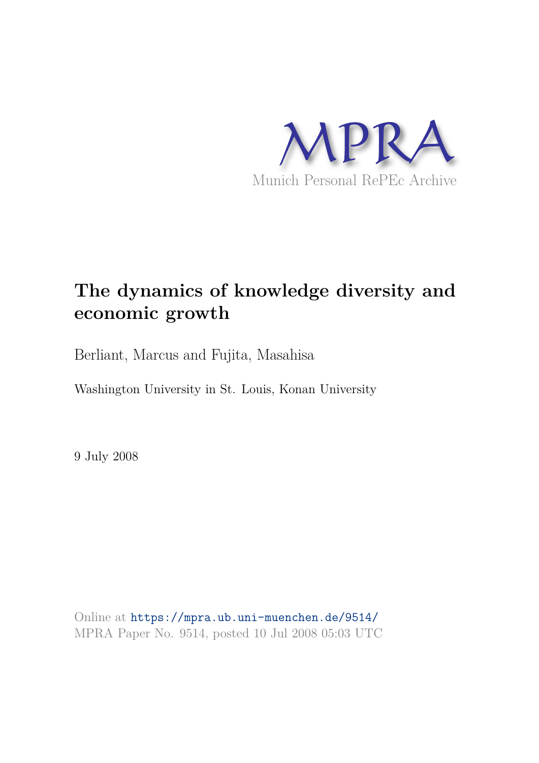

# **The dynamics of knowledge diversity and economic growth**

Berliant, Marcus and Fujita, Masahisa

Washington University in St. Louis, Konan University

9 July 2008

Online at https://mpra.ub.uni-muenchen.de/9514/ MPRA Paper No. 9514, posted 10 Jul 2008 05:03 UTC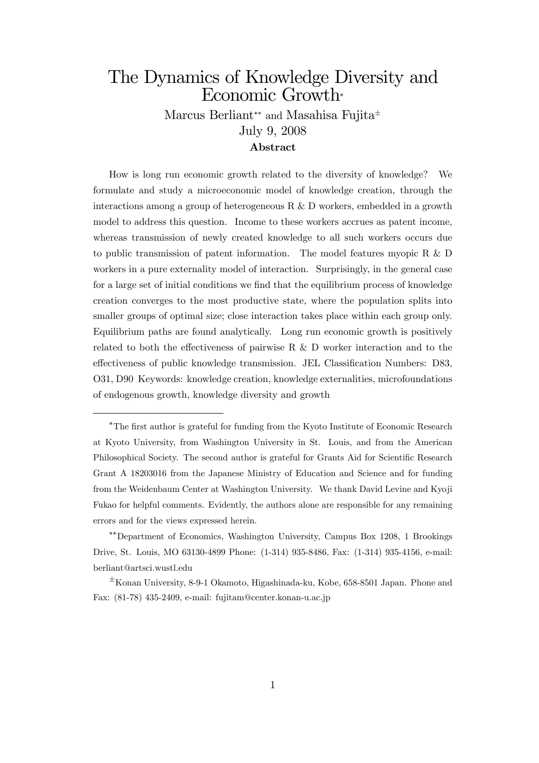## The Dynamics of Knowledge Diversity and Economic Growth

Marcus Berliant\*\* and Masahisa Fujita<sup>±</sup> July 9, 2008

### Abstract

How is long run economic growth related to the diversity of knowledge? We formulate and study a microeconomic model of knowledge creation, through the interactions among a group of heterogeneous R & D workers, embedded in a growth model to address this question. Income to these workers accrues as patent income, whereas transmission of newly created knowledge to all such workers occurs due to public transmission of patent information. The model features myopic R & D workers in a pure externality model of interaction. Surprisingly, in the general case for a large set of initial conditions we find that the equilibrium process of knowledge creation converges to the most productive state, where the population splits into smaller groups of optimal size; close interaction takes place within each group only. Equilibrium paths are found analytically. Long run economic growth is positively related to both the effectiveness of pairwise R  $\&$  D worker interaction and to the effectiveness of public knowledge transmission. JEL Classification Numbers: D83, O31, D90 Keywords: knowledge creation, knowledge externalities, microfoundations of endogenous growth, knowledge diversity and growth

<sup>&</sup>lt;sup>\*</sup>The first author is grateful for funding from the Kyoto Institute of Economic Research at Kyoto University, from Washington University in St. Louis, and from the American Philosophical Society. The second author is grateful for Grants Aid for Scientific Research Grant A 18203016 from the Japanese Ministry of Education and Science and for funding from the Weidenbaum Center at Washington University. We thank David Levine and Kyoji Fukao for helpful comments. Evidently, the authors alone are responsible for any remaining errors and for the views expressed herein.

Department of Economics, Washington University, Campus Box 1208, 1 Brookings Drive, St. Louis, MO 63130-4899 Phone: (1-314) 935-8486, Fax: (1-314) 935-4156, e-mail: berliant@artsci.wustl.edu

 $\pm$ Konan University, 8-9-1 Okamoto, Higashinada-ku, Kobe, 658-8501 Japan. Phone and Fax: (81-78) 435-2409, e-mail: fujitam@center.konan-u.ac.jp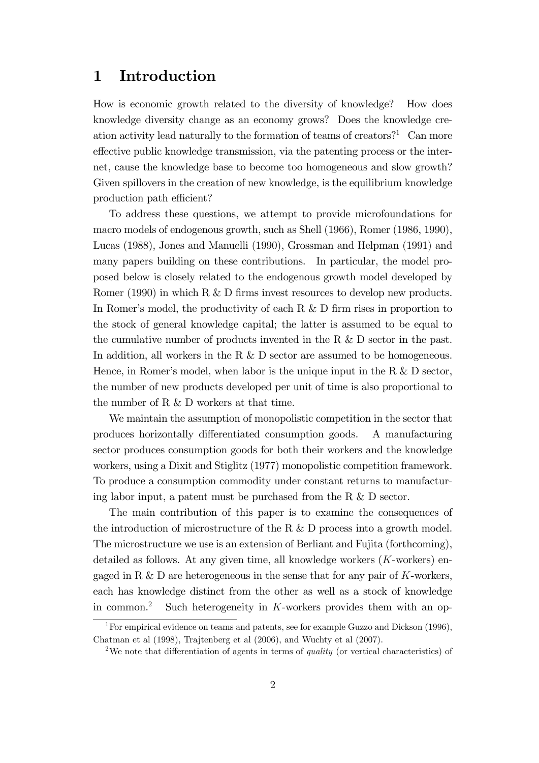### 1 Introduction

How is economic growth related to the diversity of knowledge? How does knowledge diversity change as an economy grows? Does the knowledge creation activity lead naturally to the formation of teams of creators?<sup>1</sup> Can more effective public knowledge transmission, via the patenting process or the internet, cause the knowledge base to become too homogeneous and slow growth? Given spillovers in the creation of new knowledge, is the equilibrium knowledge production path efficient?

To address these questions, we attempt to provide microfoundations for macro models of endogenous growth, such as Shell (1966), Romer (1986, 1990), Lucas (1988), Jones and Manuelli (1990), Grossman and Helpman (1991) and many papers building on these contributions. In particular, the model proposed below is closely related to the endogenous growth model developed by Romer (1990) in which R  $&$  D firms invest resources to develop new products. In Romer's model, the productivity of each  $R \& D$  firm rises in proportion to the stock of general knowledge capital; the latter is assumed to be equal to the cumulative number of products invented in the R  $\&$  D sector in the past. In addition, all workers in the R & D sector are assumed to be homogeneous. Hence, in Romer's model, when labor is the unique input in the R  $\&$  D sector, the number of new products developed per unit of time is also proportional to the number of R & D workers at that time.

We maintain the assumption of monopolistic competition in the sector that produces horizontally differentiated consumption goods. A manufacturing sector produces consumption goods for both their workers and the knowledge workers, using a Dixit and Stiglitz (1977) monopolistic competition framework. To produce a consumption commodity under constant returns to manufacturing labor input, a patent must be purchased from the R & D sector.

The main contribution of this paper is to examine the consequences of the introduction of microstructure of the R  $\&$  D process into a growth model. The microstructure we use is an extension of Berliant and Fujita (forthcoming), detailed as follows. At any given time, all knowledge workers  $(K$ -workers) engaged in R  $\&$  D are heterogeneous in the sense that for any pair of K-workers, each has knowledge distinct from the other as well as a stock of knowledge in common.<sup>2</sup> Such heterogeneity in K-workers provides them with an op-

<sup>1</sup>For empirical evidence on teams and patents, see for example Guzzo and Dickson (1996), Chatman et al (1998), Trajtenberg et al (2006), and Wuchty et al (2007).

<sup>&</sup>lt;sup>2</sup>We note that differentiation of agents in terms of *quality* (or vertical characteristics) of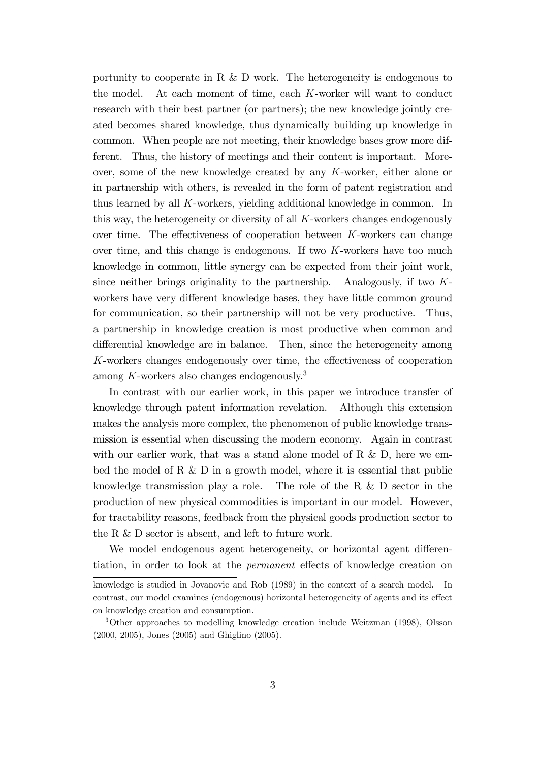portunity to cooperate in R  $\&$  D work. The heterogeneity is endogenous to the model. At each moment of time, each K-worker will want to conduct research with their best partner (or partners); the new knowledge jointly created becomes shared knowledge, thus dynamically building up knowledge in common. When people are not meeting, their knowledge bases grow more different. Thus, the history of meetings and their content is important. Moreover, some of the new knowledge created by any K-worker, either alone or in partnership with others, is revealed in the form of patent registration and thus learned by all K-workers, yielding additional knowledge in common. In this way, the heterogeneity or diversity of all  $K$ -workers changes endogenously over time. The effectiveness of cooperation between  $K$ -workers can change over time, and this change is endogenous. If two  $K$ -workers have too much knowledge in common, little synergy can be expected from their joint work, since neither brings originality to the partnership. Analogously, if two  $K$ workers have very different knowledge bases, they have little common ground for communication, so their partnership will not be very productive. Thus, a partnership in knowledge creation is most productive when common and differential knowledge are in balance. Then, since the heterogeneity among  $K$ -workers changes endogenously over time, the effectiveness of cooperation among K-workers also changes endogenously.<sup>3</sup>

In contrast with our earlier work, in this paper we introduce transfer of knowledge through patent information revelation. Although this extension makes the analysis more complex, the phenomenon of public knowledge transmission is essential when discussing the modern economy. Again in contrast with our earlier work, that was a stand alone model of R  $\&$  D, here we embed the model of R  $\&$  D in a growth model, where it is essential that public knowledge transmission play a role. The role of the R  $\&$  D sector in the production of new physical commodities is important in our model. However, for tractability reasons, feedback from the physical goods production sector to the R & D sector is absent, and left to future work.

We model endogenous agent heterogeneity, or horizontal agent differentiation, in order to look at the *permanent* effects of knowledge creation on

knowledge is studied in Jovanovic and Rob (1989) in the context of a search model. contrast, our model examines (endogenous) horizontal heterogeneity of agents and its effect on knowledge creation and consumption.

<sup>3</sup>Other approaches to modelling knowledge creation include Weitzman (1998), Olsson (2000, 2005), Jones (2005) and Ghiglino (2005).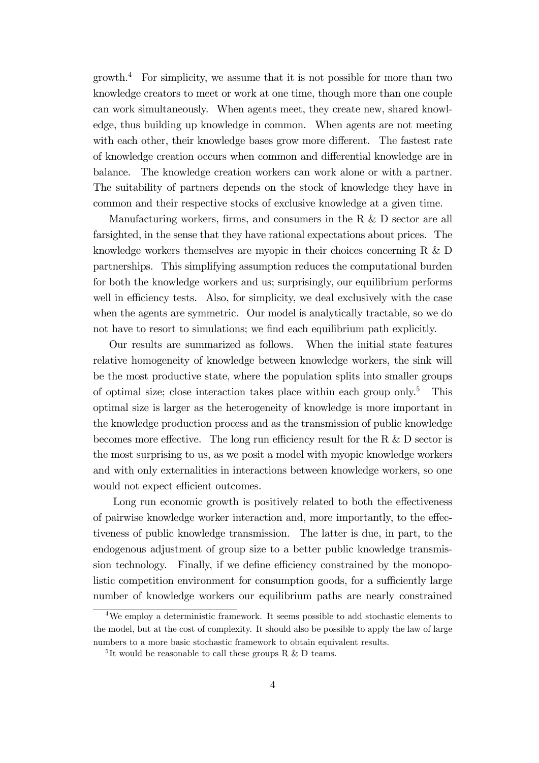$\gamma$  growth.<sup>4</sup> For simplicity, we assume that it is not possible for more than two knowledge creators to meet or work at one time, though more than one couple can work simultaneously. When agents meet, they create new, shared knowledge, thus building up knowledge in common. When agents are not meeting with each other, their knowledge bases grow more different. The fastest rate of knowledge creation occurs when common and differential knowledge are in balance. The knowledge creation workers can work alone or with a partner. The suitability of partners depends on the stock of knowledge they have in common and their respective stocks of exclusive knowledge at a given time.

Manufacturing workers, firms, and consumers in the R  $&$  D sector are all farsighted, in the sense that they have rational expectations about prices. The knowledge workers themselves are myopic in their choices concerning R & D partnerships. This simplifying assumption reduces the computational burden for both the knowledge workers and us; surprisingly, our equilibrium performs well in efficiency tests. Also, for simplicity, we deal exclusively with the case when the agents are symmetric. Our model is analytically tractable, so we do not have to resort to simulations; we find each equilibrium path explicitly.

Our results are summarized as follows. When the initial state features relative homogeneity of knowledge between knowledge workers, the sink will be the most productive state, where the population splits into smaller groups of optimal size; close interaction takes place within each group only.<sup>5</sup> This optimal size is larger as the heterogeneity of knowledge is more important in the knowledge production process and as the transmission of public knowledge becomes more effective. The long run efficiency result for the R  $\&$  D sector is the most surprising to us, as we posit a model with myopic knowledge workers and with only externalities in interactions between knowledge workers, so one would not expect efficient outcomes.

Long run economic growth is positively related to both the effectiveness of pairwise knowledge worker interaction and, more importantly, to the effectiveness of public knowledge transmission. The latter is due, in part, to the endogenous adjustment of group size to a better public knowledge transmission technology. Finally, if we define efficiency constrained by the monopolistic competition environment for consumption goods, for a sufficiently large number of knowledge workers our equilibrium paths are nearly constrained

<sup>4</sup>We employ a deterministic framework. It seems possible to add stochastic elements to the model, but at the cost of complexity. It should also be possible to apply the law of large numbers to a more basic stochastic framework to obtain equivalent results.

 ${}^{5}$ It would be reasonable to call these groups R & D teams.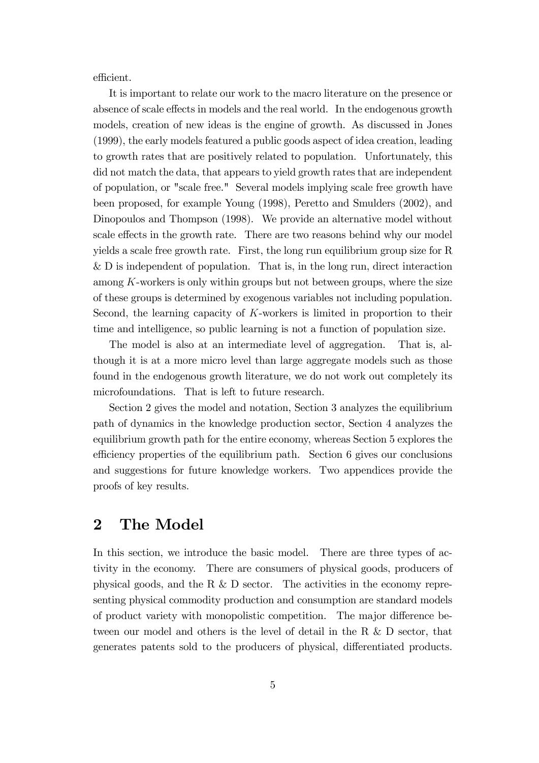efficient.

It is important to relate our work to the macro literature on the presence or absence of scale effects in models and the real world. In the endogenous growth models, creation of new ideas is the engine of growth. As discussed in Jones (1999), the early models featured a public goods aspect of idea creation, leading to growth rates that are positively related to population. Unfortunately, this did not match the data, that appears to yield growth rates that are independent of population, or "scale free." Several models implying scale free growth have been proposed, for example Young (1998), Peretto and Smulders (2002), and Dinopoulos and Thompson (1998). We provide an alternative model without scale effects in the growth rate. There are two reasons behind why our model yields a scale free growth rate. First, the long run equilibrium group size for R & D is independent of population. That is, in the long run, direct interaction among K-workers is only within groups but not between groups, where the size of these groups is determined by exogenous variables not including population. Second, the learning capacity of K-workers is limited in proportion to their time and intelligence, so public learning is not a function of population size.

The model is also at an intermediate level of aggregation. That is, although it is at a more micro level than large aggregate models such as those found in the endogenous growth literature, we do not work out completely its microfoundations. That is left to future research.

Section 2 gives the model and notation, Section 3 analyzes the equilibrium path of dynamics in the knowledge production sector, Section 4 analyzes the equilibrium growth path for the entire economy, whereas Section 5 explores the efficiency properties of the equilibrium path. Section 6 gives our conclusions and suggestions for future knowledge workers. Two appendices provide the proofs of key results.

### 2 The Model

In this section, we introduce the basic model. There are three types of activity in the economy. There are consumers of physical goods, producers of physical goods, and the R  $\&$  D sector. The activities in the economy representing physical commodity production and consumption are standard models of product variety with monopolistic competition. The major difference between our model and others is the level of detail in the R & D sector, that generates patents sold to the producers of physical, differentiated products.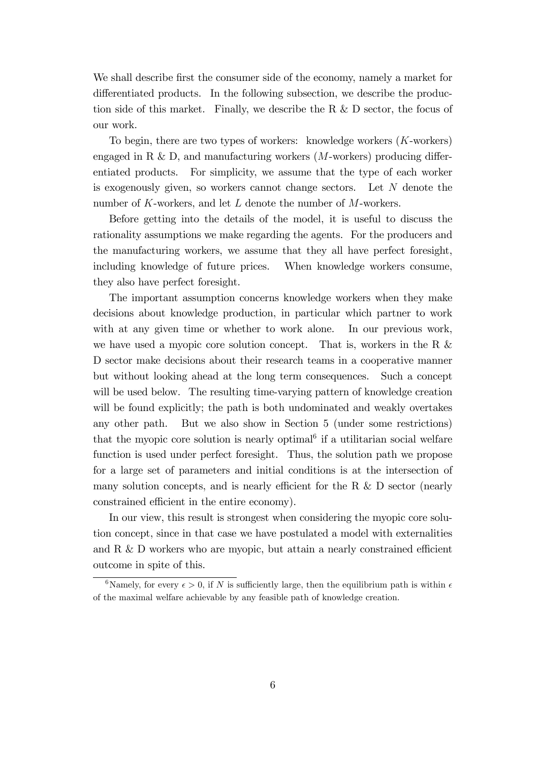We shall describe first the consumer side of the economy, namely a market for differentiated products. In the following subsection, we describe the production side of this market. Finally, we describe the R & D sector, the focus of our work.

To begin, there are two types of workers: knowledge workers  $(K$ -workers) engaged in R & D, and manufacturing workers  $(M$ -workers) producing differentiated products. For simplicity, we assume that the type of each worker is exogenously given, so workers cannot change sectors. Let  $N$  denote the number of K-workers, and let L denote the number of M-workers.

Before getting into the details of the model, it is useful to discuss the rationality assumptions we make regarding the agents. For the producers and the manufacturing workers, we assume that they all have perfect foresight, including knowledge of future prices. When knowledge workers consume, they also have perfect foresight.

The important assumption concerns knowledge workers when they make decisions about knowledge production, in particular which partner to work with at any given time or whether to work alone. In our previous work, we have used a myopic core solution concept. That is, workers in the R  $&$ D sector make decisions about their research teams in a cooperative manner but without looking ahead at the long term consequences. Such a concept will be used below. The resulting time-varying pattern of knowledge creation will be found explicitly; the path is both undominated and weakly overtakes any other path. But we also show in Section 5 (under some restrictions) that the myopic core solution is nearly optimal<sup> $6$ </sup> if a utilitarian social welfare function is used under perfect foresight. Thus, the solution path we propose for a large set of parameters and initial conditions is at the intersection of many solution concepts, and is nearly efficient for the R  $\&$  D sector (nearly constrained efficient in the entire economy).

In our view, this result is strongest when considering the myopic core solution concept, since in that case we have postulated a model with externalities and R  $&$  D workers who are myopic, but attain a nearly constrained efficient outcome in spite of this.

<sup>&</sup>lt;sup>6</sup>Namely, for every  $\epsilon > 0$ , if N is sufficiently large, then the equilibrium path is within  $\epsilon$ of the maximal welfare achievable by any feasible path of knowledge creation.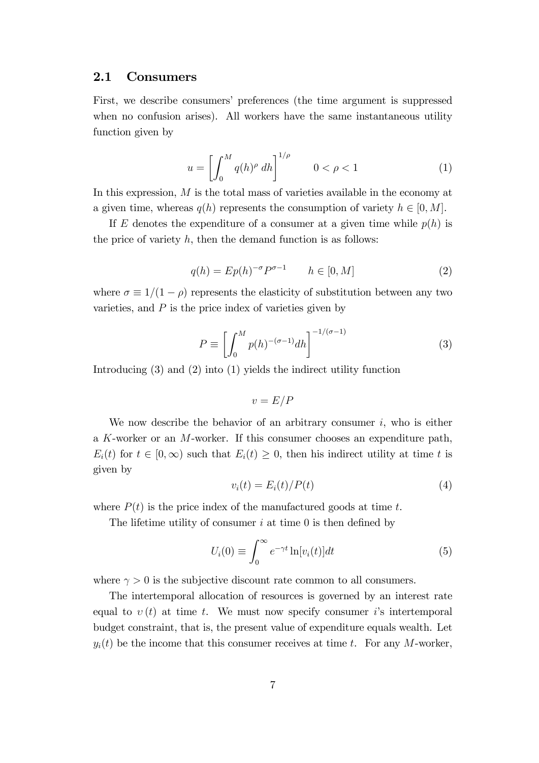#### 2.1 Consumers

First, we describe consumers' preferences (the time argument is suppressed when no confusion arises). All workers have the same instantaneous utility function given by

$$
u = \left[ \int_0^M q(h)^\rho \, dh \right]^{1/\rho} \qquad 0 < \rho < 1 \tag{1}
$$

In this expression, M is the total mass of varieties available in the economy at a given time, whereas  $q(h)$  represents the consumption of variety  $h \in [0, M]$ .

If E denotes the expenditure of a consumer at a given time while  $p(h)$  is the price of variety  $h$ , then the demand function is as follows:

$$
q(h) = Ep(h)^{-\sigma}P^{\sigma-1} \qquad h \in [0, M] \tag{2}
$$

where  $\sigma \equiv 1/(1 - \rho)$  represents the elasticity of substitution between any two varieties, and  $P$  is the price index of varieties given by

$$
P \equiv \left[ \int_0^M p(h)^{-(\sigma - 1)} dh \right]^{-1/(\sigma - 1)}
$$
\n(3)

Introducing (3) and (2) into (1) yields the indirect utility function

$$
v = E/P
$$

We now describe the behavior of an arbitrary consumer  $i$ , who is either a K-worker or an M-worker. If this consumer chooses an expenditure path,  $E_i(t)$  for  $t \in [0,\infty)$  such that  $E_i(t) \geq 0$ , then his indirect utility at time t is given by

$$
v_i(t) = E_i(t)/P(t)
$$
\n<sup>(4)</sup>

where  $P(t)$  is the price index of the manufactured goods at time t.

The lifetime utility of consumer  $i$  at time 0 is then defined by

$$
U_i(0) \equiv \int_0^\infty e^{-\gamma t} \ln[v_i(t)] dt \tag{5}
$$

where  $\gamma > 0$  is the subjective discount rate common to all consumers.

The intertemporal allocation of resources is governed by an interest rate equal to  $v(t)$  at time t. We must now specify consumer is intertemporal budget constraint, that is, the present value of expenditure equals wealth. Let  $y_i(t)$  be the income that this consumer receives at time t. For any M-worker,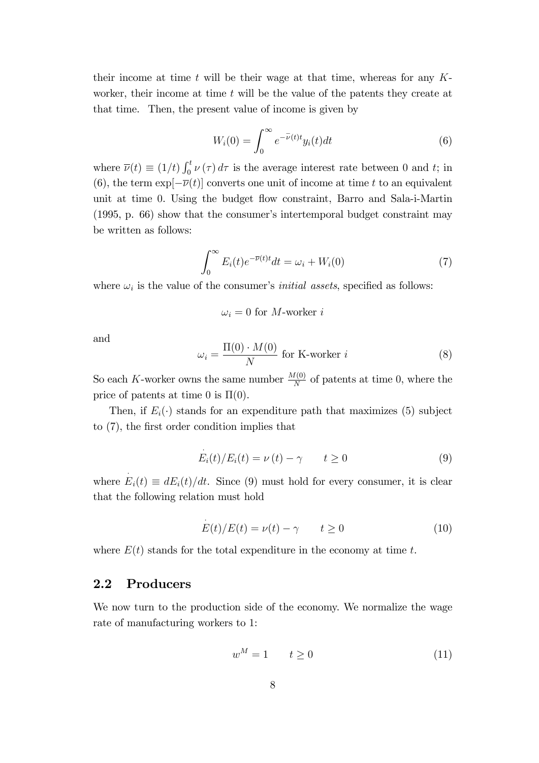their income at time  $t$  will be their wage at that time, whereas for any  $K$ worker, their income at time  $t$  will be the value of the patents they create at that time. Then, the present value of income is given by

$$
W_i(0) = \int_0^\infty e^{-\bar{\nu}(t)t} y_i(t) dt
$$
\n(6)

where  $\overline{\nu}(t) \equiv (1/t) \int_0^t \nu(\tau) d\tau$  is the average interest rate between 0 and t; in (6), the term  $\exp[-\overline{\nu}(t)]$  converts one unit of income at time t to an equivalent unit at time 0. Using the budget áow constraint, Barro and Sala-i-Martin  $(1995, p. 66)$  show that the consumer's intertemporal budget constraint may be written as follows:

$$
\int_0^\infty E_i(t)e^{-\overline{\nu}(t)t}dt = \omega_i + W_i(0)
$$
\n(7)

where  $\omega_i$  is the value of the consumer's *initial assets*, specified as follows:

$$
\omega_i = 0
$$
 for *M*-worker *i*

and

$$
\omega_i = \frac{\Pi(0) \cdot M(0)}{N} \text{ for K-worker } i \tag{8}
$$

So each K-worker owns the same number  $\frac{M(0)}{N}$  of patents at time 0, where the price of patents at time 0 is  $\Pi(0)$ .

Then, if  $E_i(\cdot)$  stands for an expenditure path that maximizes (5) subject to  $(7)$ , the first order condition implies that

$$
E_i(t)/E_i(t) = \nu(t) - \gamma \qquad t \ge 0 \tag{9}
$$

where  $E_i(t) \equiv dE_i(t)/dt$ . Since (9) must hold for every consumer, it is clear that the following relation must hold

$$
E(t)/E(t) = \nu(t) - \gamma \qquad t \ge 0 \tag{10}
$$

where  $E(t)$  stands for the total expenditure in the economy at time t.

#### 2.2 Producers

We now turn to the production side of the economy. We normalize the wage rate of manufacturing workers to 1:

$$
w^M = 1 \qquad t \ge 0 \tag{11}
$$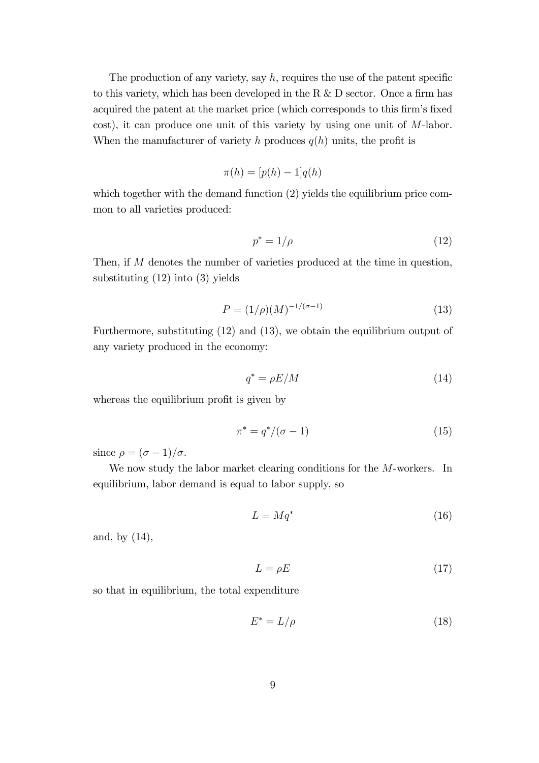The production of any variety, say  $h$ , requires the use of the patent specific to this variety, which has been developed in the R  $&$  D sector. Once a firm has acquired the patent at the market price (which corresponds to this firm's fixed cost), it can produce one unit of this variety by using one unit of M-labor. When the manufacturer of variety h produces  $q(h)$  units, the profit is

$$
\pi(h) = [p(h) - 1]q(h)
$$

which together with the demand function (2) yields the equilibrium price common to all varieties produced:

$$
p^* = 1/\rho \tag{12}
$$

Then, if M denotes the number of varieties produced at the time in question, substituting (12) into (3) yields

$$
P = (1/\rho)(M)^{-1/(\sigma - 1)}
$$
\n(13)

Furthermore, substituting (12) and (13), we obtain the equilibrium output of any variety produced in the economy:

$$
q^* = \rho E/M \tag{14}
$$

whereas the equilibrium profit is given by

$$
\pi^* = q^*/(\sigma - 1) \tag{15}
$$

since  $\rho = (\sigma - 1)/\sigma$ .

We now study the labor market clearing conditions for the M-workers. In equilibrium, labor demand is equal to labor supply, so

$$
L = Mq^* \tag{16}
$$

and, by (14),

$$
L = \rho E \tag{17}
$$

so that in equilibrium, the total expenditure

$$
E^* = L/\rho \tag{18}
$$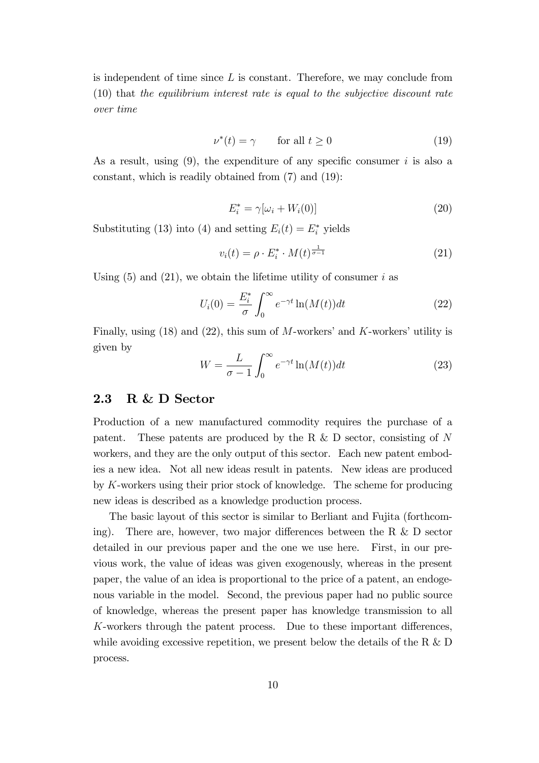is independent of time since  $L$  is constant. Therefore, we may conclude from (10) that the equilibrium interest rate is equal to the subjective discount rate over time

$$
\nu^*(t) = \gamma \qquad \text{for all } t \ge 0 \tag{19}
$$

As a result, using  $(9)$ , the expenditure of any specific consumer i is also a constant, which is readily obtained from (7) and (19):

$$
E_i^* = \gamma[\omega_i + W_i(0)] \tag{20}
$$

Substituting (13) into (4) and setting  $E_i(t) = E_i^*$  yields

$$
v_i(t) = \rho \cdot E_i^* \cdot M(t)^{\frac{1}{\sigma - 1}} \tag{21}
$$

Using  $(5)$  and  $(21)$ , we obtain the lifetime utility of consumer i as

$$
U_i(0) = \frac{E_i^*}{\sigma} \int_0^\infty e^{-\gamma t} \ln(M(t)) dt \tag{22}
$$

Finally, using  $(18)$  and  $(22)$ , this sum of M-workers' and K-workers' utility is given by

$$
W = \frac{L}{\sigma - 1} \int_0^\infty e^{-\gamma t} \ln(M(t)) dt \tag{23}
$$

### 2.3 R & D Sector

Production of a new manufactured commodity requires the purchase of a patent. These patents are produced by the R  $\&$  D sector, consisting of N workers, and they are the only output of this sector. Each new patent embodies a new idea. Not all new ideas result in patents. New ideas are produced by K-workers using their prior stock of knowledge. The scheme for producing new ideas is described as a knowledge production process.

The basic layout of this sector is similar to Berliant and Fujita (forthcoming). There are, however, two major differences between the R  $\&$  D sector detailed in our previous paper and the one we use here. First, in our previous work, the value of ideas was given exogenously, whereas in the present paper, the value of an idea is proportional to the price of a patent, an endogenous variable in the model. Second, the previous paper had no public source of knowledge, whereas the present paper has knowledge transmission to all  $K$ -workers through the patent process. Due to these important differences, while avoiding excessive repetition, we present below the details of the R  $&$  D process.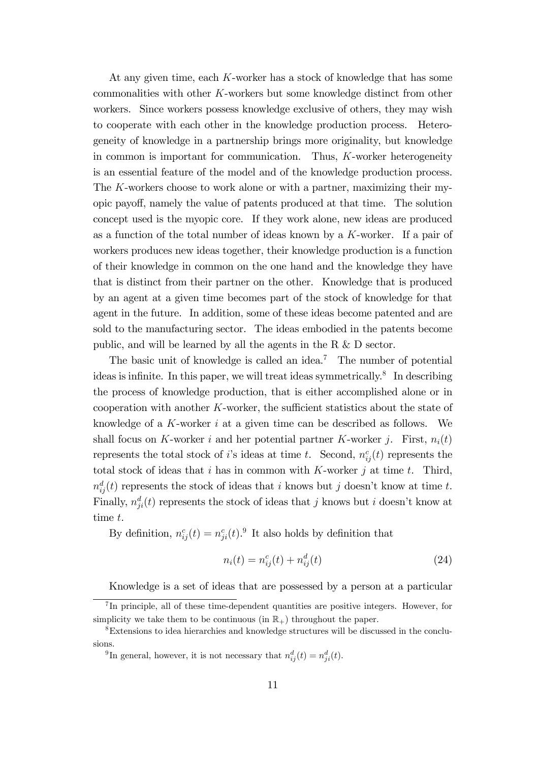At any given time, each K-worker has a stock of knowledge that has some commonalities with other K-workers but some knowledge distinct from other workers. Since workers possess knowledge exclusive of others, they may wish to cooperate with each other in the knowledge production process. Heterogeneity of knowledge in a partnership brings more originality, but knowledge in common is important for communication. Thus, K-worker heterogeneity is an essential feature of the model and of the knowledge production process. The K-workers choose to work alone or with a partner, maximizing their myopic payo§, namely the value of patents produced at that time. The solution concept used is the myopic core. If they work alone, new ideas are produced as a function of the total number of ideas known by a K-worker. If a pair of workers produces new ideas together, their knowledge production is a function of their knowledge in common on the one hand and the knowledge they have that is distinct from their partner on the other. Knowledge that is produced by an agent at a given time becomes part of the stock of knowledge for that agent in the future. In addition, some of these ideas become patented and are sold to the manufacturing sector. The ideas embodied in the patents become public, and will be learned by all the agents in the R & D sector.

The basic unit of knowledge is called an idea.<sup>7</sup> The number of potential ideas is infinite. In this paper, we will treat ideas symmetrically.<sup>8</sup> In describing the process of knowledge production, that is either accomplished alone or in cooperation with another  $K$ -worker, the sufficient statistics about the state of knowledge of a  $K$ -worker i at a given time can be described as follows. We shall focus on K-worker i and her potential partner K-worker j. First,  $n_i(t)$ represents the total stock of *i*'s ideas at time *t*. Second,  $n_{ij}^c(t)$  represents the total stock of ideas that i has in common with  $K$ -worker j at time t. Third,  $n_{ij}^d(t)$  represents the stock of ideas that i knows but j doesn't know at time t. Finally,  $n_{ji}^d(t)$  represents the stock of ideas that j knows but i doesn't know at time t.

By definition,  $n_{ij}^c(t) = n_{ji}^c(t)$ .<sup>9</sup> It also holds by definition that

$$
n_i(t) = n_{ij}^c(t) + n_{ij}^d(t)
$$
\n(24)

Knowledge is a set of ideas that are possessed by a person at a particular

<sup>&</sup>lt;sup>7</sup>In principle, all of these time-dependent quantities are positive integers. However, for simplicity we take them to be continuous (in  $\mathbb{R}_+$ ) throughout the paper.

<sup>8</sup>Extensions to idea hierarchies and knowledge structures will be discussed in the conclusions.

<sup>&</sup>lt;sup>9</sup>In general, however, it is not necessary that  $n_{ij}^d(t) = n_{ji}^d(t)$ .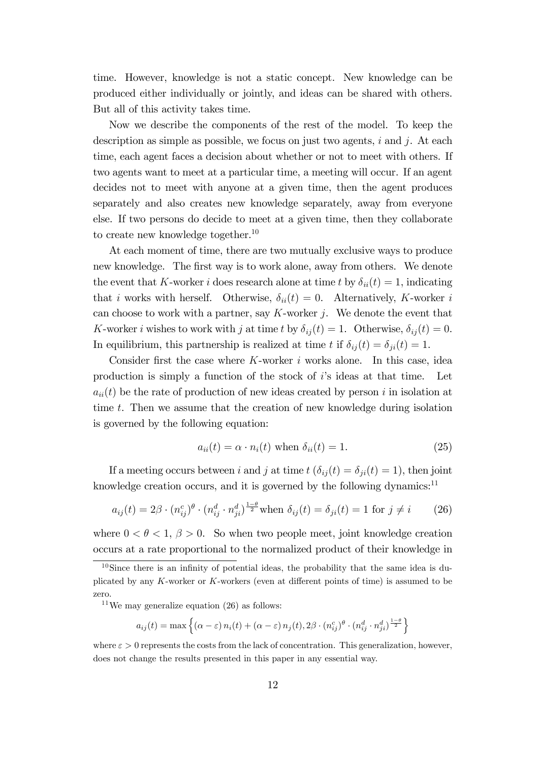time. However, knowledge is not a static concept. New knowledge can be produced either individually or jointly, and ideas can be shared with others. But all of this activity takes time.

Now we describe the components of the rest of the model. To keep the description as simple as possible, we focus on just two agents,  $i$  and  $j$ . At each time, each agent faces a decision about whether or not to meet with others. If two agents want to meet at a particular time, a meeting will occur. If an agent decides not to meet with anyone at a given time, then the agent produces separately and also creates new knowledge separately, away from everyone else. If two persons do decide to meet at a given time, then they collaborate to create new knowledge together.<sup>10</sup>

At each moment of time, there are two mutually exclusive ways to produce new knowledge. The first way is to work alone, away from others. We denote the event that K-worker i does research alone at time t by  $\delta_{ii}(t) = 1$ , indicating that i works with herself. Otherwise,  $\delta_{ii}(t) = 0$ . Alternatively, K-worker i can choose to work with a partner, say  $K$ -worker  $j$ . We denote the event that K-worker i wishes to work with j at time t by  $\delta_{ij}(t) = 1$ . Otherwise,  $\delta_{ij}(t) = 0$ . In equilibrium, this partnership is realized at time t if  $\delta_{ij}(t) = \delta_{ji}(t) = 1$ .

Consider first the case where  $K$ -worker i works alone. In this case, idea production is simply a function of the stock of iís ideas at that time. Let  $a_{ii}(t)$  be the rate of production of new ideas created by person i in isolation at time t. Then we assume that the creation of new knowledge during isolation is governed by the following equation:

$$
a_{ii}(t) = \alpha \cdot n_i(t) \text{ when } \delta_{ii}(t) = 1. \tag{25}
$$

If a meeting occurs between i and j at time  $t$  ( $\delta_{ij}(t) = \delta_{ji}(t) = 1$ ), then joint knowledge creation occurs, and it is governed by the following dynamics: $11$ 

$$
a_{ij}(t) = 2\beta \cdot (n_{ij}^c)^{\theta} \cdot (n_{ij}^d \cdot n_{ji}^d)^{\frac{1-\theta}{2}} \text{when } \delta_{ij}(t) = \delta_{ji}(t) = 1 \text{ for } j \neq i \tag{26}
$$

where  $0 < \theta < 1$ ,  $\beta > 0$ . So when two people meet, joint knowledge creation occurs at a rate proportional to the normalized product of their knowledge in

<sup>11</sup>We may generalize equation  $(26)$  as follows:

$$
a_{ij}(t) = \max \left\{ (\alpha - \varepsilon) n_i(t) + (\alpha - \varepsilon) n_j(t), 2\beta \cdot (n_{ij}^c)^{\theta} \cdot (n_{ij}^d \cdot n_{ji}^d)^{\frac{1-\theta}{2}} \right\}
$$

where  $\varepsilon > 0$  represents the costs from the lack of concentration. This generalization, however, does not change the results presented in this paper in any essential way.

 $10$ Since there is an infinity of potential ideas, the probability that the same idea is duplicated by any  $K$ -worker or  $K$ -workers (even at different points of time) is assumed to be zero.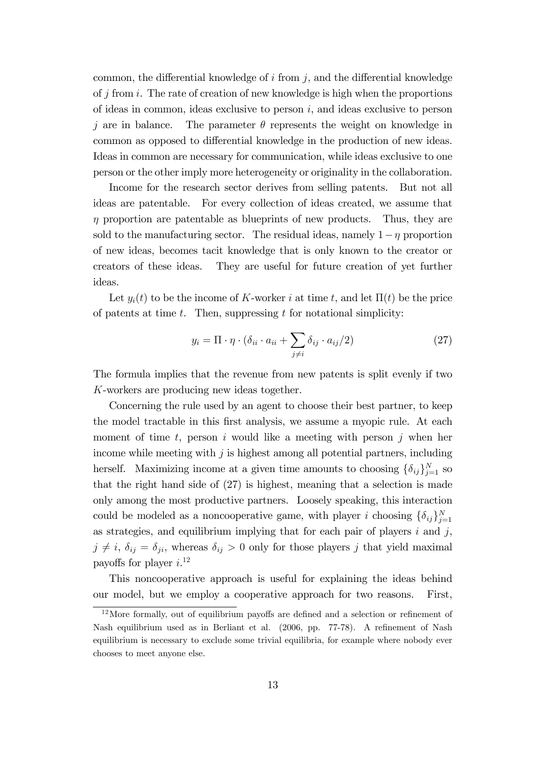common, the differential knowledge of  $i$  from  $j$ , and the differential knowledge of j from i. The rate of creation of new knowledge is high when the proportions of ideas in common, ideas exclusive to person  $i$ , and ideas exclusive to person j are in balance. The parameter  $\theta$  represents the weight on knowledge in common as opposed to differential knowledge in the production of new ideas. Ideas in common are necessary for communication, while ideas exclusive to one person or the other imply more heterogeneity or originality in the collaboration.

Income for the research sector derives from selling patents. But not all ideas are patentable. For every collection of ideas created, we assume that  $\eta$  proportion are patentable as blueprints of new products. Thus, they are sold to the manufacturing sector. The residual ideas, namely  $1 - \eta$  proportion of new ideas, becomes tacit knowledge that is only known to the creator or creators of these ideas. They are useful for future creation of yet further ideas.

Let  $y_i(t)$  to be the income of K-worker i at time t, and let  $\Pi(t)$  be the price of patents at time  $t$ . Then, suppressing  $t$  for notational simplicity:

$$
y_i = \Pi \cdot \eta \cdot (\delta_{ii} \cdot a_{ii} + \sum_{j \neq i} \delta_{ij} \cdot a_{ij}/2)
$$
 (27)

The formula implies that the revenue from new patents is split evenly if two K-workers are producing new ideas together.

Concerning the rule used by an agent to choose their best partner, to keep the model tractable in this first analysis, we assume a myopic rule. At each moment of time  $t$ , person i would like a meeting with person j when her income while meeting with  $j$  is highest among all potential partners, including herself. Maximizing income at a given time amounts to choosing  $\{\delta_{ij}\}_{j=1}^N$  so that the right hand side of (27) is highest, meaning that a selection is made only among the most productive partners. Loosely speaking, this interaction could be modeled as a noncooperative game, with player i choosing  $\{\delta_{ij}\}_{j=1}^N$ as strategies, and equilibrium implying that for each pair of players  $i$  and  $j$ ,  $j \neq i$ ,  $\delta_{ij} = \delta_{ji}$ , whereas  $\delta_{ij} > 0$  only for those players j that yield maximal payoffs for player  $i$ <sup>12</sup>

This noncooperative approach is useful for explaining the ideas behind our model, but we employ a cooperative approach for two reasons. First,

 $12$ More formally, out of equilibrium payoffs are defined and a selection or refinement of Nash equilibrium used as in Berliant et al. (2006, pp. 77-78). A refinement of Nash equilibrium is necessary to exclude some trivial equilibria, for example where nobody ever chooses to meet anyone else.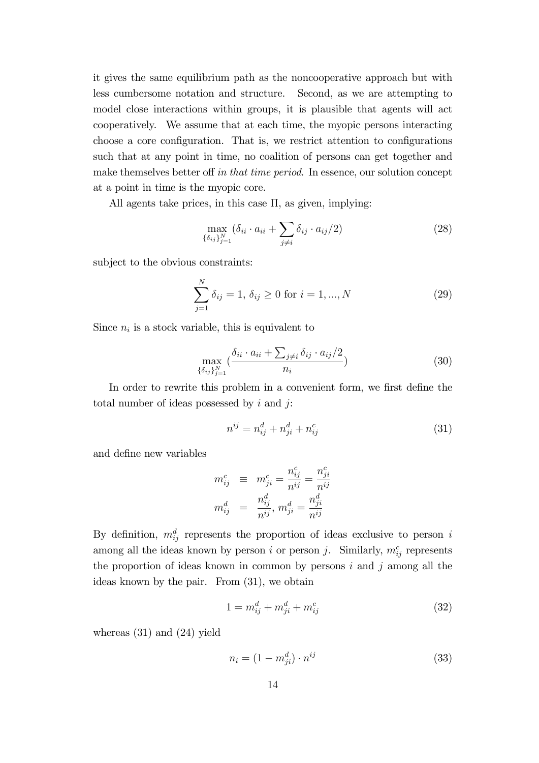it gives the same equilibrium path as the noncooperative approach but with less cumbersome notation and structure. Second, as we are attempting to model close interactions within groups, it is plausible that agents will act cooperatively. We assume that at each time, the myopic persons interacting choose a core configuration. That is, we restrict attention to configurations such that at any point in time, no coalition of persons can get together and make themselves better off in that time period. In essence, our solution concept at a point in time is the myopic core.

All agents take prices, in this case  $\Pi$ , as given, implying:

$$
\max_{\{\delta_{ij}\}_{j=1}^N} (\delta_{ii} \cdot a_{ii} + \sum_{j \neq i} \delta_{ij} \cdot a_{ij}/2)
$$
\n(28)

subject to the obvious constraints:

$$
\sum_{j=1}^{N} \delta_{ij} = 1, \, \delta_{ij} \ge 0 \text{ for } i = 1, ..., N \tag{29}
$$

Since  $n_i$  is a stock variable, this is equivalent to

$$
\max_{\{\delta_{ij}\}_{j=1}^N} \left(\frac{\delta_{ii} \cdot a_{ii} + \sum_{j \neq i} \delta_{ij} \cdot a_{ij}/2}{n_i}\right) \tag{30}
$$

In order to rewrite this problem in a convenient form, we first define the total number of ideas possessed by  $i$  and  $j$ :

$$
n^{ij} = n_{ij}^d + n_{ji}^d + n_{ij}^c
$$
 (31)

and deÖne new variables

$$
\begin{array}{rcl} m_{ij}^c & \equiv & m_{ji}^c = \frac{n_{ij}^c}{n^{ij}} = \frac{n_{ji}^c}{n^{ij}} \\ m_{ij}^d & = & \frac{n_{ij}^d}{n^{ij}}, \, m_{ji}^d = \frac{n_{ji}^d}{n^{ij}} \end{array}
$$

By definition,  $m_{ij}^d$  represents the proportion of ideas exclusive to person i among all the ideas known by person i or person j. Similarly,  $m_{ij}^c$  represents the proportion of ideas known in common by persons  $i$  and  $j$  among all the ideas known by the pair. From (31), we obtain

$$
1 = m_{ij}^d + m_{ji}^d + m_{ij}^c
$$
 (32)

whereas (31) and (24) yield

$$
n_i = (1 - m_{ji}^d) \cdot n^{ij} \tag{33}
$$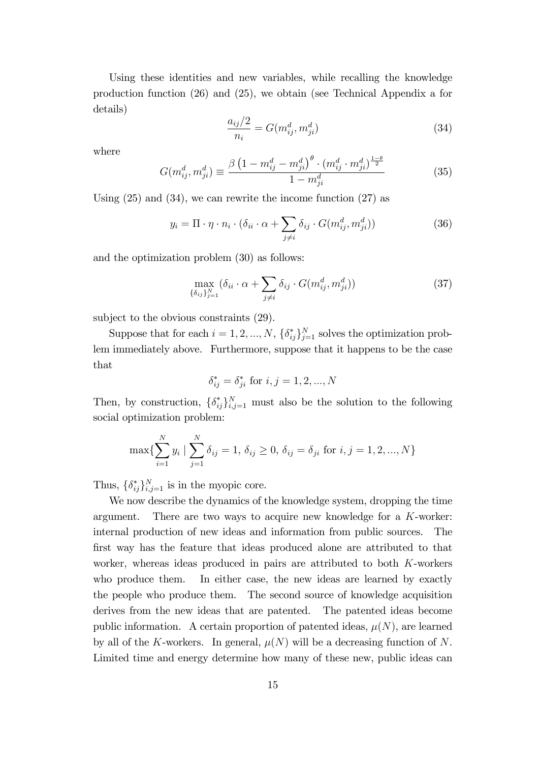Using these identities and new variables, while recalling the knowledge production function (26) and (25), we obtain (see Technical Appendix a for details)

$$
\frac{a_{ij}/2}{n_i} = G(m_{ij}^d, m_{ji}^d)
$$
\n(34)

where

$$
G(m_{ij}^d, m_{ji}^d) \equiv \frac{\beta \left(1 - m_{ij}^d - m_{ji}^d\right)^{\theta} \cdot \left(m_{ij}^d \cdot m_{ji}^d\right)^{\frac{1-\theta}{2}}}{1 - m_{ji}^d}
$$
(35)

Using (25) and (34), we can rewrite the income function (27) as

$$
y_i = \Pi \cdot \eta \cdot n_i \cdot (\delta_{ii} \cdot \alpha + \sum_{j \neq i} \delta_{ij} \cdot G(m_{ij}^d, m_{ji}^d))
$$
 (36)

and the optimization problem (30) as follows:

$$
\max_{\{\delta_{ij}\}_{j=1}^N} (\delta_{ii} \cdot \alpha + \sum_{j \neq i} \delta_{ij} \cdot G(m_{ij}^d, m_{ji}^d))
$$
\n(37)

subject to the obvious constraints (29).

Suppose that for each  $i = 1, 2, ..., N$ ,  $\{\delta_{ij}^*\}_{j=1}^N$  solves the optimization problem immediately above. Furthermore, suppose that it happens to be the case that

$$
\delta_{ij}^* = \delta_{ji}^* \text{ for } i, j = 1, 2, ..., N
$$

Then, by construction,  $\{\delta_{ij}^*\}_{i,j=1}^N$  must also be the solution to the following social optimization problem:

$$
\max\{\sum_{i=1}^{N} y_i \mid \sum_{j=1}^{N} \delta_{ij} = 1, \delta_{ij} \ge 0, \delta_{ij} = \delta_{ji} \text{ for } i, j = 1, 2, ..., N\}
$$

Thus,  $\{\delta_{ij}^*\}_{i,j=1}^N$  is in the myopic core.

We now describe the dynamics of the knowledge system, dropping the time argument. There are two ways to acquire new knowledge for a K-worker: internal production of new ideas and information from public sources. The first way has the feature that ideas produced alone are attributed to that worker, whereas ideas produced in pairs are attributed to both K-workers who produce them. In either case, the new ideas are learned by exactly the people who produce them. The second source of knowledge acquisition derives from the new ideas that are patented. The patented ideas become public information. A certain proportion of patented ideas,  $\mu(N)$ , are learned by all of the K-workers. In general,  $\mu(N)$  will be a decreasing function of N. Limited time and energy determine how many of these new, public ideas can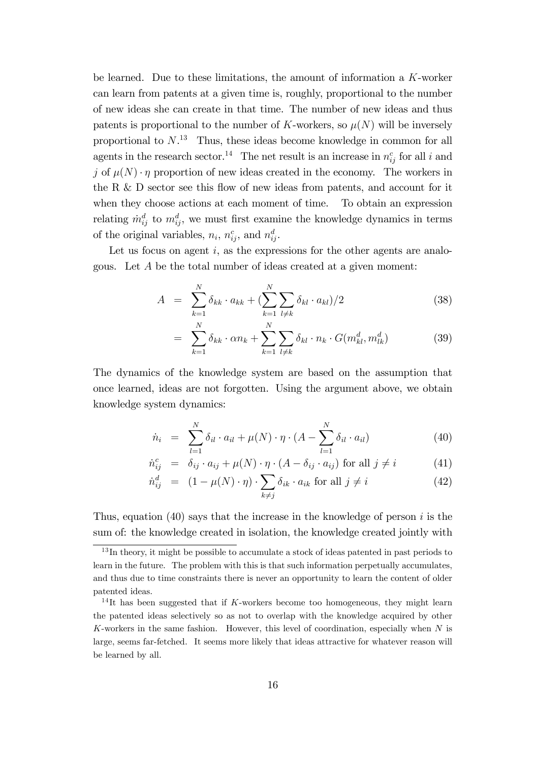be learned. Due to these limitations, the amount of information a K-worker can learn from patents at a given time is, roughly, proportional to the number of new ideas she can create in that time. The number of new ideas and thus patents is proportional to the number of K-workers, so  $\mu(N)$  will be inversely proportional to  $N^{13}$  Thus, these ideas become knowledge in common for all agents in the research sector.<sup>14</sup> The net result is an increase in  $n_{ij}^c$  for all i and j of  $\mu(N) \cdot \eta$  proportion of new ideas created in the economy. The workers in the R  $\&$  D sector see this flow of new ideas from patents, and account for it when they choose actions at each moment of time. To obtain an expression relating  $\dot{m}_{ij}^d$  to  $m_{ij}^d$ , we must first examine the knowledge dynamics in terms of the original variables,  $n_i$ ,  $n_{ij}^c$ , and  $n_{ij}^d$ .

Let us focus on agent  $i$ , as the expressions for the other agents are analogous. Let  $A$  be the total number of ideas created at a given moment:

$$
A = \sum_{k=1}^{N} \delta_{kk} \cdot a_{kk} + \left( \sum_{k=1}^{N} \sum_{l \neq k} \delta_{kl} \cdot a_{kl} \right) / 2 \tag{38}
$$

$$
= \sum_{k=1}^{N} \delta_{kk} \cdot \alpha n_k + \sum_{k=1}^{N} \sum_{l \neq k} \delta_{kl} \cdot n_k \cdot G(m_{kl}^d, m_{lk}^d)
$$
(39)

The dynamics of the knowledge system are based on the assumption that once learned, ideas are not forgotten. Using the argument above, we obtain knowledge system dynamics:

$$
\dot{n}_i = \sum_{l=1}^{N} \delta_{il} \cdot a_{il} + \mu(N) \cdot \eta \cdot (A - \sum_{l=1}^{N} \delta_{il} \cdot a_{il}) \tag{40}
$$

$$
\dot{n}_{ij}^c = \delta_{ij} \cdot a_{ij} + \mu(N) \cdot \eta \cdot (A - \delta_{ij} \cdot a_{ij}) \text{ for all } j \neq i \tag{41}
$$

$$
\dot{n}_{ij}^d = (1 - \mu(N) \cdot \eta) \cdot \sum_{k \neq j} \delta_{ik} \cdot a_{ik} \text{ for all } j \neq i \tag{42}
$$

Thus, equation (40) says that the increase in the knowledge of person  $i$  is the sum of: the knowledge created in isolation, the knowledge created jointly with

 $13$ In theory, it might be possible to accumulate a stock of ideas patented in past periods to learn in the future. The problem with this is that such information perpetually accumulates, and thus due to time constraints there is never an opportunity to learn the content of older patented ideas.

<sup>&</sup>lt;sup>14</sup>It has been suggested that if K-workers become too homogeneous, they might learn the patented ideas selectively so as not to overlap with the knowledge acquired by other K-workers in the same fashion. However, this level of coordination, especially when  $N$  is large, seems far-fetched. It seems more likely that ideas attractive for whatever reason will be learned by all.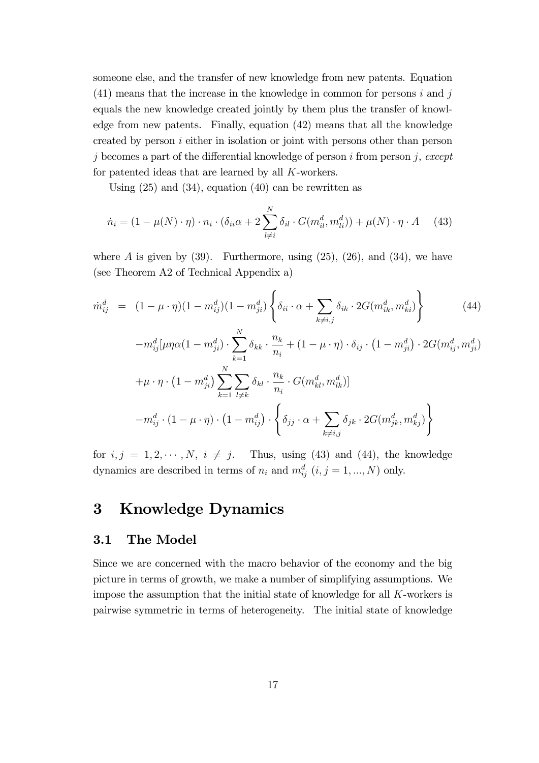someone else, and the transfer of new knowledge from new patents. Equation  $(41)$  means that the increase in the knowledge in common for persons i and j equals the new knowledge created jointly by them plus the transfer of knowledge from new patents. Finally, equation (42) means that all the knowledge created by person i either in isolation or joint with persons other than person j becomes a part of the differential knowledge of person i from person j, except for patented ideas that are learned by all K-workers.

Using  $(25)$  and  $(34)$ , equation  $(40)$  can be rewritten as

$$
\dot{n}_i = (1 - \mu(N) \cdot \eta) \cdot n_i \cdot (\delta_{ii}\alpha + 2\sum_{l \neq i}^{N} \delta_{il} \cdot G(m_{il}^d, m_{li}^d)) + \mu(N) \cdot \eta \cdot A \quad (43)
$$

where  $A$  is given by  $(39)$ . Furthermore, using  $(25)$ ,  $(26)$ , and  $(34)$ , we have (see Theorem A2 of Technical Appendix a)

$$
\dot{m}_{ij}^{d} = (1 - \mu \cdot \eta)(1 - m_{ij}^{d})(1 - m_{ji}^{d}) \left\{ \delta_{ii} \cdot \alpha + \sum_{k \neq i,j} \delta_{ik} \cdot 2G(m_{ik}^{d}, m_{ki}^{d}) \right\}
$$
\n
$$
- m_{ij}^{d} [\mu \eta \alpha (1 - m_{ji}^{d}) \cdot \sum_{k=1}^{N} \delta_{kk} \cdot \frac{n_{k}}{n_{i}} + (1 - \mu \cdot \eta) \cdot \delta_{ij} \cdot (1 - m_{ji}^{d}) \cdot 2G(m_{ij}^{d}, m_{ji}^{d})
$$
\n
$$
+ \mu \cdot \eta \cdot (1 - m_{ji}^{d}) \sum_{k=1}^{N} \sum_{l \neq k} \delta_{kl} \cdot \frac{n_{k}}{n_{i}} \cdot G(m_{kl}^{d}, m_{lk}^{d})]
$$
\n
$$
- m_{ij}^{d} \cdot (1 - \mu \cdot \eta) \cdot (1 - m_{ij}^{d}) \cdot \left\{ \delta_{jj} \cdot \alpha + \sum_{k \neq i,j} \delta_{jk} \cdot 2G(m_{jk}^{d}, m_{kj}^{d}) \right\}
$$
\n(44)

for  $i, j = 1, 2, \dots, N$ ,  $i \neq j$ . Thus, using (43) and (44), the knowledge dynamics are described in terms of  $n_i$  and  $m_{ij}^d$   $(i, j = 1, ..., N)$  only.

### 3 Knowledge Dynamics

### 3.1 The Model

Since we are concerned with the macro behavior of the economy and the big picture in terms of growth, we make a number of simplifying assumptions. We impose the assumption that the initial state of knowledge for all K-workers is pairwise symmetric in terms of heterogeneity. The initial state of knowledge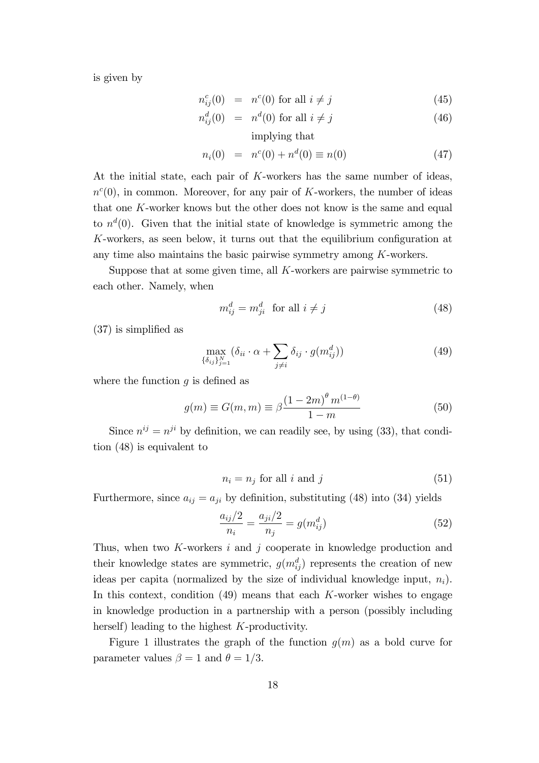is given by

$$
n_{ij}^c(0) = n^c(0) \text{ for all } i \neq j \tag{45}
$$

$$
n_{ij}^d(0) = n^d(0) \text{ for all } i \neq j \tag{46}
$$

implying that

$$
n_i(0) = n^c(0) + n^d(0) \equiv n(0)
$$
\n(47)

At the initial state, each pair of K-workers has the same number of ideas,  $n^{c}(0)$ , in common. Moreover, for any pair of K-workers, the number of ideas that one  $K$ -worker knows but the other does not know is the same and equal to  $n<sup>d</sup>(0)$ . Given that the initial state of knowledge is symmetric among the  $K$ -workers, as seen below, it turns out that the equilibrium configuration at any time also maintains the basic pairwise symmetry among K-workers.

Suppose that at some given time, all K-workers are pairwise symmetric to each other. Namely, when

$$
m_{ij}^d = m_{ji}^d \quad \text{for all } i \neq j \tag{48}
$$

 $(37)$  is simplified as

$$
\max_{\{\delta_{ij}\}_{j=1}^N} (\delta_{ii} \cdot \alpha + \sum_{j \neq i} \delta_{ij} \cdot g(m_{ij}^d))
$$
\n(49)

where the function  $q$  is defined as

$$
g(m) \equiv G(m, m) \equiv \beta \frac{(1 - 2m)^{\theta} m^{(1 - \theta)}}{1 - m}
$$
 (50)

Since  $n^{ij} = n^{ji}$  by definition, we can readily see, by using (33), that condition (48) is equivalent to

$$
n_i = n_j \text{ for all } i \text{ and } j \tag{51}
$$

Furthermore, since  $a_{ij} = a_{ji}$  by definition, substituting (48) into (34) yields

$$
\frac{a_{ij}/2}{n_i} = \frac{a_{ji}/2}{n_j} = g(m_{ij}^d)
$$
\n(52)

Thus, when two  $K$ -workers  $i$  and  $j$  cooperate in knowledge production and their knowledge states are symmetric,  $g(m_{ij}^d)$  represents the creation of new ideas per capita (normalized by the size of individual knowledge input,  $n_i$ ). In this context, condition  $(49)$  means that each K-worker wishes to engage in knowledge production in a partnership with a person (possibly including herself) leading to the highest K-productivity.

Figure 1 illustrates the graph of the function  $q(m)$  as a bold curve for parameter values  $\beta = 1$  and  $\theta = 1/3$ .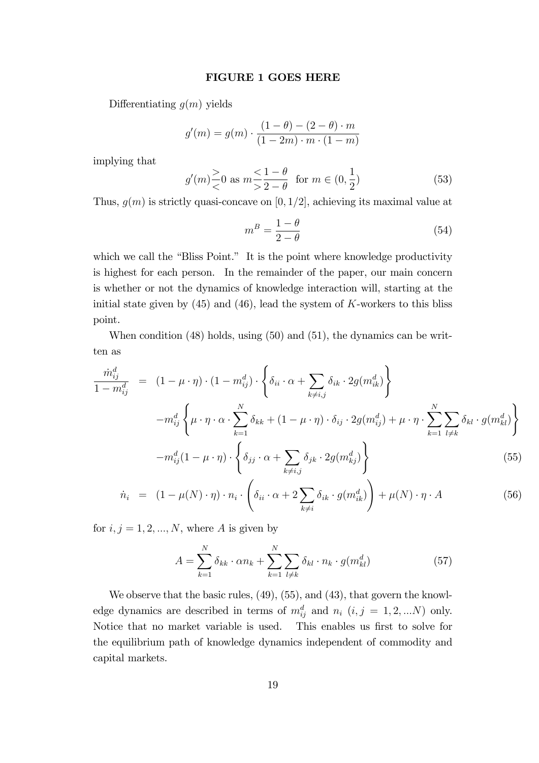#### FIGURE 1 GOES HERE

Differentiating  $q(m)$  yields

$$
g'(m) = g(m) \cdot \frac{(1 - \theta) - (2 - \theta) \cdot m}{(1 - 2m) \cdot m \cdot (1 - m)}
$$

implying that

$$
g'(m) \ge 0
$$
 as  $m \le \frac{1-\theta}{2-\theta}$  for  $m \in (0, \frac{1}{2})$  (53)

Thus,  $g(m)$  is strictly quasi-concave on [0, 1/2], achieving its maximal value at

$$
m^B = \frac{1 - \theta}{2 - \theta} \tag{54}
$$

which we call the "Bliss Point." It is the point where knowledge productivity is highest for each person. In the remainder of the paper, our main concern is whether or not the dynamics of knowledge interaction will, starting at the initial state given by  $(45)$  and  $(46)$ , lead the system of K-workers to this bliss point.

When condition  $(48)$  holds, using  $(50)$  and  $(51)$ , the dynamics can be written as

$$
\frac{\dot{m}_{ij}^d}{1 - m_{ij}^d} = (1 - \mu \cdot \eta) \cdot (1 - m_{ij}^d) \cdot \left\{ \delta_{ii} \cdot \alpha + \sum_{k \neq i,j} \delta_{ik} \cdot 2g(m_{ik}^d) \right\}
$$
\n
$$
- m_{ij}^d \left\{ \mu \cdot \eta \cdot \alpha \cdot \sum_{k=1}^N \delta_{kk} + (1 - \mu \cdot \eta) \cdot \delta_{ij} \cdot 2g(m_{ij}^d) + \mu \cdot \eta \cdot \sum_{k=1}^N \sum_{l \neq k} \delta_{kl} \cdot g(m_{kl}^d) \right\}
$$
\n
$$
- m_{ij}^d (1 - \mu \cdot \eta) \cdot \left\{ \delta_{jj} \cdot \alpha + \sum_{k \neq i,j} \delta_{jk} \cdot 2g(m_{kj}^d) \right\}
$$
\n(55)

$$
\dot{n}_i = (1 - \mu(N) \cdot \eta) \cdot n_i \cdot \left( \delta_{ii} \cdot \alpha + 2 \sum_{k \neq i} \delta_{ik} \cdot g(m_{ik}^d) \right) + \mu(N) \cdot \eta \cdot A \tag{56}
$$

for  $i, j = 1, 2, ..., N$ , where A is given by

$$
A = \sum_{k=1}^{N} \delta_{kk} \cdot \alpha n_k + \sum_{k=1}^{N} \sum_{l \neq k} \delta_{kl} \cdot n_k \cdot g(m_{kl}^d)
$$
(57)

We observe that the basic rules,  $(49)$ ,  $(55)$ , and  $(43)$ , that govern the knowledge dynamics are described in terms of  $m_{ij}^d$  and  $n_i$   $(i, j = 1, 2, ...N)$  only. Notice that no market variable is used. This enables us first to solve for the equilibrium path of knowledge dynamics independent of commodity and capital markets.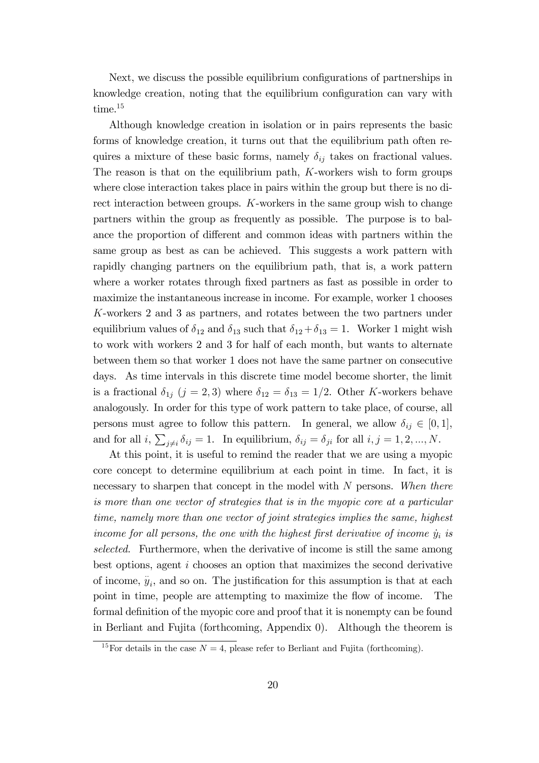Next, we discuss the possible equilibrium configurations of partnerships in knowledge creation, noting that the equilibrium configuration can vary with time.<sup>15</sup>

Although knowledge creation in isolation or in pairs represents the basic forms of knowledge creation, it turns out that the equilibrium path often requires a mixture of these basic forms, namely  $\delta_{ij}$  takes on fractional values. The reason is that on the equilibrium path,  $K$ -workers wish to form groups where close interaction takes place in pairs within the group but there is no direct interaction between groups. K-workers in the same group wish to change partners within the group as frequently as possible. The purpose is to balance the proportion of different and common ideas with partners within the same group as best as can be achieved. This suggests a work pattern with rapidly changing partners on the equilibrium path, that is, a work pattern where a worker rotates through fixed partners as fast as possible in order to maximize the instantaneous increase in income. For example, worker 1 chooses K-workers 2 and 3 as partners, and rotates between the two partners under equilibrium values of  $\delta_{12}$  and  $\delta_{13}$  such that  $\delta_{12} + \delta_{13} = 1$ . Worker 1 might wish to work with workers 2 and 3 for half of each month, but wants to alternate between them so that worker 1 does not have the same partner on consecutive days. As time intervals in this discrete time model become shorter, the limit is a fractional  $\delta_{1j}$   $(j = 2, 3)$  where  $\delta_{12} = \delta_{13} = 1/2$ . Other K-workers behave analogously. In order for this type of work pattern to take place, of course, all persons must agree to follow this pattern. In general, we allow  $\delta_{ij} \in [0, 1]$ , and for all  $i, \sum_{j \neq i} \delta_{ij} = 1$ . In equilibrium,  $\delta_{ij} = \delta_{ji}$  for all  $i, j = 1, 2, ..., N$ .

At this point, it is useful to remind the reader that we are using a myopic core concept to determine equilibrium at each point in time. In fact, it is necessary to sharpen that concept in the model with N persons. When there is more than one vector of strategies that is in the myopic core at a particular time, namely more than one vector of joint strategies implies the same, highest income for all persons, the one with the highest first derivative of income  $\dot{y}_i$  is selected. Furthermore, when the derivative of income is still the same among best options, agent i chooses an option that maximizes the second derivative of income,  $\ddot{y}_i$ , and so on. The justification for this assumption is that at each point in time, people are attempting to maximize the flow of income. The formal definition of the myopic core and proof that it is nonempty can be found in Berliant and Fujita (forthcoming, Appendix 0). Although the theorem is

<sup>&</sup>lt;sup>15</sup>For details in the case  $N = 4$ , please refer to Berliant and Fujita (forthcoming).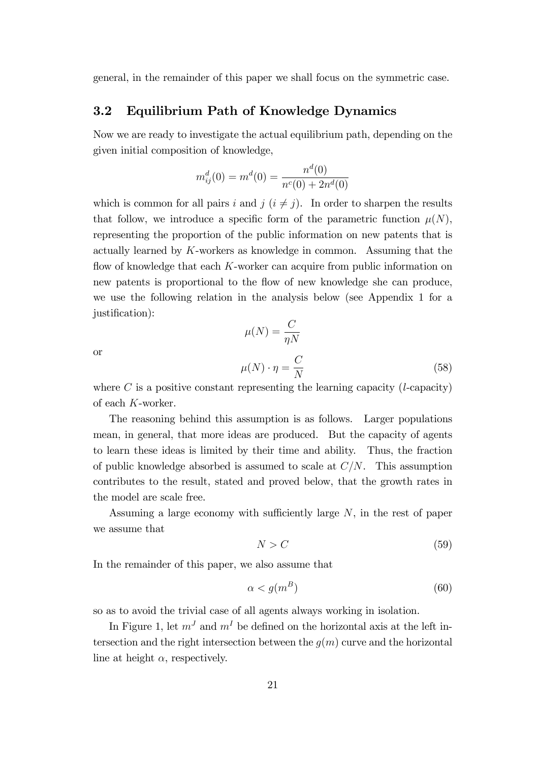general, in the remainder of this paper we shall focus on the symmetric case.

#### 3.2 Equilibrium Path of Knowledge Dynamics

Now we are ready to investigate the actual equilibrium path, depending on the given initial composition of knowledge,

$$
m_{ij}^{d}(0) = m^{d}(0) = \frac{n^{d}(0)}{n^{c}(0) + 2n^{d}(0)}
$$

which is common for all pairs i and j  $(i \neq j)$ . In order to sharpen the results that follow, we introduce a specific form of the parametric function  $\mu(N)$ , representing the proportion of the public information on new patents that is actually learned by K-workers as knowledge in common. Assuming that the flow of knowledge that each  $K$ -worker can acquire from public information on new patents is proportional to the flow of new knowledge she can produce, we use the following relation in the analysis below (see Appendix 1 for a justification):

or

$$
\mu(N) = \frac{C}{\eta N}
$$

$$
\mu(N) \cdot \eta = \frac{C}{N}
$$
(58)

where  $C$  is a positive constant representing the learning capacity (*l*-capacity) of each K-worker.

The reasoning behind this assumption is as follows. Larger populations mean, in general, that more ideas are produced. But the capacity of agents to learn these ideas is limited by their time and ability. Thus, the fraction of public knowledge absorbed is assumed to scale at  $C/N$ . This assumption contributes to the result, stated and proved below, that the growth rates in the model are scale free.

Assuming a large economy with sufficiently large  $N$ , in the rest of paper we assume that

$$
N > C \tag{59}
$$

In the remainder of this paper, we also assume that

$$
\alpha < g(m^B) \tag{60}
$$

so as to avoid the trivial case of all agents always working in isolation.

In Figure 1, let  $m<sup>J</sup>$  and  $m<sup>I</sup>$  be defined on the horizontal axis at the left intersection and the right intersection between the  $q(m)$  curve and the horizontal line at height  $\alpha$ , respectively.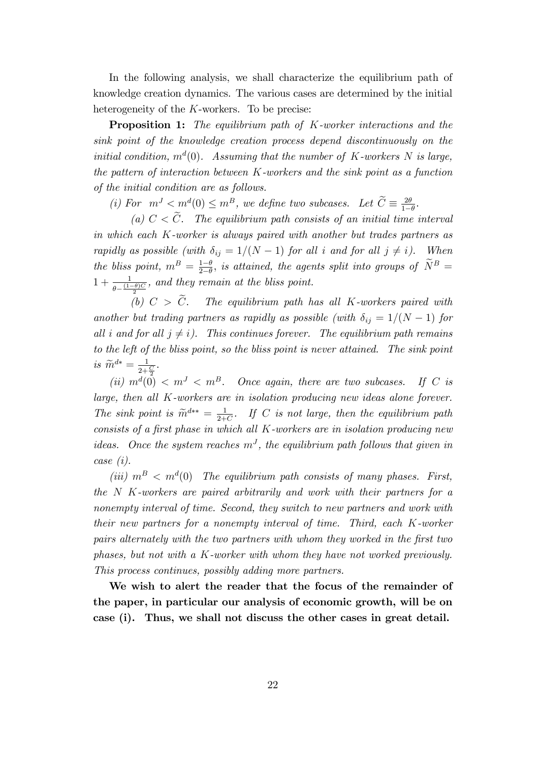In the following analysis, we shall characterize the equilibrium path of knowledge creation dynamics. The various cases are determined by the initial heterogeneity of the  $K$ -workers. To be precise:

**Proposition 1:** The equilibrium path of K-worker interactions and the sink point of the knowledge creation process depend discontinuously on the initial condition,  $m<sup>d</sup>(0)$ . Assuming that the number of K-workers N is large, the pattern of interaction between  $K$ -workers and the sink point as a function of the initial condition are as follows.

(i) For  $m^{J} < m^{d}(0) \leq m^{B}$ , we define two subcases. Let  $\widetilde{C} \equiv \frac{2\theta}{1-\theta}$  $rac{2\theta}{1-\theta}$ .

(a)  $C < \tilde{C}$ . The equilibrium path consists of an initial time interval in which each K-worker is always paired with another but trades partners as rapidly as possible (with  $\delta_{ij} = 1/(N - 1)$  for all i and for all  $j \neq i$ ). When the bliss point,  $m^B = \frac{1-\theta}{2-\theta}$  $\frac{1-\theta}{2-\theta}$ , is attained, the agents split into groups of  $\tilde{N}^B =$  $1 + \frac{1}{\theta - \frac{(1-\theta)C}{2}}$ , and they remain at the bliss point.

(b)  $C > \tilde{C}$ . The equilibrium path has all K-workers paired with another but trading partners as rapidly as possible (with  $\delta_{ij} = 1/(N - 1)$  for all i and for all  $j \neq i$ ). This continues forever. The equilibrium path remains to the left of the bliss point, so the bliss point is never attained. The sink point is  $\widetilde{m}^{d*} = \frac{1}{2 + \frac{C}{2}}$ .

(ii)  $m^d(0) < m^J < m^B$ . Once again, there are two subcases. If C is large, then all K-workers are in isolation producing new ideas alone forever. The sink point is  $\widetilde{m}^{d**} = \frac{1}{2+1}$  $\frac{1}{2+C}$ . If C is not large, then the equilibrium path consists of a first phase in which all  $K$ -workers are in isolation producing new ideas. Once the system reaches  $m<sup>J</sup>$ , the equilibrium path follows that given in case (i).

(iii)  $m^B < m^d(0)$  The equilibrium path consists of many phases. First, the N K-workers are paired arbitrarily and work with their partners for a nonempty interval of time. Second, they switch to new partners and work with their new partners for a nonempty interval of time. Third, each K-worker pairs alternately with the two partners with whom they worked in the first two phases, but not with a K-worker with whom they have not worked previously. This process continues, possibly adding more partners.

We wish to alert the reader that the focus of the remainder of the paper, in particular our analysis of economic growth, will be on case (i). Thus, we shall not discuss the other cases in great detail.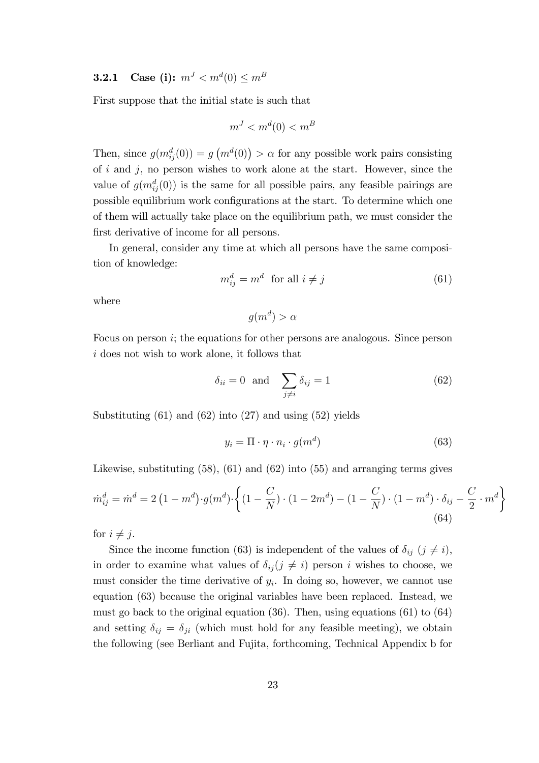### $\textbf{3.2.1} \quad \textbf{Case (i):} \,\, m^J < m^d(0) \leq m^B$

First suppose that the initial state is such that

$$
m^J < m^d(0) < m^B
$$

Then, since  $g(m_{ij}^d(0)) = g(m^d(0)) > \alpha$  for any possible work pairs consisting of  $i$  and  $j$ , no person wishes to work alone at the start. However, since the value of  $g(m_{ij}^d(0))$  is the same for all possible pairs, any feasible pairings are possible equilibrium work configurations at the start. To determine which one of them will actually take place on the equilibrium path, we must consider the first derivative of income for all persons.

In general, consider any time at which all persons have the same composition of knowledge:

$$
m_{ij}^d = m^d \quad \text{for all } i \neq j \tag{61}
$$

where

 $g(m^d) > \alpha$ 

Focus on person i; the equations for other persons are analogous. Since person i does not wish to work alone, it follows that

$$
\delta_{ii} = 0 \text{ and } \sum_{j \neq i} \delta_{ij} = 1 \tag{62}
$$

Substituting  $(61)$  and  $(62)$  into  $(27)$  and using  $(52)$  yields

$$
y_i = \Pi \cdot \eta \cdot n_i \cdot g(m^d) \tag{63}
$$

Likewise, substituting (58), (61) and (62) into (55) and arranging terms gives

$$
\dot{m}_{ij}^d = \dot{m}^d = 2\left(1 - m^d\right) \cdot g(m^d) \cdot \left\{ \left(1 - \frac{C}{N}\right) \cdot \left(1 - 2m^d\right) - \left(1 - \frac{C}{N}\right) \cdot \left(1 - m^d\right) \cdot \delta_{ij} - \frac{C}{2} \cdot m^d \right\}
$$
\n(64)

for  $i \neq j$ .

Since the income function (63) is independent of the values of  $\delta_{ij}$  ( $j \neq i$ ), in order to examine what values of  $\delta_{ij} (j \neq i)$  person i wishes to choose, we must consider the time derivative of  $y_i$ . In doing so, however, we cannot use equation (63) because the original variables have been replaced. Instead, we must go back to the original equation  $(36)$ . Then, using equations  $(61)$  to  $(64)$ and setting  $\delta_{ij} = \delta_{ji}$  (which must hold for any feasible meeting), we obtain the following (see Berliant and Fujita, forthcoming, Technical Appendix b for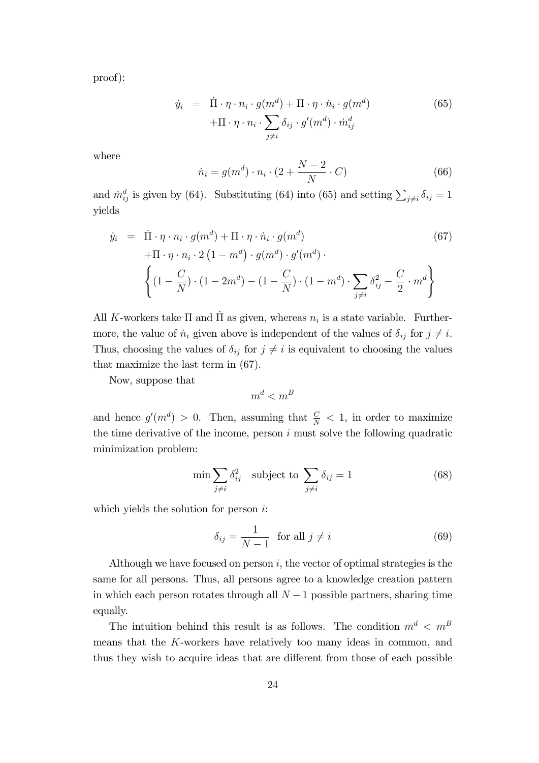proof):

$$
\dot{y}_i = \dot{\Pi} \cdot \eta \cdot n_i \cdot g(m^d) + \Pi \cdot \eta \cdot \dot{n}_i \cdot g(m^d) \n+ \Pi \cdot \eta \cdot n_i \cdot \sum_{j \neq i} \delta_{ij} \cdot g'(m^d) \cdot \dot{m}_{ij}^d
$$
\n(65)

where

$$
\dot{n}_i = g(m^d) \cdot n_i \cdot (2 + \frac{N-2}{N} \cdot C) \tag{66}
$$

and  $\dot{m}_{ij}^d$  is given by (64). Substituting (64) into (65) and setting  $\sum_{j\neq i} \delta_{ij} = 1$ yields

$$
\dot{y}_i = \dot{\Pi} \cdot \eta \cdot n_i \cdot g(m^d) + \Pi \cdot \eta \cdot \dot{n}_i \cdot g(m^d) \tag{67}
$$
\n
$$
+ \Pi \cdot \eta \cdot n_i \cdot 2 \left(1 - m^d\right) \cdot g(m^d) \cdot g'(m^d) \cdot \left\{ \left(1 - \frac{C}{N}\right) \cdot \left(1 - 2m^d\right) - \left(1 - \frac{C}{N}\right) \cdot \left(1 - m^d\right) \cdot \sum_{j \neq i} \delta_{ij}^2 - \frac{C}{2} \cdot m^d \right\}
$$

All K-workers take  $\Pi$  and  $\Pi$  as given, whereas  $n_i$  is a state variable. Furthermore, the value of  $\dot{n}_i$  given above is independent of the values of  $\delta_{ij}$  for  $j \neq i$ . Thus, choosing the values of  $\delta_{ij}$  for  $j \neq i$  is equivalent to choosing the values that maximize the last term in (67).

Now, suppose that

$$
m^d < m^B
$$

and hence  $g'(m^d) > 0$ . Then, assuming that  $\frac{C}{N} < 1$ , in order to maximize the time derivative of the income, person  $i$  must solve the following quadratic minimization problem:

$$
\min \sum_{j \neq i} \delta_{ij}^2 \quad \text{subject to } \sum_{j \neq i} \delta_{ij} = 1 \tag{68}
$$

which yields the solution for person  $i$ :

$$
\delta_{ij} = \frac{1}{N-1} \quad \text{for all } j \neq i \tag{69}
$$

Although we have focused on person  $i$ , the vector of optimal strategies is the same for all persons. Thus, all persons agree to a knowledge creation pattern in which each person rotates through all  $N-1$  possible partners, sharing time equally.

The intuition behind this result is as follows. The condition  $m^d \, \langle m^B \rangle$ means that the K-workers have relatively too many ideas in common, and thus they wish to acquire ideas that are different from those of each possible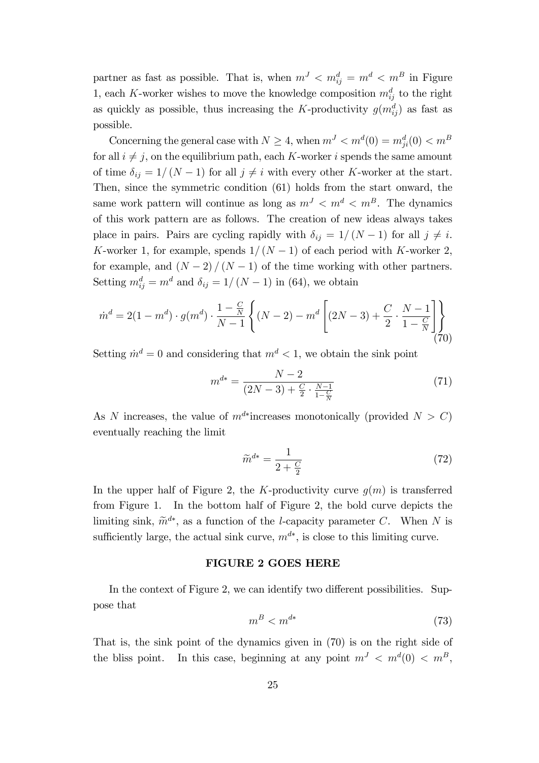partner as fast as possible. That is, when  $m<sup>J</sup> < m<sup>d</sup><sub>ij</sub> = m<sup>d</sup> < m<sup>B</sup>$  in Figure 1, each K-worker wishes to move the knowledge composition  $m_{ij}^d$  to the right as quickly as possible, thus increasing the K-productivity  $g(m_{ij}^d)$  as fast as possible.

Concerning the general case with  $N \geq 4$ , when  $m^{J} < m^{d}(0) = m_{ji}^{d}(0) < m^{B}$ for all  $i \neq j$ , on the equilibrium path, each K-worker i spends the same amount of time  $\delta_{ij} = 1/(N - 1)$  for all  $j \neq i$  with every other K-worker at the start. Then, since the symmetric condition (61) holds from the start onward, the same work pattern will continue as long as  $m^J < m^d < m^B$ . The dynamics of this work pattern are as follows. The creation of new ideas always takes place in pairs. Pairs are cycling rapidly with  $\delta_{ij} = 1/(N - 1)$  for all  $j \neq i$ . K-worker 1, for example, spends  $1/(N - 1)$  of each period with K-worker 2, for example, and  $(N - 2)/(N - 1)$  of the time working with other partners. Setting  $m_{ij}^d = m^d$  and  $\delta_{ij} = 1/(N-1)$  in (64), we obtain

$$
\dot{m}^d = 2(1 - m^d) \cdot g(m^d) \cdot \frac{1 - \frac{C}{N}}{N - 1} \left\{ (N - 2) - m^d \left[ (2N - 3) + \frac{C}{2} \cdot \frac{N - 1}{1 - \frac{C}{N}} \right] \right\}
$$
\n(70)

Setting  $\dot{m}^d = 0$  and considering that  $m^d < 1$ , we obtain the sink point

$$
m^{d*} = \frac{N-2}{(2N-3) + \frac{C}{2} \cdot \frac{N-1}{1-\frac{C}{N}}}
$$
(71)

As N increases, the value of  $m^{d*}$  increases monotonically (provided  $N > C$ ) eventually reaching the limit

$$
\widetilde{m}^{d*} = \frac{1}{2 + \frac{C}{2}}\tag{72}
$$

In the upper half of Figure 2, the K-productivity curve  $q(m)$  is transferred from Figure 1. In the bottom half of Figure 2, the bold curve depicts the limiting sink,  $\widetilde{m}^{d*}$ , as a function of the *l*-capacity parameter C. When N is sufficiently large, the actual sink curve,  $m^{d*}$ , is close to this limiting curve.

#### FIGURE 2 GOES HERE

In the context of Figure 2, we can identify two different possibilities. Suppose that

$$
m^B < m^{d*} \tag{73}
$$

That is, the sink point of the dynamics given in (70) is on the right side of the bliss point. In this case, beginning at any point  $m<sup>J</sup> < m<sup>d</sup>(0) < m<sup>B</sup>$ ,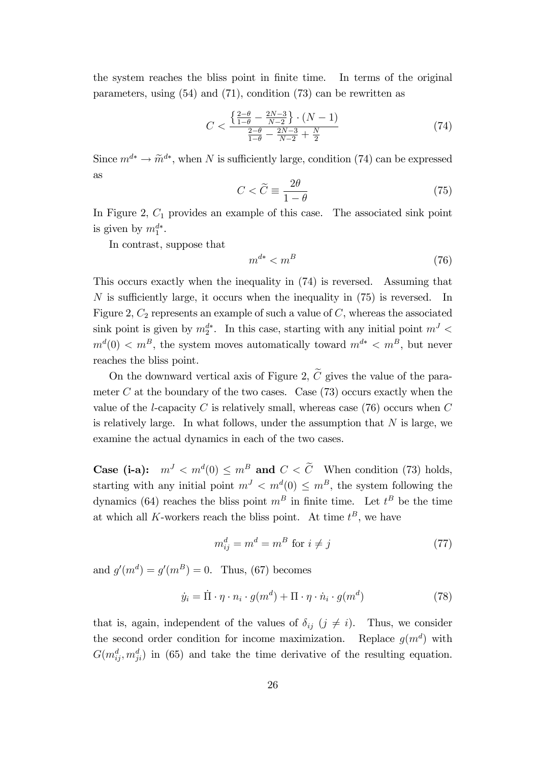the system reaches the bliss point in finite time. In terms of the original parameters, using (54) and (71), condition (73) can be rewritten as

$$
C < \frac{\left\{\frac{2-\theta}{1-\theta} - \frac{2N-3}{N-2}\right\} \cdot (N-1)}{\frac{2-\theta}{1-\theta} - \frac{2N-3}{N-2} + \frac{N}{2}}\tag{74}
$$

Since  $m^{d*} \to \tilde{m}^{d*}$ , when N is sufficiently large, condition (74) can be expressed as

$$
C < \widetilde{C} \equiv \frac{2\theta}{1 - \theta} \tag{75}
$$

In Figure 2,  $C_1$  provides an example of this case. The associated sink point is given by  $m_1^{d*}$ .

In contrast, suppose that

$$
m^{d*} < m^B \tag{76}
$$

This occurs exactly when the inequality in (74) is reversed. Assuming that  $N$  is sufficiently large, it occurs when the inequality in  $(75)$  is reversed. In Figure 2,  $C_2$  represents an example of such a value of  $C$ , whereas the associated sink point is given by  $m_2^{d*}$ . In this case, starting with any initial point  $m<sup>J</sup>$  $m<sup>d</sup>(0) < m<sup>B</sup>$ , the system moves automatically toward  $m<sup>d*</sup> < m<sup>B</sup>$ , but never reaches the bliss point.

On the downward vertical axis of Figure 2,  $\tilde{C}$  gives the value of the parameter C at the boundary of the two cases. Case  $(73)$  occurs exactly when the value of the *l*-capacity C is relatively small, whereas case  $(76)$  occurs when C is relatively large. In what follows, under the assumption that  $N$  is large, we examine the actual dynamics in each of the two cases.

**Case (i-a):**  $m^{J} < m^{d}(0) \le m^{B}$  and  $C < C$  When condition (73) holds, starting with any initial point  $m<sup>J</sup> < m<sup>d</sup>(0) \leq m<sup>B</sup>$ , the system following the dynamics (64) reaches the bliss point  $m^B$  in finite time. Let  $t^B$  be the time at which all K-workers reach the bliss point. At time  $t^B$ , we have

$$
m_{ij}^d = m^d = m^B \text{ for } i \neq j \tag{77}
$$

and  $g'(m^d) = g'(m^B) = 0$ . Thus, (67) becomes

$$
\dot{y}_i = \dot{\Pi} \cdot \eta \cdot n_i \cdot g(m^d) + \Pi \cdot \eta \cdot \dot{n}_i \cdot g(m^d)
$$
\n(78)

that is, again, independent of the values of  $\delta_{ij}$  ( $j \neq i$ ). Thus, we consider the second order condition for income maximization. Replace  $g(m^d)$  with  $G(m_{ij}^d, m_{ji}^d)$  in (65) and take the time derivative of the resulting equation.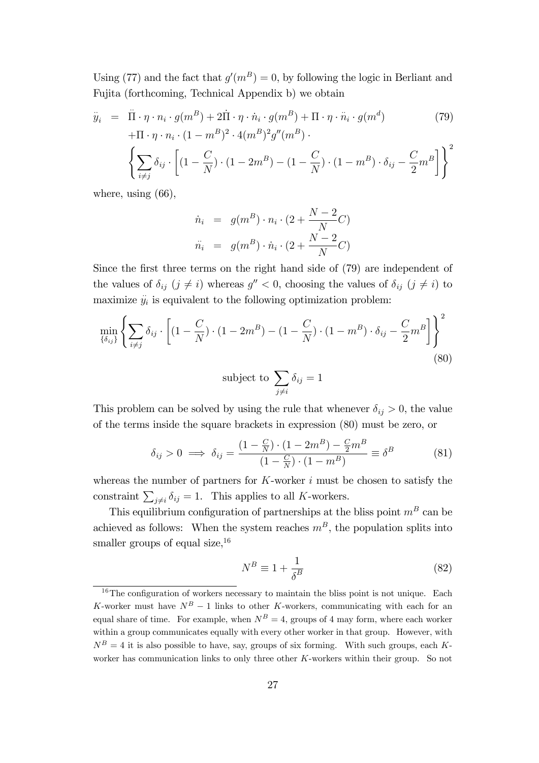Using (77) and the fact that  $g'(m^B) = 0$ , by following the logic in Berliant and Fujita (forthcoming, Technical Appendix b) we obtain

$$
\ddot{y}_i = \ddot{\Pi} \cdot \eta \cdot n_i \cdot g(m^B) + 2\dot{\Pi} \cdot \eta \cdot \dot{n}_i \cdot g(m^B) + \Pi \cdot \eta \cdot \ddot{n}_i \cdot g(m^d) \tag{79}
$$
\n
$$
+ \Pi \cdot \eta \cdot n_i \cdot (1 - m^B)^2 \cdot 4(m^B)^2 g''(m^B) \cdot \left(\sum_{i=1}^n \delta_i \left[ (a_i - \delta_i)^2 g^{(i)}(m^B) + (a_i - \delta_i)^2 g^{(i)}(m^B) + (a_i - \delta_i)^2 g^{(i)}(m^B) \right] \right]^2
$$

$$
\left\{ \sum_{i \neq j} \delta_{ij} \cdot \left[ (1 - \frac{C}{N}) \cdot (1 - 2m^B) - (1 - \frac{C}{N}) \cdot (1 - m^B) \cdot \delta_{ij} - \frac{C}{2} m^B \right] \right\}^2
$$

where, using  $(66)$ .

$$
\dot{n}_i = g(m^B) \cdot n_i \cdot (2 + \frac{N-2}{N}C)
$$
  

$$
\ddot{n}_i = g(m^B) \cdot \dot{n}_i \cdot (2 + \frac{N-2}{N}C)
$$

Since the first three terms on the right hand side of  $(79)$  are independent of the values of  $\delta_{ij}$   $(j \neq i)$  whereas  $g'' < 0$ , choosing the values of  $\delta_{ij}$   $(j \neq i)$  to maximize  $\ddot{y}_i$  is equivalent to the following optimization problem:

$$
\min_{\{\delta_{ij}\}} \left\{ \sum_{i \neq j} \delta_{ij} \cdot \left[ (1 - \frac{C}{N}) \cdot (1 - 2m^B) - (1 - \frac{C}{N}) \cdot (1 - m^B) \cdot \delta_{ij} - \frac{C}{2} m^B \right] \right\}^2
$$
\n(80)

subject to 
$$
\sum_{j \neq i} \delta_{ij} = 1
$$

This problem can be solved by using the rule that whenever  $\delta_{ij} > 0$ , the value of the terms inside the square brackets in expression (80) must be zero, or

$$
\delta_{ij} > 0 \implies \delta_{ij} = \frac{(1 - \frac{C}{N}) \cdot (1 - 2m^B) - \frac{C}{2}m^B}{(1 - \frac{C}{N}) \cdot (1 - m^B)} \equiv \delta^B \tag{81}
$$

whereas the number of partners for  $K$ -worker  $i$  must be chosen to satisfy the constraint  $\sum_{j\neq i} \delta_{ij} = 1$ . This applies to all K-workers.

This equilibrium configuration of partnerships at the bliss point  $m<sup>B</sup>$  can be achieved as follows: When the system reaches  $m<sup>B</sup>$ , the population splits into smaller groups of equal size,  $16$ 

$$
N^B \equiv 1 + \frac{1}{\delta^B} \tag{82}
$$

 $16$ The configuration of workers necessary to maintain the bliss point is not unique. Each K-worker must have  $N^B - 1$  links to other K-workers, communicating with each for an equal share of time. For example, when  $N^B = 4$ , groups of 4 may form, where each worker within a group communicates equally with every other worker in that group. However, with  $N^B = 4$  it is also possible to have, say, groups of six forming. With such groups, each Kworker has communication links to only three other  $K$ -workers within their group. So not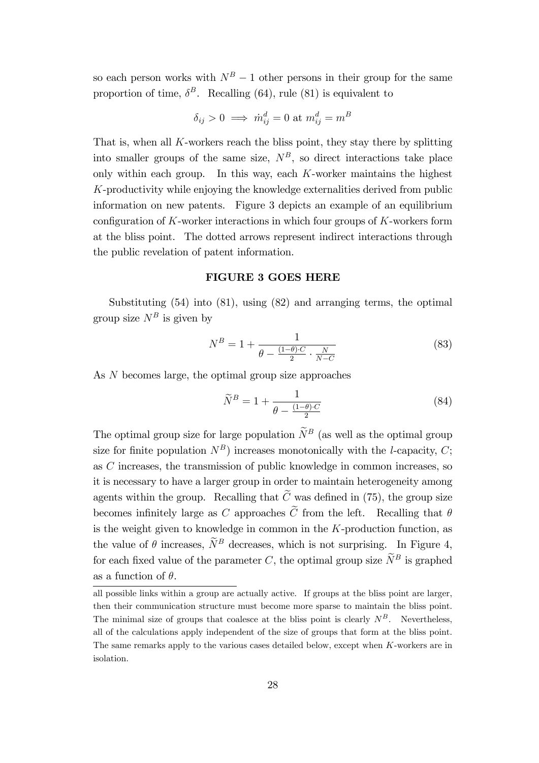so each person works with  $N^B - 1$  other persons in their group for the same proportion of time,  $\delta^B$ . Recalling (64), rule (81) is equivalent to

$$
\delta_{ij} > 0 \implies \dot{m}^d_{ij} = 0 \text{ at } m^d_{ij} = m^B
$$

That is, when all K-workers reach the bliss point, they stay there by splitting into smaller groups of the same size,  $N<sup>B</sup>$ , so direct interactions take place only within each group. In this way, each  $K$ -worker maintains the highest K-productivity while enjoying the knowledge externalities derived from public information on new patents. Figure 3 depicts an example of an equilibrium configuration of  $K$ -worker interactions in which four groups of  $K$ -workers form at the bliss point. The dotted arrows represent indirect interactions through the public revelation of patent information.

#### FIGURE 3 GOES HERE

Substituting (54) into (81), using (82) and arranging terms, the optimal group size  $N^B$  is given by

$$
N^{B} = 1 + \frac{1}{\theta - \frac{(1-\theta) \cdot C}{2} \cdot \frac{N}{N-C}}
$$
(83)

As N becomes large, the optimal group size approaches

$$
\widetilde{N}^B = 1 + \frac{1}{\theta - \frac{(1-\theta)\cdot C}{2}}\tag{84}
$$

The optimal group size for large population  $\widetilde{N}^B$  (as well as the optimal group size for finite population  $N^B$ ) increases monotonically with the *l*-capacity, *C*; as C increases, the transmission of public knowledge in common increases, so it is necessary to have a larger group in order to maintain heterogeneity among agents within the group. Recalling that  $\widetilde{C}$  was defined in (75), the group size becomes infinitely large as C approaches  $\widetilde{C}$  from the left. Recalling that  $\theta$ is the weight given to knowledge in common in the  $K$ -production function, as the value of  $\theta$  increases,  $\widetilde{N}^B$  decreases, which is not surprising. In Figure 4, for each fixed value of the parameter C, the optimal group size  $\widetilde{N}^B$  is graphed as a function of  $\theta$ .

all possible links within a group are actually active. If groups at the bliss point are larger, then their communication structure must become more sparse to maintain the bliss point. The minimal size of groups that coalesce at the bliss point is clearly  $N^B$ . Nevertheless, all of the calculations apply independent of the size of groups that form at the bliss point. The same remarks apply to the various cases detailed below, except when K-workers are in isolation.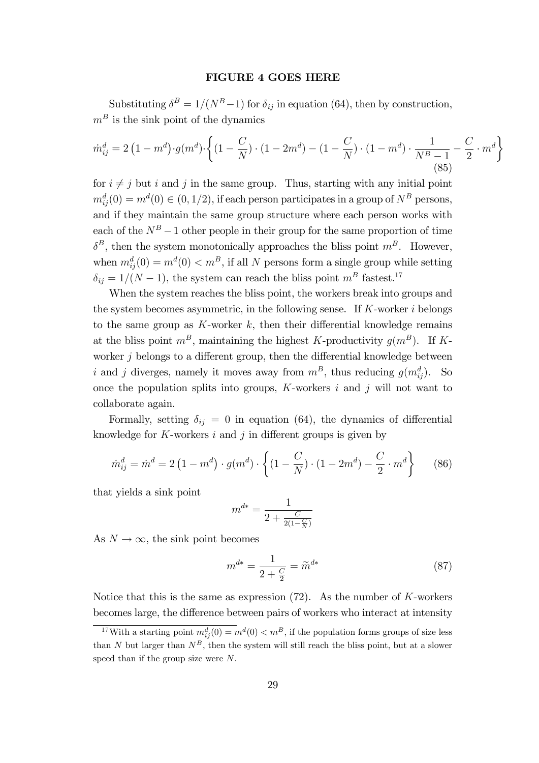#### FIGURE 4 GOES HERE

Substituting  $\delta^B = 1/(N^B-1)$  for  $\delta_{ij}$  in equation (64), then by construction,  $m<sup>B</sup>$  is the sink point of the dynamics

$$
\dot{m}_{ij}^d = 2\left(1 - m^d\right) \cdot g(m^d) \cdot \left\{ \left(1 - \frac{C}{N}\right) \cdot \left(1 - 2m^d\right) - \left(1 - \frac{C}{N}\right) \cdot \left(1 - m^d\right) \cdot \frac{1}{N^B - 1} - \frac{C}{2} \cdot m^d \right\}
$$
\n(85)

for  $i \neq j$  but i and j in the same group. Thus, starting with any initial point  $m_{ij}^d(0) = m^d(0) \in (0, 1/2)$ , if each person participates in a group of  $N^B$  persons, and if they maintain the same group structure where each person works with each of the  $N^B-1$  other people in their group for the same proportion of time  $\delta^B$ , then the system monotonically approaches the bliss point  $m^B$ . However, when  $m_{ij}^d(0) = m^d(0) < m^B$ , if all N persons form a single group while setting  $\delta_{ij} = 1/(N - 1)$ , the system can reach the bliss point  $m<sup>B</sup>$  fastest.<sup>17</sup>

When the system reaches the bliss point, the workers break into groups and the system becomes asymmetric, in the following sense. If  $K$ -worker i belongs to the same group as  $K$ -worker  $k$ , then their differential knowledge remains at the bliss point  $m^B$ , maintaining the highest K-productivity  $g(m^B)$ . If Kworker  $j$  belongs to a different group, then the differential knowledge between i and j diverges, namely it moves away from  $m^B$ , thus reducing  $g(m_{ij}^d)$ . So once the population splits into groups,  $K$ -workers  $i$  and  $j$  will not want to collaborate again.

Formally, setting  $\delta_{ij} = 0$  in equation (64), the dynamics of differential knowledge for  $K$ -workers i and j in different groups is given by

$$
\dot{m}_{ij}^d = \dot{m}^d = 2\left(1 - m^d\right) \cdot g(m^d) \cdot \left\{ \left(1 - \frac{C}{N}\right) \cdot \left(1 - 2m^d\right) - \frac{C}{2} \cdot m^d \right\} \tag{86}
$$

that yields a sink point

$$
m^{d*} = \frac{1}{2 + \frac{C}{2(1 - \frac{C}{N})}}
$$

As  $N \to \infty$ , the sink point becomes

$$
m^{d*} = \frac{1}{2 + \frac{C}{2}} = \widetilde{m}^{d*} \tag{87}
$$

Notice that this is the same as expression  $(72)$ . As the number of K-workers becomes large, the difference between pairs of workers who interact at intensity

<sup>&</sup>lt;sup>17</sup>With a starting point  $m_{ij}^d(0) = m^d(0) < m^B$ , if the population forms groups of size less than N but larger than  $N^B$ , then the system will still reach the bliss point, but at a slower speed than if the group size were N.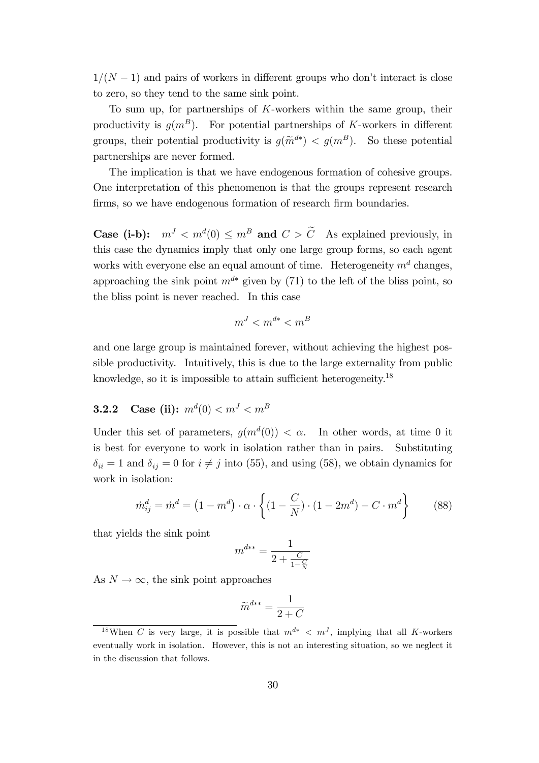$1/(N - 1)$  and pairs of workers in different groups who don't interact is close to zero, so they tend to the same sink point.

To sum up, for partnerships of K-workers within the same group, their productivity is  $g(m^B)$ . For potential partnerships of K-workers in different groups, their potential productivity is  $g(\tilde{m}^{d*}) < g(m^B)$ . So these potential partnerships are never formed.

The implication is that we have endogenous formation of cohesive groups. One interpretation of this phenomenon is that the groups represent research firms, so we have endogenous formation of research firm boundaries.

**Case (i-b):**  $m^{J} < m^{d}(0) \leq m^{B}$  and  $C > C$  As explained previously, in this case the dynamics imply that only one large group forms, so each agent works with everyone else an equal amount of time. Heterogeneity  $m<sup>d</sup>$  changes, approaching the sink point  $m^{d*}$  given by (71) to the left of the bliss point, so the bliss point is never reached. In this case

$$
m^J < m^{d*} < m^B
$$

and one large group is maintained forever, without achieving the highest possible productivity. Intuitively, this is due to the large externality from public knowledge, so it is impossible to attain sufficient heterogeneity.<sup>18</sup>

### $\textbf{3.2.2} \quad \textbf{Case (ii):} \,\, m^d(0) < m^J < m^B$

Under this set of parameters,  $g(m^d(0)) < \alpha$ . In other words, at time 0 it is best for everyone to work in isolation rather than in pairs. Substituting  $\delta_{ii} = 1$  and  $\delta_{ij} = 0$  for  $i \neq j$  into (55), and using (58), we obtain dynamics for work in isolation:

$$
\dot{m}_{ij}^d = \dot{m}^d = (1 - m^d) \cdot \alpha \cdot \left\{ (1 - \frac{C}{N}) \cdot (1 - 2m^d) - C \cdot m^d \right\} \tag{88}
$$

that yields the sink point

$$
m^{d**} = \frac{1}{2 + \frac{C}{1 - \frac{C}{N}}}
$$

As  $N \to \infty$ , the sink point approaches

$$
\widetilde{m}^{d**} = \frac{1}{2+C}
$$

<sup>&</sup>lt;sup>18</sup>When C is very large, it is possible that  $m^{d*} < m^{J}$ , implying that all K-workers eventually work in isolation. However, this is not an interesting situation, so we neglect it in the discussion that follows.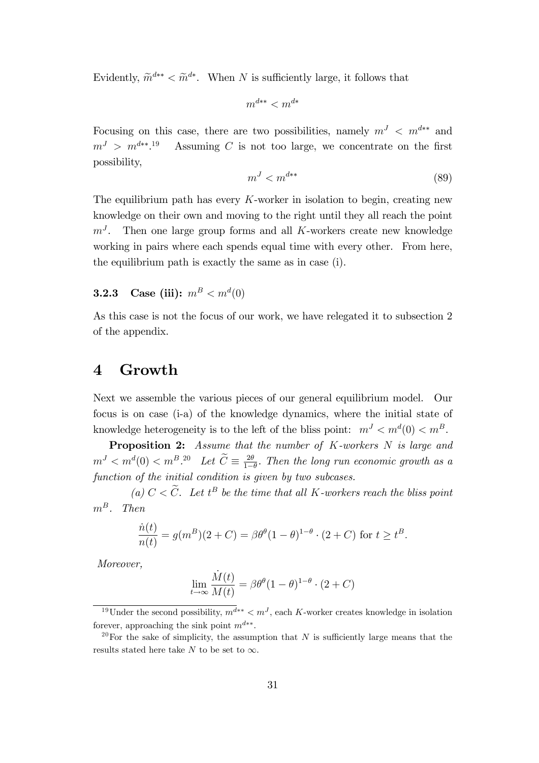Evidently,  $\widetilde{m}^{d**} < \widetilde{m}^{d*}$ . When N is sufficiently large, it follows that

$$
m^{d**} < m^{d*}
$$

Focusing on this case, there are two possibilities, namely  $m<sup>J</sup> < m<sup>d**</sup>$  and  $m^J > m^{d**}.$ Assuming  $C$  is not too large, we concentrate on the first possibility,

$$
m^J < m^{d**} \tag{89}
$$

The equilibrium path has every  $K$ -worker in isolation to begin, creating new knowledge on their own and moving to the right until they all reach the point  $m<sup>J</sup>$ . Then one large group forms and all K-workers create new knowledge working in pairs where each spends equal time with every other. From here, the equilibrium path is exactly the same as in case (i).

### **3.2.3** Case (iii):  $m^B < m^d(0)$

As this case is not the focus of our work, we have relegated it to subsection 2 of the appendix.

### 4 Growth

Next we assemble the various pieces of our general equilibrium model. Our focus is on case (i-a) of the knowledge dynamics, where the initial state of knowledge heterogeneity is to the left of the bliss point:  $m<sup>J</sup> < m<sup>d</sup>(0) < m<sup>B</sup>$ .

Proposition 2: Assume that the number of K-workers N is large and  $m^J < m^d(0) < m^B.20$  Let  $\widetilde{C} \equiv \frac{2\theta}{1-\theta}$  $\frac{2\theta}{1-\theta}$ . Then the long run economic growth as a function of the initial condition is given by two subcases.

(a)  $C < C$ . Let  $t^B$  be the time that all K-workers reach the bliss point  $m^B$ . Then

$$
\frac{\dot{n}(t)}{n(t)} = g(m^B)(2+C) = \beta \theta^{\theta} (1-\theta)^{1-\theta} \cdot (2+C) \text{ for } t \ge t^B.
$$

Moreover,

$$
\lim_{t \to \infty} \frac{\dot{M}(t)}{M(t)} = \beta \theta^{\theta} (1 - \theta)^{1 - \theta} \cdot (2 + C)
$$

<sup>&</sup>lt;sup>19</sup>Under the second possibility,  $m^{d**} < m^{J}$ , each K-worker creates knowledge in isolation forever, approaching the sink point  $m^{d**}$ .

<sup>&</sup>lt;sup>20</sup>For the sake of simplicity, the assumption that N is sufficiently large means that the results stated here take N to be set to  $\infty$ .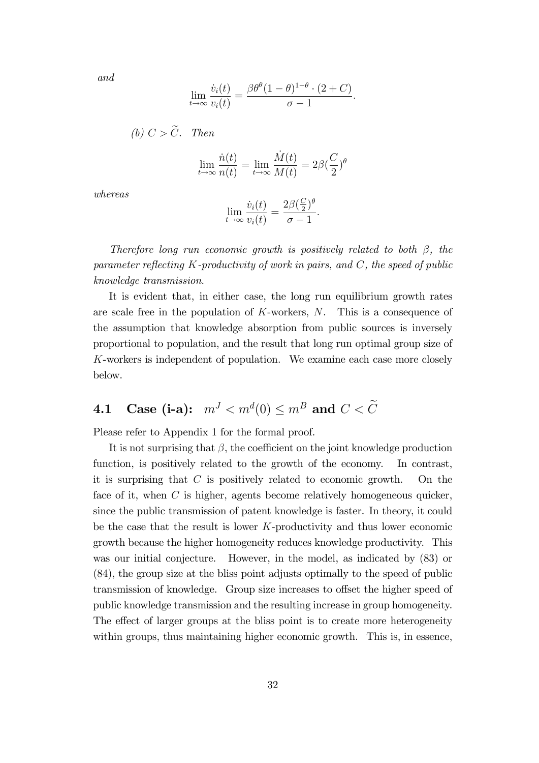and

$$
\lim_{t \to \infty} \frac{\dot{v}_i(t)}{v_i(t)} = \frac{\beta \theta^{\theta} (1 - \theta)^{1 - \theta} \cdot (2 + C)}{\sigma - 1}.
$$

(b) 
$$
C > \widetilde{C}
$$
. Then

$$
\lim_{t \to \infty} \frac{\dot{n}(t)}{n(t)} = \lim_{t \to \infty} \frac{\dot{M}(t)}{M(t)} = 2\beta \left(\frac{C}{2}\right)^{\theta}
$$

whereas

$$
\lim_{t \to \infty} \frac{\dot{v}_i(t)}{v_i(t)} = \frac{2\beta(\frac{C}{2})^{\theta}}{\sigma - 1}.
$$

Therefore long run economic growth is positively related to both  $\beta$ , the parameter reflecting  $K$ -productivity of work in pairs, and  $C$ , the speed of public knowledge transmission.

It is evident that, in either case, the long run equilibrium growth rates are scale free in the population of  $K$ -workers,  $N$ . This is a consequence of the assumption that knowledge absorption from public sources is inversely proportional to population, and the result that long run optimal group size of K-workers is independent of population. We examine each case more closely below.

# 4.1 Case (i-a):  $m^J < m^d(0) \leq m^B$  and  $C < \tilde{C}$

Please refer to Appendix 1 for the formal proof.

It is not surprising that  $\beta$ , the coefficient on the joint knowledge production function, is positively related to the growth of the economy. In contrast, it is surprising that  $C$  is positively related to economic growth. On the face of it, when C is higher, agents become relatively homogeneous quicker, since the public transmission of patent knowledge is faster. In theory, it could be the case that the result is lower  $K$ -productivity and thus lower economic growth because the higher homogeneity reduces knowledge productivity. This was our initial conjecture. However, in the model, as indicated by (83) or (84), the group size at the bliss point adjusts optimally to the speed of public transmission of knowledge. Group size increases to offset the higher speed of public knowledge transmission and the resulting increase in group homogeneity. The effect of larger groups at the bliss point is to create more heterogeneity within groups, thus maintaining higher economic growth. This is, in essence,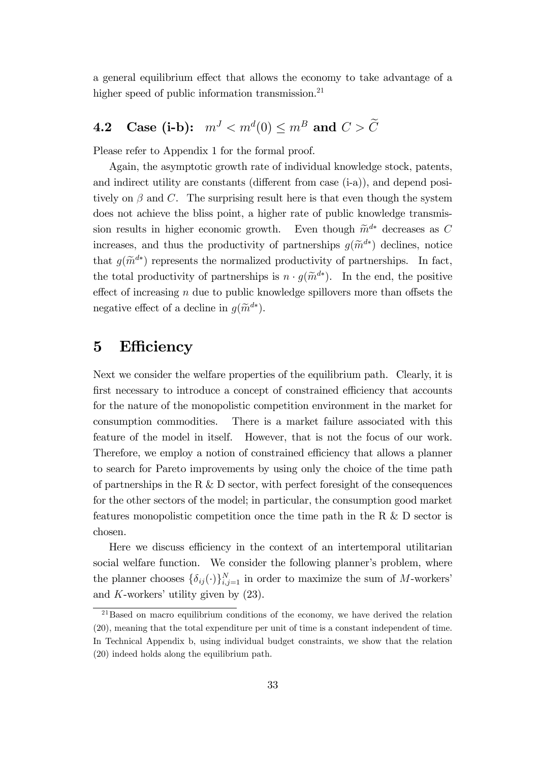a general equilibrium effect that allows the economy to take advantage of a higher speed of public information transmission.<sup>21</sup>

# 4.2 Case (i-b):  $m^J < m^d(0) \leq m^B$  and  $C > \tilde{C}$

Please refer to Appendix 1 for the formal proof.

Again, the asymptotic growth rate of individual knowledge stock, patents, and indirect utility are constants (different from case  $(i-a)$ ), and depend positively on  $\beta$  and C. The surprising result here is that even though the system does not achieve the bliss point, a higher rate of public knowledge transmission results in higher economic growth. Even though  $\widetilde{m}^{d*}$  decreases as C increases, and thus the productivity of partnerships  $g(\tilde{m}^{d*})$  declines, notice that  $g(\tilde{m}^{d*})$  represents the normalized productivity of partnerships. In fact, the total productivity of partnerships is  $n \cdot g(\tilde{m}^{d*})$ . In the end, the positive effect of increasing  $n$  due to public knowledge spillovers more than offsets the negative effect of a decline in  $g(\widetilde{m}^{d*})$ .

### 5 Efficiency

Next we consider the welfare properties of the equilibrium path. Clearly, it is first necessary to introduce a concept of constrained efficiency that accounts for the nature of the monopolistic competition environment in the market for consumption commodities. There is a market failure associated with this feature of the model in itself. However, that is not the focus of our work. Therefore, we employ a notion of constrained efficiency that allows a planner to search for Pareto improvements by using only the choice of the time path of partnerships in the R  $&$  D sector, with perfect foresight of the consequences for the other sectors of the model; in particular, the consumption good market features monopolistic competition once the time path in the R & D sector is chosen.

Here we discuss efficiency in the context of an intertemporal utilitarian social welfare function. We consider the following planner's problem, where the planner chooses  $\{\delta_{ij}(\cdot)\}_{i,j=1}^N$  in order to maximize the sum of M-workers' and  $K$ -workers' utility given by  $(23)$ .

 $21$ Based on macro equilibrium conditions of the economy, we have derived the relation (20), meaning that the total expenditure per unit of time is a constant independent of time. In Technical Appendix b, using individual budget constraints, we show that the relation (20) indeed holds along the equilibrium path.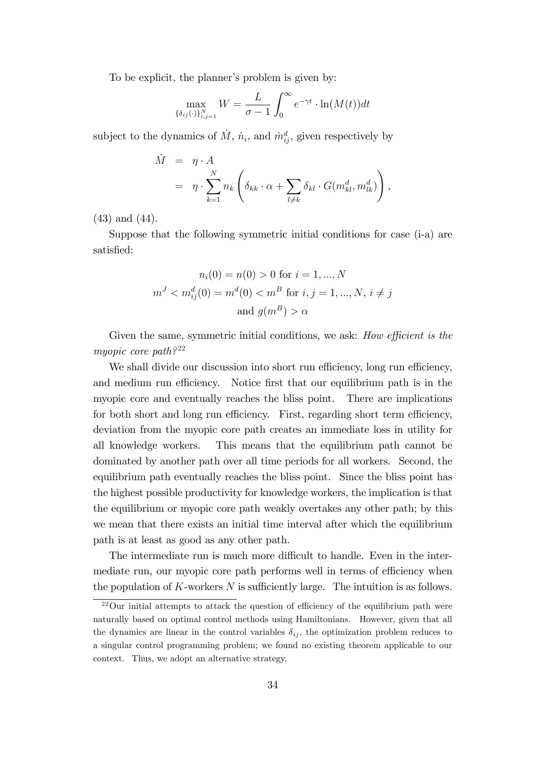To be explicit, the planner's problem is given by:

$$
\max_{\{\delta_{ij}(\cdot)\}_{i,j=1}^N} W = \frac{L}{\sigma - 1} \int_0^\infty e^{-\gamma t} \cdot \ln(M(t)) dt
$$

subject to the dynamics of  $\dot{M}$ ,  $\dot{n}_i$ , and  $\dot{m}_{ij}^d$ , given respectively by

$$
\dot{M} = \eta \cdot A
$$
\n
$$
= \eta \cdot \sum_{k=1}^{N} n_k \left( \delta_{kk} \cdot \alpha + \sum_{l \neq k} \delta_{kl} \cdot G(m_{kl}^d, m_{lk}^d) \right),
$$

(43) and (44).

Suppose that the following symmetric initial conditions for case (i-a) are satisfied:

$$
n_i(0) = n(0) > 0 \text{ for } i = 1, ..., N
$$
  

$$
mJ < m_{ij}^d(0) = md(0) < mB \text{ for } i, j = 1, ..., N, i \neq j
$$
  
and 
$$
g(mB) > \alpha
$$

Given the same, symmetric initial conditions, we ask: How efficient is the myopic core path? $22$ 

We shall divide our discussion into short run efficiency, long run efficiency, and medium run efficiency. Notice first that our equilibrium path is in the myopic core and eventually reaches the bliss point. There are implications for both short and long run efficiency. First, regarding short term efficiency, deviation from the myopic core path creates an immediate loss in utility for all knowledge workers. This means that the equilibrium path cannot be dominated by another path over all time periods for all workers. Second, the equilibrium path eventually reaches the bliss point. Since the bliss point has the highest possible productivity for knowledge workers, the implication is that the equilibrium or myopic core path weakly overtakes any other path; by this we mean that there exists an initial time interval after which the equilibrium path is at least as good as any other path.

The intermediate run is much more difficult to handle. Even in the intermediate run, our myopic core path performs well in terms of efficiency when the population of K-workers  $N$  is sufficiently large. The intuition is as follows.

 $22$ Our initial attempts to attack the question of efficiency of the equilibrium path were naturally based on optimal control methods using Hamiltonians. However, given that all the dynamics are linear in the control variables  $\delta_{ij}$ , the optimization problem reduces to a singular control programming problem; we found no existing theorem applicable to our context. Thus, we adopt an alternative strategy.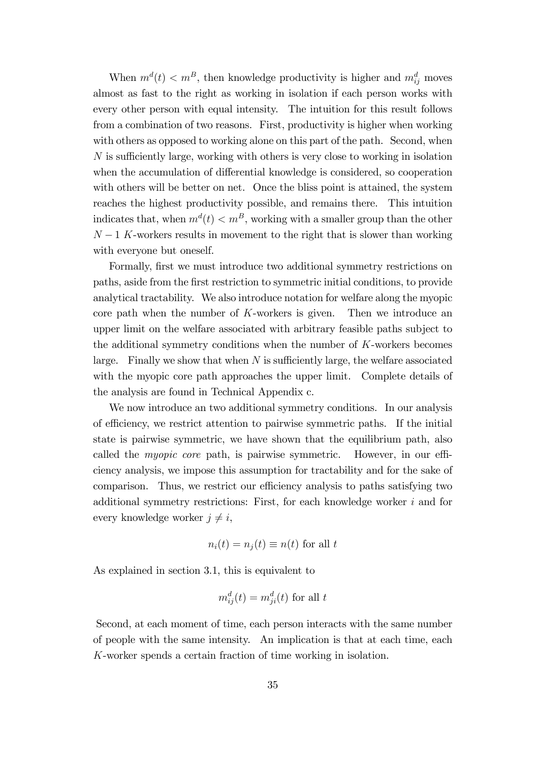When  $m^d(t) < m^B$ , then knowledge productivity is higher and  $m^d_{ij}$  moves almost as fast to the right as working in isolation if each person works with every other person with equal intensity. The intuition for this result follows from a combination of two reasons. First, productivity is higher when working with others as opposed to working alone on this part of the path. Second, when  $N$  is sufficiently large, working with others is very close to working in isolation when the accumulation of differential knowledge is considered, so cooperation with others will be better on net. Once the bliss point is attained, the system reaches the highest productivity possible, and remains there. This intuition indicates that, when  $m^d(t) < m^B$ , working with a smaller group than the other  $N-1$  K-workers results in movement to the right that is slower than working with everyone but oneself.

Formally, first we must introduce two additional symmetry restrictions on paths, aside from the Örst restriction to symmetric initial conditions, to provide analytical tractability. We also introduce notation for welfare along the myopic core path when the number of  $K$ -workers is given. Then we introduce an upper limit on the welfare associated with arbitrary feasible paths subject to the additional symmetry conditions when the number of K-workers becomes large. Finally we show that when  $N$  is sufficiently large, the welfare associated with the myopic core path approaches the upper limit. Complete details of the analysis are found in Technical Appendix c.

We now introduce an two additional symmetry conditions. In our analysis of efficiency, we restrict attention to pairwise symmetric paths. If the initial state is pairwise symmetric, we have shown that the equilibrium path, also called the *myopic core* path, is pairwise symmetric. However, in our efficiency analysis, we impose this assumption for tractability and for the sake of comparison. Thus, we restrict our efficiency analysis to paths satisfying two additional symmetry restrictions: First, for each knowledge worker i and for every knowledge worker  $j \neq i$ ,

$$
n_i(t) = n_j(t) \equiv n(t)
$$
 for all t

As explained in section 3.1, this is equivalent to

$$
m_{ij}^d(t) = m_{ji}^d(t)
$$
 for all t

Second, at each moment of time, each person interacts with the same number of people with the same intensity. An implication is that at each time, each K-worker spends a certain fraction of time working in isolation.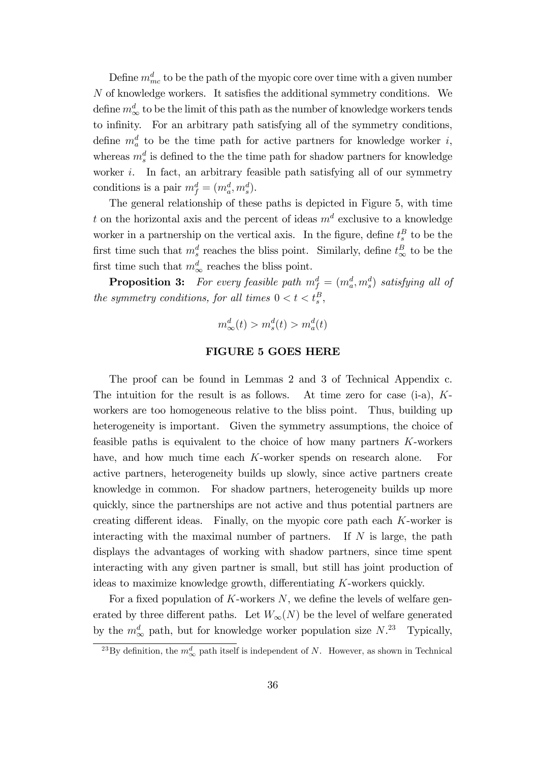Define  $m_{mc}^d$  to be the path of the myopic core over time with a given number  $N$  of knowledge workers. It satisfies the additional symmetry conditions. We define  $m^d_{\infty}$  to be the limit of this path as the number of knowledge workers tends to infinity. For an arbitrary path satisfying all of the symmetry conditions, define  $m_a^d$  to be the time path for active partners for knowledge worker i, whereas  $m_s^d$  is defined to the the time path for shadow partners for knowledge worker  $i$ . In fact, an arbitrary feasible path satisfying all of our symmetry conditions is a pair  $m_f^d = (m_a^d, m_s^d)$ .

The general relationship of these paths is depicted in Figure 5, with time t on the horizontal axis and the percent of ideas  $m<sup>d</sup>$  exclusive to a knowledge worker in a partnership on the vertical axis. In the figure, define  $t_s^B$  to be the first time such that  $m_s^d$  reaches the bliss point. Similarly, define  $t_{\infty}^B$  to be the first time such that  $m^d_{\infty}$  reaches the bliss point.

**Proposition 3:** For every feasible path  $m_f^d = (m_a^d, m_s^d)$  satisfying all of the symmetry conditions, for all times  $0 < t < t_s^B$ ,

$$
m_{\infty}^d(t) > m_s^d(t) > m_a^d(t)
$$

#### FIGURE 5 GOES HERE

The proof can be found in Lemmas 2 and 3 of Technical Appendix c. The intuition for the result is as follows. At time zero for case  $(i-a)$ ,  $K$ workers are too homogeneous relative to the bliss point. Thus, building up heterogeneity is important. Given the symmetry assumptions, the choice of feasible paths is equivalent to the choice of how many partners K-workers have, and how much time each K-worker spends on research alone. For active partners, heterogeneity builds up slowly, since active partners create knowledge in common. For shadow partners, heterogeneity builds up more quickly, since the partnerships are not active and thus potential partners are creating different ideas. Finally, on the myopic core path each  $K$ -worker is interacting with the maximal number of partners. If  $N$  is large, the path displays the advantages of working with shadow partners, since time spent interacting with any given partner is small, but still has joint production of ideas to maximize knowledge growth, differentiating  $K$ -workers quickly.

For a fixed population of K-workers  $N$ , we define the levels of welfare generated by three different paths. Let  $W_{\infty}(N)$  be the level of welfare generated by the  $m^d_{\infty}$  path, but for knowledge worker population size  $N^{23}$  Typically,

<sup>&</sup>lt;sup>23</sup>By definition, the  $m_{\infty}^{d}$  path itself is independent of N. However, as shown in Technical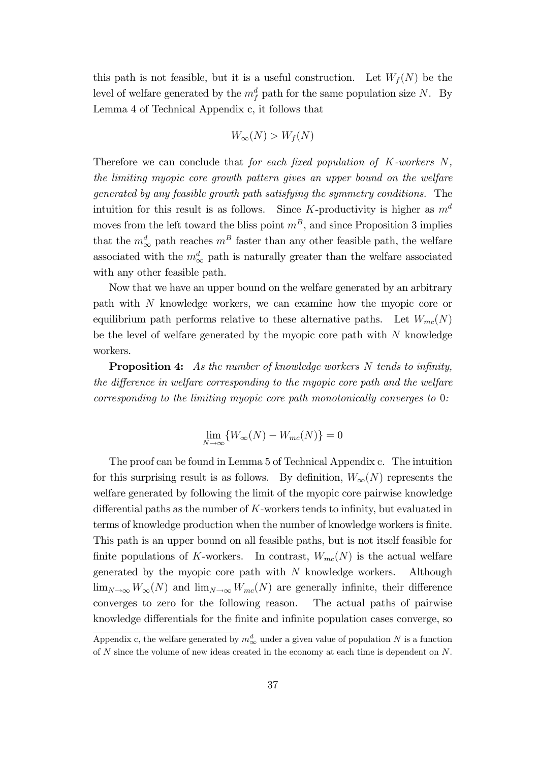this path is not feasible, but it is a useful construction. Let  $W_f(N)$  be the level of welfare generated by the  $m_f^d$  path for the same population size N. By Lemma 4 of Technical Appendix c, it follows that

$$
W_{\infty}(N) > W_f(N)
$$

Therefore we can conclude that for each fixed population of  $K$ -workers  $N$ , the limiting myopic core growth pattern gives an upper bound on the welfare generated by any feasible growth path satisfying the symmetry conditions. The intuition for this result is as follows. Since K-productivity is higher as  $m<sup>d</sup>$ moves from the left toward the bliss point  $m<sup>B</sup>$ , and since Proposition 3 implies that the  $m_{\infty}^{d}$  path reaches  $m^{B}$  faster than any other feasible path, the welfare associated with the  $m^d_{\infty}$  path is naturally greater than the welfare associated with any other feasible path.

Now that we have an upper bound on the welfare generated by an arbitrary path with N knowledge workers, we can examine how the myopic core or equilibrium path performs relative to these alternative paths. Let  $W_{mc}(N)$ be the level of welfare generated by the myopic core path with  $N$  knowledge workers.

**Proposition 4:** As the number of knowledge workers  $N$  tends to infinity, the difference in welfare corresponding to the myopic core path and the welfare corresponding to the limiting myopic core path monotonically converges to 0:

$$
\lim_{N \to \infty} \{ W_{\infty}(N) - W_{mc}(N) \} = 0
$$

The proof can be found in Lemma 5 of Technical Appendix c. The intuition for this surprising result is as follows. By definition,  $W_{\infty}(N)$  represents the welfare generated by following the limit of the myopic core pairwise knowledge differential paths as the number of  $K$ -workers tends to infinity, but evaluated in terms of knowledge production when the number of knowledge workers is finite. This path is an upper bound on all feasible paths, but is not itself feasible for finite populations of K-workers. In contrast,  $W_{mc}(N)$  is the actual welfare generated by the myopic core path with  $N$  knowledge workers. Although  $\lim_{N\to\infty}W_{\infty}(N)$  and  $\lim_{N\to\infty}W_{mc}(N)$  are generally infinite, their difference converges to zero for the following reason. The actual paths of pairwise knowledge differentials for the finite and infinite population cases converge, so

Appendix c, the welfare generated by  $m^d_{\infty}$  under a given value of population N is a function of  $N$  since the volume of new ideas created in the economy at each time is dependent on  $N$ .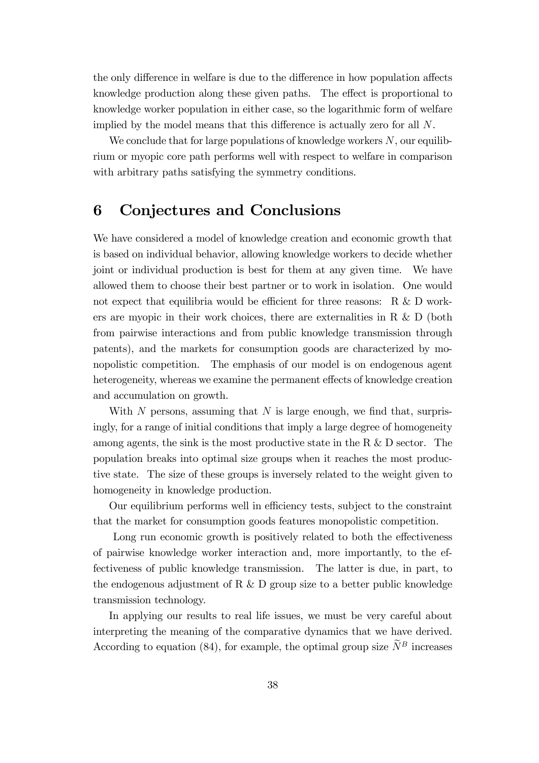the only difference in welfare is due to the difference in how population affects knowledge production along these given paths. The effect is proportional to knowledge worker population in either case, so the logarithmic form of welfare implied by the model means that this difference is actually zero for all  $N$ .

We conclude that for large populations of knowledge workers  $N$ , our equilibrium or myopic core path performs well with respect to welfare in comparison with arbitrary paths satisfying the symmetry conditions.

### 6 Conjectures and Conclusions

We have considered a model of knowledge creation and economic growth that is based on individual behavior, allowing knowledge workers to decide whether joint or individual production is best for them at any given time. We have allowed them to choose their best partner or to work in isolation. One would not expect that equilibria would be efficient for three reasons: R & D workers are myopic in their work choices, there are externalities in R  $\&$  D (both from pairwise interactions and from public knowledge transmission through patents), and the markets for consumption goods are characterized by monopolistic competition. The emphasis of our model is on endogenous agent heterogeneity, whereas we examine the permanent effects of knowledge creation and accumulation on growth.

With  $N$  persons, assuming that  $N$  is large enough, we find that, surprisingly, for a range of initial conditions that imply a large degree of homogeneity among agents, the sink is the most productive state in the R  $\&$  D sector. The population breaks into optimal size groups when it reaches the most productive state. The size of these groups is inversely related to the weight given to homogeneity in knowledge production.

Our equilibrium performs well in efficiency tests, subject to the constraint that the market for consumption goods features monopolistic competition.

Long run economic growth is positively related to both the effectiveness of pairwise knowledge worker interaction and, more importantly, to the effectiveness of public knowledge transmission. The latter is due, in part, to the endogenous adjustment of R  $\&$  D group size to a better public knowledge transmission technology.

In applying our results to real life issues, we must be very careful about interpreting the meaning of the comparative dynamics that we have derived. According to equation (84), for example, the optimal group size  $\widetilde{N}^B$  increases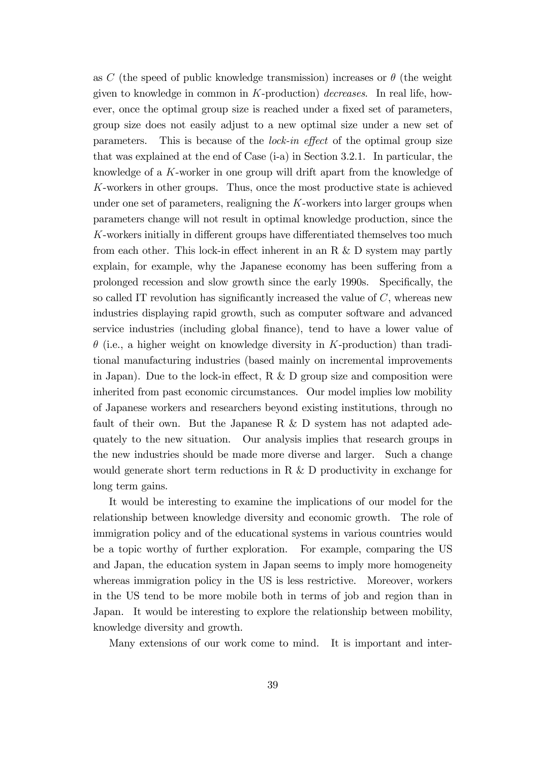as C (the speed of public knowledge transmission) increases or  $\theta$  (the weight given to knowledge in common in  $K$ -production) *decreases*. In real life, however, once the optimal group size is reached under a fixed set of parameters, group size does not easily adjust to a new optimal size under a new set of parameters. This is because of the *lock-in effect* of the optimal group size that was explained at the end of Case (i-a) in Section 3.2.1. In particular, the knowledge of a K-worker in one group will drift apart from the knowledge of K-workers in other groups. Thus, once the most productive state is achieved under one set of parameters, realigning the  $K$ -workers into larger groups when parameters change will not result in optimal knowledge production, since the  $K$ -workers initially in different groups have differentiated themselves too much from each other. This lock-in effect inherent in an R  $\&$  D system may partly explain, for example, why the Japanese economy has been suffering from a prolonged recession and slow growth since the early 1990s. Specifically, the so called IT revolution has significantly increased the value of  $C$ , whereas new industries displaying rapid growth, such as computer software and advanced service industries (including global finance), tend to have a lower value of  $\theta$  (i.e., a higher weight on knowledge diversity in K-production) than traditional manufacturing industries (based mainly on incremental improvements in Japan). Due to the lock-in effect, R  $\&$  D group size and composition were inherited from past economic circumstances. Our model implies low mobility of Japanese workers and researchers beyond existing institutions, through no fault of their own. But the Japanese R  $\&$  D system has not adapted adequately to the new situation. Our analysis implies that research groups in the new industries should be made more diverse and larger. Such a change would generate short term reductions in R & D productivity in exchange for long term gains.

It would be interesting to examine the implications of our model for the relationship between knowledge diversity and economic growth. The role of immigration policy and of the educational systems in various countries would be a topic worthy of further exploration. For example, comparing the US and Japan, the education system in Japan seems to imply more homogeneity whereas immigration policy in the US is less restrictive. Moreover, workers in the US tend to be more mobile both in terms of job and region than in Japan. It would be interesting to explore the relationship between mobility, knowledge diversity and growth.

Many extensions of our work come to mind. It is important and inter-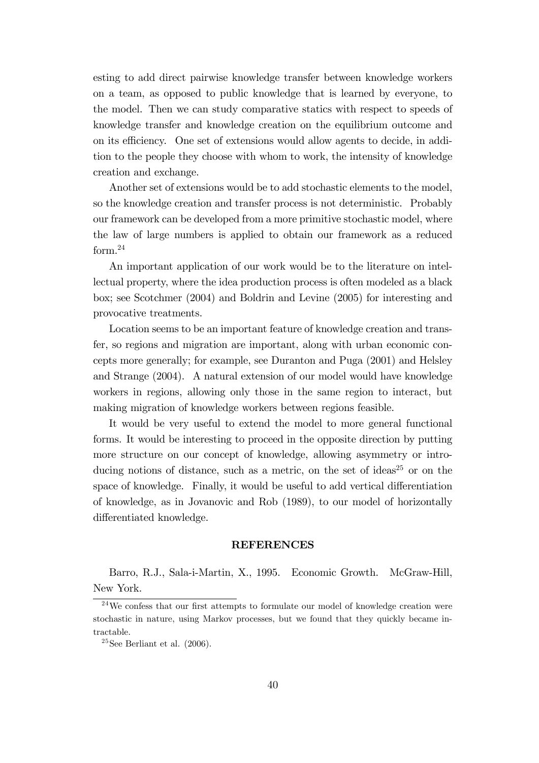esting to add direct pairwise knowledge transfer between knowledge workers on a team, as opposed to public knowledge that is learned by everyone, to the model. Then we can study comparative statics with respect to speeds of knowledge transfer and knowledge creation on the equilibrium outcome and on its efficiency. One set of extensions would allow agents to decide, in addition to the people they choose with whom to work, the intensity of knowledge creation and exchange.

Another set of extensions would be to add stochastic elements to the model, so the knowledge creation and transfer process is not deterministic. Probably our framework can be developed from a more primitive stochastic model, where the law of large numbers is applied to obtain our framework as a reduced form.<sup>24</sup>

An important application of our work would be to the literature on intellectual property, where the idea production process is often modeled as a black box; see Scotchmer (2004) and Boldrin and Levine (2005) for interesting and provocative treatments.

Location seems to be an important feature of knowledge creation and transfer, so regions and migration are important, along with urban economic concepts more generally; for example, see Duranton and Puga (2001) and Helsley and Strange (2004). A natural extension of our model would have knowledge workers in regions, allowing only those in the same region to interact, but making migration of knowledge workers between regions feasible.

It would be very useful to extend the model to more general functional forms. It would be interesting to proceed in the opposite direction by putting more structure on our concept of knowledge, allowing asymmetry or introducing notions of distance, such as a metric, on the set of ideas<sup>25</sup> or on the space of knowledge. Finally, it would be useful to add vertical differentiation of knowledge, as in Jovanovic and Rob (1989), to our model of horizontally differentiated knowledge.

#### **REFERENCES**

Barro, R.J., Sala-i-Martin, X., 1995. Economic Growth. McGraw-Hill, New York.

 $24$ We confess that our first attempts to formulate our model of knowledge creation were stochastic in nature, using Markov processes, but we found that they quickly became intractable.

<sup>&</sup>lt;sup>25</sup>See Berliant et al.  $(2006)$ .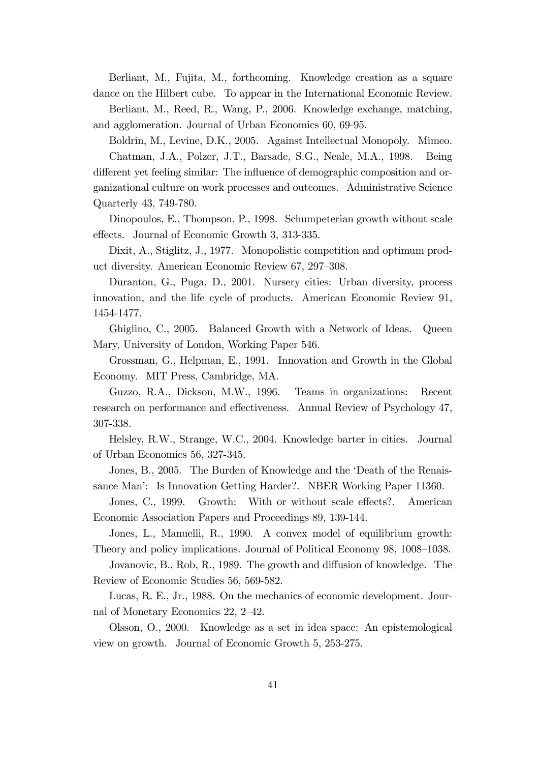Berliant, M., Fujita, M., forthcoming. Knowledge creation as a square dance on the Hilbert cube. To appear in the International Economic Review.

Berliant, M., Reed, R., Wang, P., 2006. Knowledge exchange, matching, and agglomeration. Journal of Urban Economics 60, 69-95.

Boldrin, M., Levine, D.K., 2005. Against Intellectual Monopoly. Mimeo. Chatman, J.A., Polzer, J.T., Barsade, S.G., Neale, M.A., 1998. Being different yet feeling similar: The influence of demographic composition and organizational culture on work processes and outcomes. Administrative Science Quarterly 43, 749-780.

Dinopoulos, E., Thompson, P., 1998. Schumpeterian growth without scale effects. Journal of Economic Growth 3, 313-335.

Dixit, A., Stiglitz, J., 1977. Monopolistic competition and optimum product diversity. American Economic Review 67, 297–308.

Duranton, G., Puga, D., 2001. Nursery cities: Urban diversity, process innovation, and the life cycle of products. American Economic Review 91, 1454-1477.

Ghiglino, C., 2005. Balanced Growth with a Network of Ideas. Queen Mary, University of London, Working Paper 546.

Grossman, G., Helpman, E., 1991. Innovation and Growth in the Global Economy. MIT Press, Cambridge, MA.

Guzzo, R.A., Dickson, M.W., 1996. Teams in organizations: Recent research on performance and effectiveness. Annual Review of Psychology 47, 307-338.

Helsley, R.W., Strange, W.C., 2004. Knowledge barter in cities. Journal of Urban Economics 56, 327-345.

Jones, B., 2005. The Burden of Knowledge and the 'Death of the Renaissance Maní: Is Innovation Getting Harder?. NBER Working Paper 11360.

Jones, C., 1999. Growth: With or without scale effects?. American Economic Association Papers and Proceedings 89, 139-144.

Jones, L., Manuelli, R., 1990. A convex model of equilibrium growth: Theory and policy implications. Journal of Political Economy 98, 1008–1038.

Jovanovic, B., Rob, R., 1989. The growth and diffusion of knowledge. The Review of Economic Studies 56, 569-582.

Lucas, R. E., Jr., 1988. On the mechanics of economic development. Journal of Monetary Economics 22, 2-42.

Olsson, O., 2000. Knowledge as a set in idea space: An epistemological view on growth. Journal of Economic Growth 5, 253-275.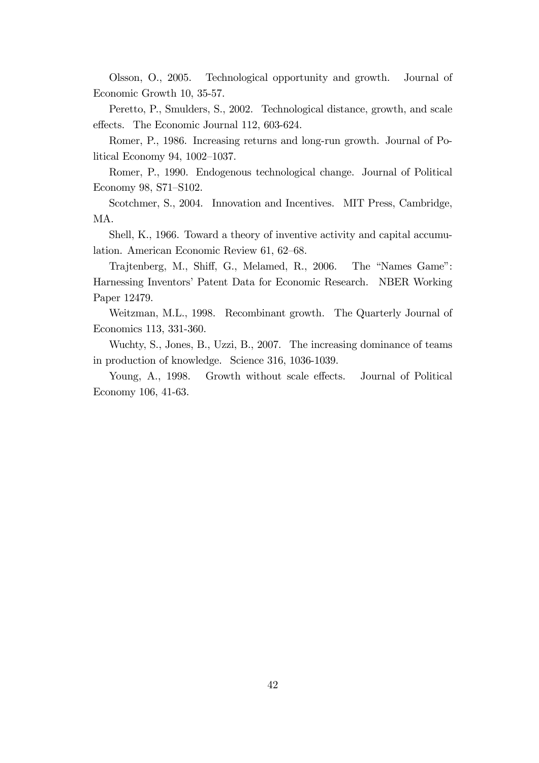Olsson, O., 2005. Technological opportunity and growth. Journal of Economic Growth 10, 35-57.

Peretto, P., Smulders, S., 2002. Technological distance, growth, and scale effects. The Economic Journal 112, 603-624.

Romer, P., 1986. Increasing returns and long-run growth. Journal of Political Economy 94,  $1002-1037$ .

Romer, P., 1990. Endogenous technological change. Journal of Political Economy 98, S71-S102.

Scotchmer, S., 2004. Innovation and Incentives. MIT Press, Cambridge, MA.

Shell, K., 1966. Toward a theory of inventive activity and capital accumulation. American Economic Review 61, 62–68.

Trajtenberg, M., Shiff, G., Melamed, R., 2006. The "Names Game": Harnessing Inventorsí Patent Data for Economic Research. NBER Working Paper 12479.

Weitzman, M.L., 1998. Recombinant growth. The Quarterly Journal of Economics 113, 331-360.

Wuchty, S., Jones, B., Uzzi, B., 2007. The increasing dominance of teams in production of knowledge. Science 316, 1036-1039.

Young, A., 1998. Growth without scale effects. Journal of Political Economy 106, 41-63.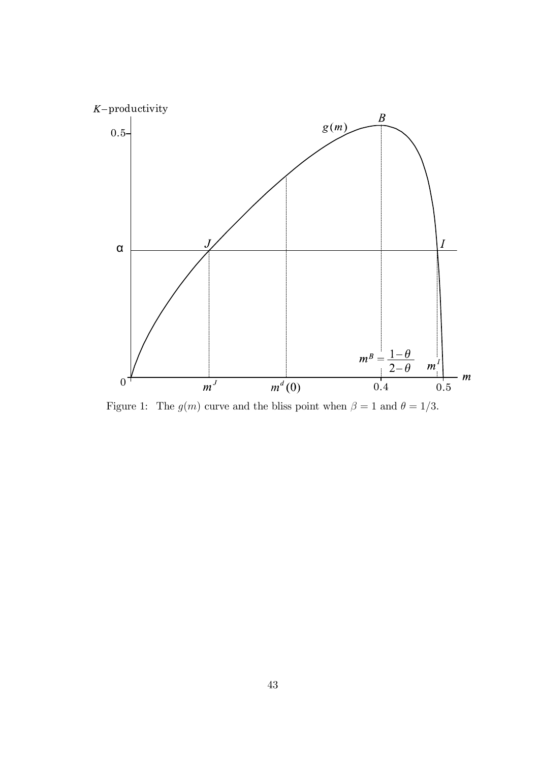

Figure 1: The  $g(m)$  curve and the bliss point when  $\beta = 1$  and  $\theta = 1/3$ .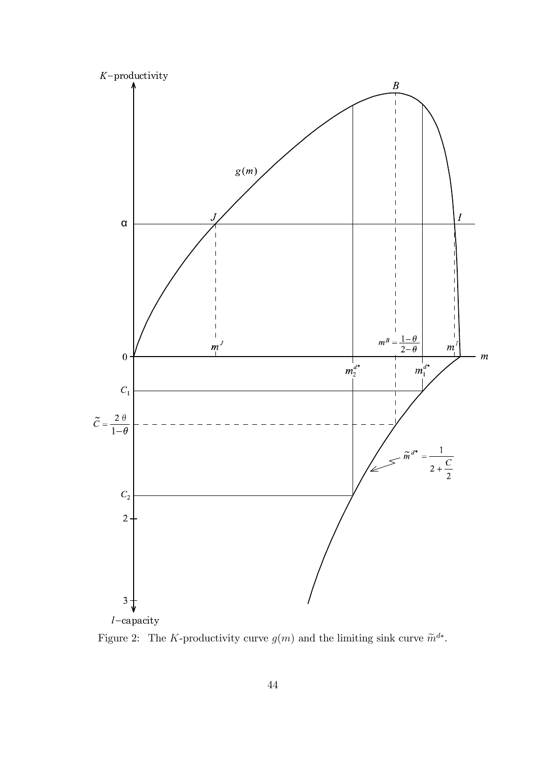

 $l$ -capacity

Figure 2: The K-productivity curve  $g(m)$  and the limiting sink curve  $\widetilde{m}^{d*}$ .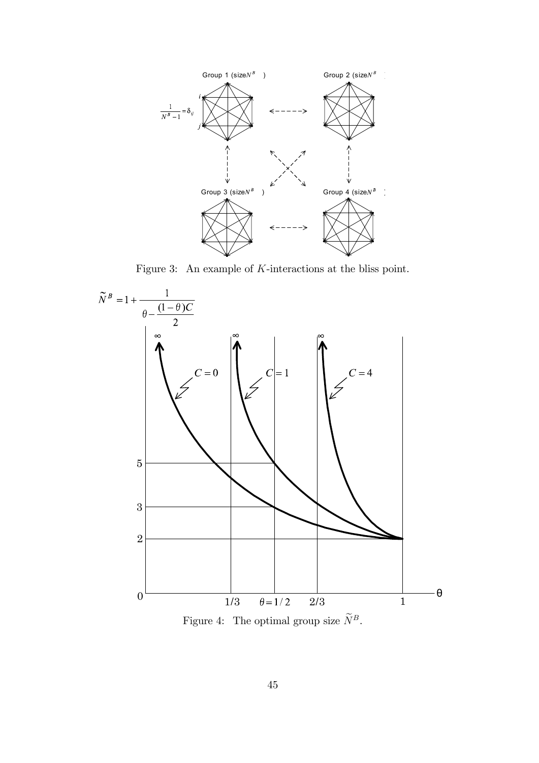

Figure 3: An example of K-interactions at the bliss point.



Figure 4: The optimal group size  $\widetilde{N}^B.$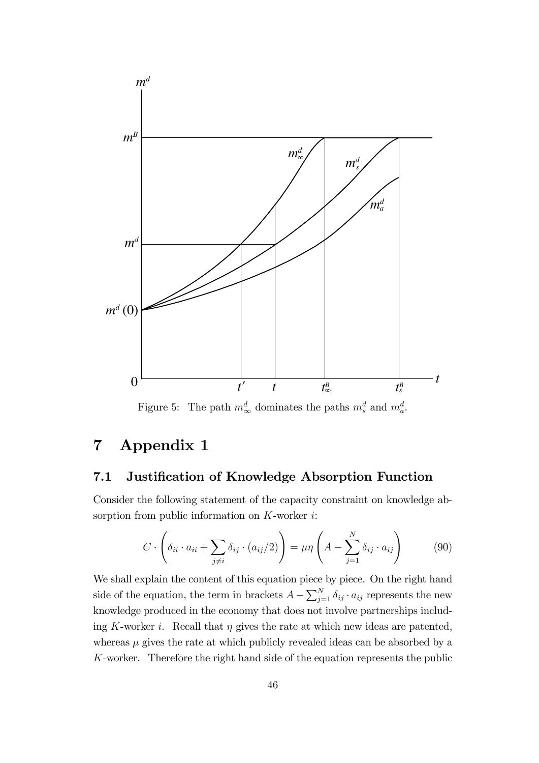

Figure 5: The path  $m_{\infty}^d$  dominates the paths  $m_s^d$  and  $m_a^d$ .

# 7 Appendix 1

### 7.1 Justification of Knowledge Absorption Function

Consider the following statement of the capacity constraint on knowledge absorption from public information on  $K$ -worker  $i$ :

$$
C \cdot \left( \delta_{ii} \cdot a_{ii} + \sum_{j \neq i} \delta_{ij} \cdot (a_{ij}/2) \right) = \mu \eta \left( A - \sum_{j=1}^{N} \delta_{ij} \cdot a_{ij} \right) \tag{90}
$$

We shall explain the content of this equation piece by piece. On the right hand side of the equation, the term in brackets  $A - \sum_{j=1}^{N} \delta_{ij} \cdot a_{ij}$  represents the new knowledge produced in the economy that does not involve partnerships including K-worker i. Recall that  $\eta$  gives the rate at which new ideas are patented, whereas  $\mu$  gives the rate at which publicly revealed ideas can be absorbed by a K-worker. Therefore the right hand side of the equation represents the public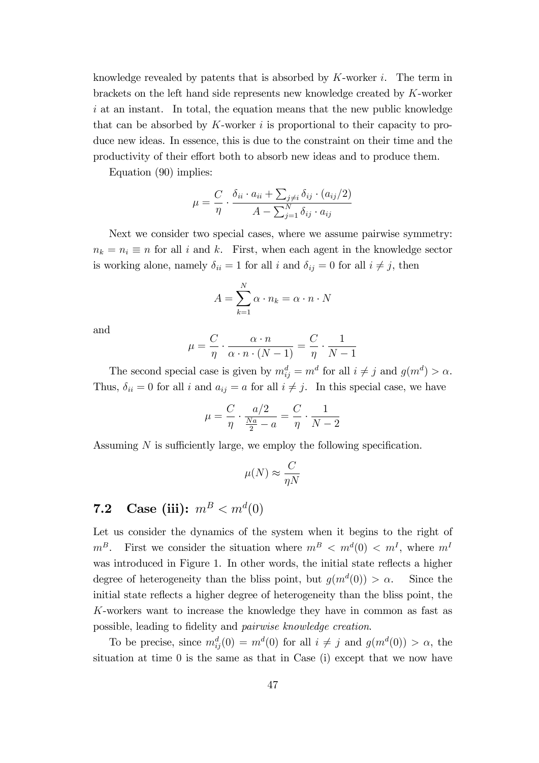knowledge revealed by patents that is absorbed by  $K$ -worker  $i$ . The term in brackets on the left hand side represents new knowledge created by K-worker  $i$  at an instant. In total, the equation means that the new public knowledge that can be absorbed by  $K$ -worker  $i$  is proportional to their capacity to produce new ideas. In essence, this is due to the constraint on their time and the productivity of their effort both to absorb new ideas and to produce them.

Equation (90) implies:

$$
\mu = \frac{C}{\eta} \cdot \frac{\delta_{ii} \cdot a_{ii} + \sum_{j \neq i} \delta_{ij} \cdot (a_{ij}/2)}{A - \sum_{j=1}^{N} \delta_{ij} \cdot a_{ij}}
$$

Next we consider two special cases, where we assume pairwise symmetry:  $n_k = n_i \equiv n$  for all i and k. First, when each agent in the knowledge sector is working alone, namely  $\delta_{ii} = 1$  for all i and  $\delta_{ij} = 0$  for all  $i \neq j$ , then

$$
A = \sum_{k=1}^{N} \alpha \cdot n_k = \alpha \cdot n \cdot N
$$

and

$$
\mu = \frac{C}{\eta} \cdot \frac{\alpha \cdot n}{\alpha \cdot n \cdot (N-1)} = \frac{C}{\eta} \cdot \frac{1}{N-1}
$$

The second special case is given by  $m_{ij}^d = m^d$  for all  $i \neq j$  and  $g(m^d) > \alpha$ . Thus,  $\delta_{ii} = 0$  for all i and  $a_{ij} = a$  for all  $i \neq j$ . In this special case, we have

$$
\mu = \frac{C}{\eta} \cdot \frac{a/2}{\frac{Na}{2} - a} = \frac{C}{\eta} \cdot \frac{1}{N - 2}
$$

Assuming  $N$  is sufficiently large, we employ the following specification.

$$
\mu(N) \approx \frac{C}{\eta N}
$$

### **7.2** Case (iii):  $m^B < m^d(0)$

Let us consider the dynamics of the system when it begins to the right of  $m^B$ . First we consider the situation where  $m^B < m^d(0) < m^I$ , where  $m^I$ was introduced in Figure 1. In other words, the initial state reflects a higher degree of heterogeneity than the bliss point, but  $g(m^d(0)) > \alpha$ . Since the initial state reflects a higher degree of heterogeneity than the bliss point, the K-workers want to increase the knowledge they have in common as fast as possible, leading to fidelity and *pairwise knowledge creation*.

To be precise, since  $m_{ij}^d(0) = m^d(0)$  for all  $i \neq j$  and  $g(m^d(0)) > \alpha$ , the situation at time 0 is the same as that in Case (i) except that we now have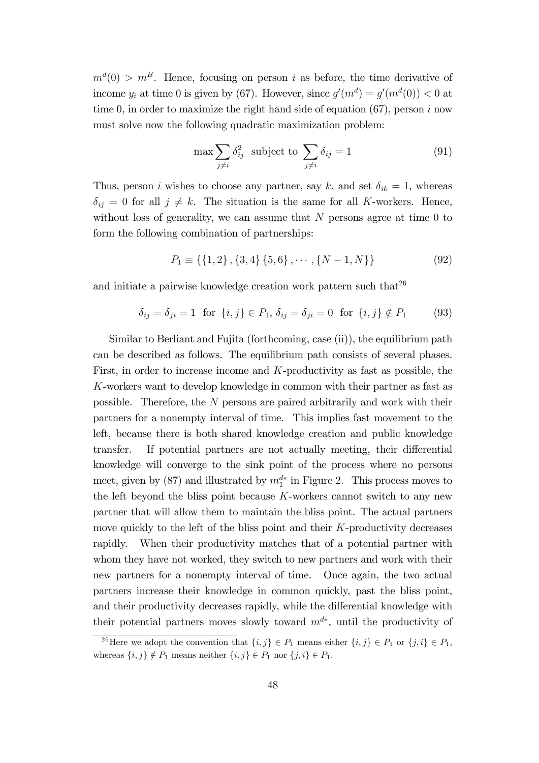$m<sup>d</sup>(0) > m<sup>B</sup>$ . Hence, focusing on person *i* as before, the time derivative of income  $y_i$  at time 0 is given by (67). However, since  $g'(m^d) = g'(m^d(0)) < 0$  at time 0, in order to maximize the right hand side of equation  $(67)$ , person i now must solve now the following quadratic maximization problem:

$$
\max \sum_{j \neq i} \delta_{ij}^2 \text{ subject to } \sum_{j \neq i} \delta_{ij} = 1 \tag{91}
$$

Thus, person *i* wishes to choose any partner, say k, and set  $\delta_{ik} = 1$ , whereas  $\delta_{ij} = 0$  for all  $j \neq k$ . The situation is the same for all K-workers. Hence, without loss of generality, we can assume that  $N$  persons agree at time  $0$  to form the following combination of partnerships:

$$
P_1 \equiv \{ \{1, 2\}, \{3, 4\}, \{5, 6\}, \cdots, \{N - 1, N\} \} \tag{92}
$$

and initiate a pairwise knowledge creation work pattern such that  $26$ 

$$
\delta_{ij} = \delta_{ji} = 1
$$
 for  $\{i, j\} \in P_1$ ,  $\delta_{ij} = \delta_{ji} = 0$  for  $\{i, j\} \notin P_1$  (93)

Similar to Berliant and Fujita (forthcoming, case (ii)), the equilibrium path can be described as follows. The equilibrium path consists of several phases. First, in order to increase income and  $K$ -productivity as fast as possible, the K-workers want to develop knowledge in common with their partner as fast as possible. Therefore, the N persons are paired arbitrarily and work with their partners for a nonempty interval of time. This implies fast movement to the left, because there is both shared knowledge creation and public knowledge transfer. If potential partners are not actually meeting, their differential knowledge will converge to the sink point of the process where no persons meet, given by (87) and illustrated by  $m_1^{d*}$  in Figure 2. This process moves to the left beyond the bliss point because  $K$ -workers cannot switch to any new partner that will allow them to maintain the bliss point. The actual partners move quickly to the left of the bliss point and their K-productivity decreases rapidly. When their productivity matches that of a potential partner with whom they have not worked, they switch to new partners and work with their new partners for a nonempty interval of time. Once again, the two actual partners increase their knowledge in common quickly, past the bliss point, and their productivity decreases rapidly, while the differential knowledge with their potential partners moves slowly toward  $m^{d*}$ , until the productivity of

<sup>&</sup>lt;sup>26</sup>Here we adopt the convention that  $\{i, j\} \in P_1$  means either  $\{i, j\} \in P_1$  or  $\{j, i\} \in P_1$ , whereas  $\{i, j\} \notin P_1$  means neither  $\{i, j\} \in P_1$  nor  $\{j, i\} \in P_1$ .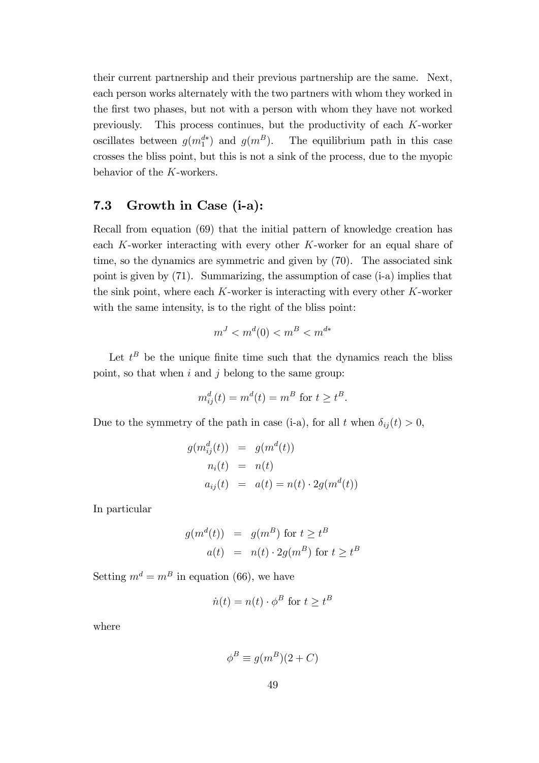their current partnership and their previous partnership are the same. Next, each person works alternately with the two partners with whom they worked in the first two phases, but not with a person with whom they have not worked previously. This process continues, but the productivity of each K-worker oscillates between  $g(m_1^{d*})$ The equilibrium path in this case crosses the bliss point, but this is not a sink of the process, due to the myopic behavior of the K-workers.

### 7.3 Growth in Case (i-a):

Recall from equation (69) that the initial pattern of knowledge creation has each K-worker interacting with every other K-worker for an equal share of time, so the dynamics are symmetric and given by (70). The associated sink point is given by (71). Summarizing, the assumption of case (i-a) implies that the sink point, where each  $K$ -worker is interacting with every other  $K$ -worker with the same intensity, is to the right of the bliss point:

$$
m^J < m^d(0) < m^B < m^{d*}
$$

Let  $t^B$  be the unique finite time such that the dynamics reach the bliss point, so that when  $i$  and  $j$  belong to the same group:

$$
m_{ij}^d(t) = m^d(t) = m^B \text{ for } t \ge t^B.
$$

Due to the symmetry of the path in case (i-a), for all t when  $\delta_{ij} (t) > 0$ ,

$$
g(m_{ij}^d(t)) = g(m^d(t))
$$
  
\n
$$
n_i(t) = n(t)
$$
  
\n
$$
a_{ij}(t) = a(t) = n(t) \cdot 2g(m^d(t))
$$

In particular

$$
g(md(t)) = g(mB) \text{ for } t \ge tB
$$
  

$$
a(t) = n(t) \cdot 2g(mB) \text{ for } t \ge tB
$$

Setting  $m^d = m^B$  in equation (66), we have

$$
\dot{n}(t) = n(t) \cdot \phi^B \text{ for } t \ge t^B
$$

where

$$
\phi^B \equiv g(m^B)(2+C)
$$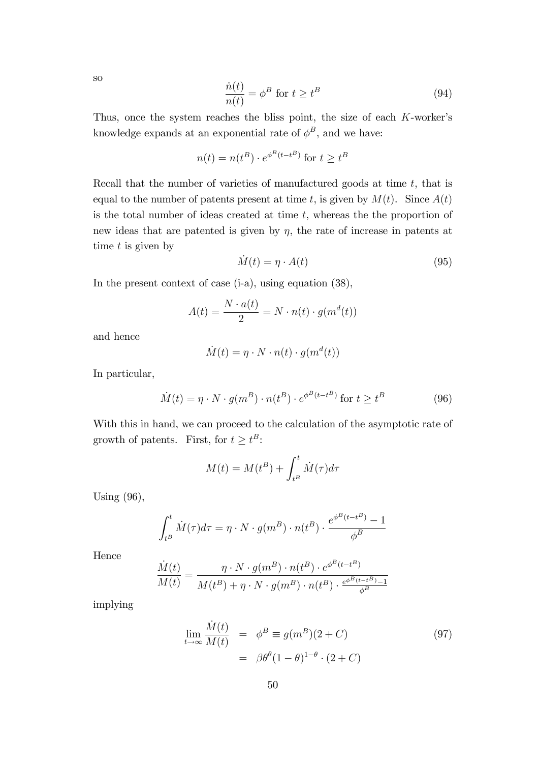so

$$
\frac{\dot{n}(t)}{n(t)} = \phi^B \text{ for } t \ge t^B \tag{94}
$$

Thus, once the system reaches the bliss point, the size of each  $K$ -worker's knowledge expands at an exponential rate of  $\phi^B$ , and we have:

$$
n(t) = n(t^{B}) \cdot e^{\phi^{B}(t - t^{B})} \text{ for } t \geq t^{B}
$$

Recall that the number of varieties of manufactured goods at time  $t$ , that is equal to the number of patents present at time t, is given by  $M(t)$ . Since  $A(t)$ is the total number of ideas created at time  $t$ , whereas the the proportion of new ideas that are patented is given by  $\eta$ , the rate of increase in patents at time  $t$  is given by

$$
\dot{M}(t) = \eta \cdot A(t) \tag{95}
$$

In the present context of case (i-a), using equation (38),

$$
A(t) = \frac{N \cdot a(t)}{2} = N \cdot n(t) \cdot g(m^d(t))
$$

and hence

$$
\dot{M}(t) = \eta \cdot N \cdot n(t) \cdot g(m^d(t))
$$

In particular,

$$
\dot{M}(t) = \eta \cdot N \cdot g(m^B) \cdot n(t^B) \cdot e^{\phi^B(t - t^B)} \text{ for } t \ge t^B
$$
\n(96)

With this in hand, we can proceed to the calculation of the asymptotic rate of growth of patents. First, for  $t \geq t^B$ :

$$
M(t) = M(t^B) + \int_{t^B}^t \dot{M}(\tau) d\tau
$$

Using (96),

$$
\int_{t^B}^t \dot{M}(\tau) d\tau = \eta \cdot N \cdot g(m^B) \cdot n(t^B) \cdot \frac{e^{\phi^B(t - t^B)} - 1}{\phi^B}
$$

Hence

$$
\frac{\dot{M}(t)}{M(t)} = \frac{\eta \cdot N \cdot g(m^B) \cdot n(t^B) \cdot e^{\phi^B(t - t^B)}}{M(t^B) + \eta \cdot N \cdot g(m^B) \cdot n(t^B) \cdot \frac{e^{\phi^B(t - t^B)} - 1}{\phi^B}}
$$

implying

$$
\lim_{t \to \infty} \frac{\dot{M}(t)}{M(t)} = \phi^B \equiv g(m^B)(2+C)
$$
\n
$$
= \beta \theta^{\theta} (1 - \theta)^{1-\theta} \cdot (2+C)
$$
\n(97)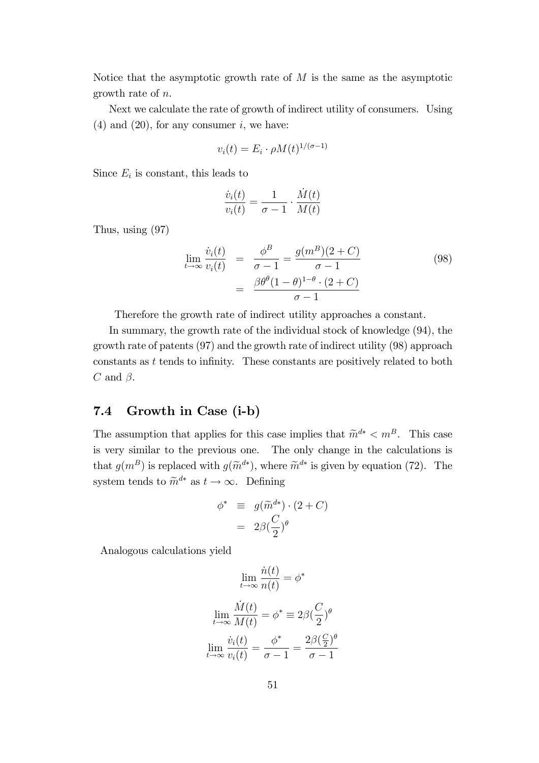Notice that the asymptotic growth rate of  $M$  is the same as the asymptotic growth rate of n.

Next we calculate the rate of growth of indirect utility of consumers. Using  $(4)$  and  $(20)$ , for any consumer *i*, we have:

$$
v_i(t) = E_i \cdot \rho M(t)^{1/(\sigma - 1)}
$$

Since  $E_i$  is constant, this leads to

$$
\frac{\dot{v}_i(t)}{v_i(t)} = \frac{1}{\sigma - 1} \cdot \frac{\dot{M}(t)}{M(t)}
$$

Thus, using (97)

$$
\lim_{t \to \infty} \frac{\dot{v}_i(t)}{v_i(t)} = \frac{\phi^B}{\sigma - 1} = \frac{g(m^B)(2 + C)}{\sigma - 1}
$$
\n
$$
= \frac{\beta \theta^{\theta} (1 - \theta)^{1 - \theta} \cdot (2 + C)}{\sigma - 1}
$$
\n(98)

Therefore the growth rate of indirect utility approaches a constant.

In summary, the growth rate of the individual stock of knowledge (94), the growth rate of patents (97) and the growth rate of indirect utility (98) approach constants as  $t$  tends to infinity. These constants are positively related to both C and  $\beta$ .

### 7.4 Growth in Case (i-b)

The assumption that applies for this case implies that  $\widetilde{m}^{d*} < m^B$ . This case is very similar to the previous one. The only change in the calculations is that  $g(m^B)$  is replaced with  $g(\tilde{m}^{d*})$ , where  $\tilde{m}^{d*}$  is given by equation (72). The system tends to  $\widetilde{m}^{d*}$  as  $t \to \infty$ . Defining

$$
\begin{array}{rcl}\n\phi^* & \equiv & g(\widetilde{m}^{d*}) \cdot (2 + C) \\
& = & 2\beta \left(\frac{C}{2}\right)^{\theta}\n\end{array}
$$

Analogous calculations yield

$$
\lim_{t \to \infty} \frac{\dot{n}(t)}{n(t)} = \phi^*
$$

$$
\lim_{t \to \infty} \frac{\dot{M}(t)}{M(t)} = \phi^* \equiv 2\beta \left(\frac{C}{2}\right)^{\theta}
$$

$$
\lim_{t \to \infty} \frac{\dot{v}_i(t)}{v_i(t)} = \frac{\phi^*}{\sigma - 1} = \frac{2\beta \left(\frac{C}{2}\right)^{\theta}}{\sigma - 1}
$$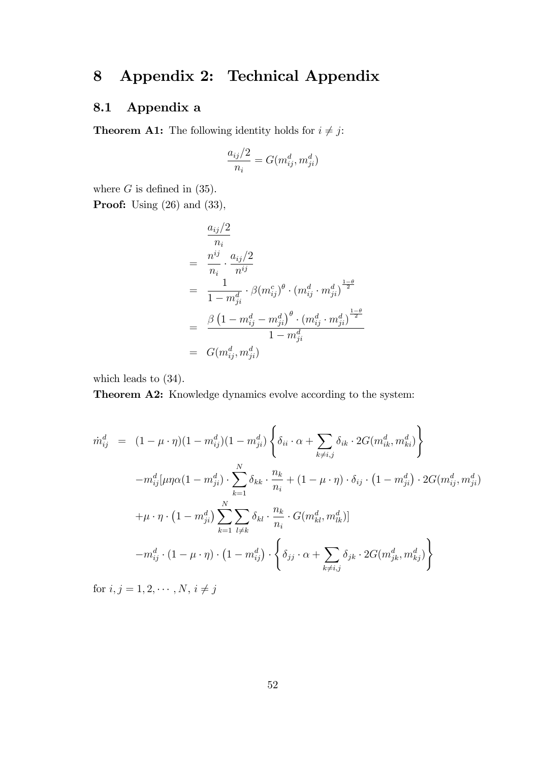# 8 Appendix 2: Technical Appendix

## 8.1 Appendix a

**Theorem A1:** The following identity holds for  $i \neq j$ :

$$
\frac{a_{ij}/2}{n_i} = G(m_{ij}^d, m_{ji}^d)
$$

where  $G$  is defined in (35).

**Proof:** Using (26) and (33),

$$
\frac{a_{ij}/2}{n_i} \n= \frac{n^{ij}}{n_i} \cdot \frac{a_{ij}/2}{n^{ij}} \n= \frac{1}{1 - m_{ji}^d} \cdot \beta (m_{ij}^c)^{\theta} \cdot (m_{ij}^d \cdot m_{ji}^d)^{\frac{1 - \theta}{2}} \n= \frac{\beta (1 - m_{ij}^d - m_{ji}^d)^{\theta} \cdot (m_{ij}^d \cdot m_{ji}^d)^{\frac{1 - \theta}{2}}}{1 - m_{ji}^d} \n= G(m_{ij}^d, m_{ji}^d)
$$

which leads to (34).

Theorem A2: Knowledge dynamics evolve according to the system:

$$
\dot{m}_{ij}^{d} = (1 - \mu \cdot \eta)(1 - m_{ij}^{d})(1 - m_{ji}^{d}) \left\{ \delta_{ii} \cdot \alpha + \sum_{k \neq i,j} \delta_{ik} \cdot 2G(m_{ik}^{d}, m_{ki}^{d}) \right\} \n- m_{ij}^{d} [\mu \eta \alpha (1 - m_{ji}^{d}) \cdot \sum_{k=1}^{N} \delta_{kk} \cdot \frac{n_{k}}{n_{i}} + (1 - \mu \cdot \eta) \cdot \delta_{ij} \cdot (1 - m_{ji}^{d}) \cdot 2G(m_{ij}^{d}, m_{ji}^{d}) \n+ \mu \cdot \eta \cdot (1 - m_{ji}^{d}) \sum_{k=1}^{N} \sum_{l \neq k} \delta_{kl} \cdot \frac{n_{k}}{n_{i}} \cdot G(m_{kl}^{d}, m_{lk}^{d})] \n- m_{ij}^{d} \cdot (1 - \mu \cdot \eta) \cdot (1 - m_{ij}^{d}) \cdot \left\{ \delta_{jj} \cdot \alpha + \sum_{k \neq i,j} \delta_{jk} \cdot 2G(m_{jk}^{d}, m_{kj}^{d}) \right\}
$$

for  $i, j = 1, 2, \cdots, N, i \neq j$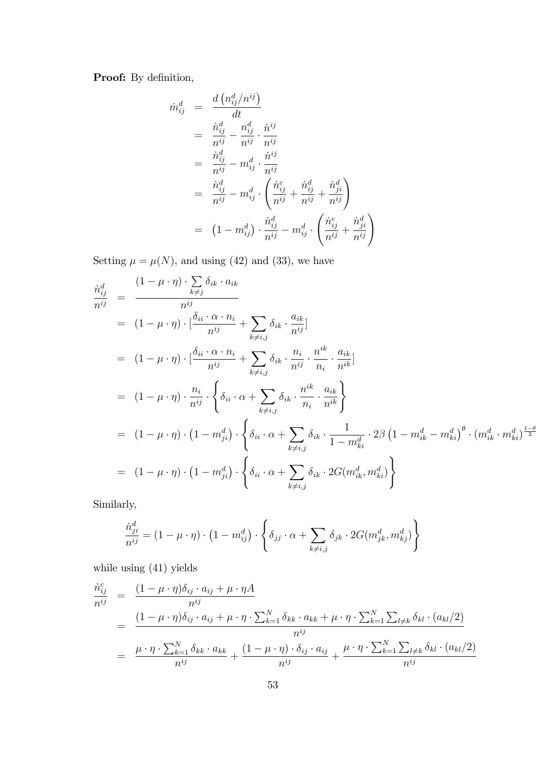Proof: By definition,

$$
\dot{m}_{ij}^{d} = \frac{d \left( n_{ij}^{d} / n^{ij} \right)}{dt} \n= \frac{\dot{n}_{ij}^{d}}{n^{ij}} - \frac{n_{ij}^{d}}{n^{ij}} \cdot \frac{\dot{n}^{ij}}{n^{ij}} \n= \frac{\dot{n}_{ij}^{d}}{n^{ij}} - m_{ij}^{d} \cdot \frac{\dot{n}^{ij}}{n^{ij}} \n= \frac{\dot{n}_{ij}^{d}}{n^{ij}} - m_{ij}^{d} \cdot \left( \frac{\dot{n}_{ij}^{c}}{n^{ij}} + \frac{\dot{n}_{ij}^{d}}{n^{ij}} + \frac{\dot{n}_{ji}^{d}}{n^{ij}} \right) \n= (1 - m_{ij}^{d}) \cdot \frac{\dot{n}_{ij}^{d}}{n^{ij}} - m_{ij}^{d} \cdot \left( \frac{\dot{n}_{ij}^{c}}{n^{ij}} + \frac{\dot{n}_{ji}^{d}}{n^{ij}} \right)
$$

Setting  $\mu = \mu(N)$ , and using (42) and (33), we have

$$
\begin{split}\n\frac{\dot{n}_{ij}^d}{n^{ij}} &= \frac{(1-\mu \cdot \eta) \cdot \sum\limits_{k \neq j} \delta_{ik} \cdot a_{ik}}{n^{ij}} \\
&= (1-\mu \cdot \eta) \cdot [\frac{\delta_{ii} \cdot \alpha \cdot n_i}{n^{ij}} + \sum\limits_{k \neq i,j} \delta_{ik} \cdot \frac{a_{ik}}{n^{ij}}] \\
&= (1-\mu \cdot \eta) \cdot [\frac{\delta_{ii} \cdot \alpha \cdot n_i}{n^{ij}} + \sum\limits_{k \neq i,j} \delta_{ik} \cdot \frac{n_i}{n^{ij}} \cdot \frac{n^{ik}}{n_i} \cdot \frac{a_{ik}}{n^{ik}}] \\
&= (1-\mu \cdot \eta) \cdot \frac{n_i}{n^{ij}} \cdot \left\{ \delta_{ii} \cdot \alpha + \sum\limits_{k \neq i,j} \delta_{ik} \cdot \frac{n^{ik}}{n_i} \cdot \frac{a_{ik}}{n^{ik}} \right\} \\
&= (1-\mu \cdot \eta) \cdot (1-m_{ji}^d) \cdot \left\{ \delta_{ii} \cdot \alpha + \sum\limits_{k \neq i,j} \delta_{ik} \cdot \frac{1}{1-m_{ki}^d} \cdot 2\beta \left( 1 - m_{ik}^d - m_{ki}^d \right)^{\theta} \cdot (m_{ik}^d \cdot m_{ki}^d)^{\frac{1-\theta}{2}} \right\} \\
&= (1-\mu \cdot \eta) \cdot (1-m_{ji}^d) \cdot \left\{ \delta_{ii} \cdot \alpha + \sum\limits_{k \neq i,j} \delta_{ik} \cdot 2G(m_{ik}^d, m_{ki}^d) \right\}\n\end{split}
$$

Similarly,

$$
\frac{\dot{n}_{ji}^d}{n^{ij}} = (1 - \mu \cdot \eta) \cdot (1 - m_{ij}^d) \cdot \left\{ \delta_{jj} \cdot \alpha + \sum_{k \neq i,j} \delta_{jk} \cdot 2G(m_{jk}^d, m_{kj}^d) \right\}
$$

while using (41) yields

$$
\frac{\dot{n}_{ij}^c}{n^{ij}} = \frac{(1 - \mu \cdot \eta)\delta_{ij} \cdot a_{ij} + \mu \cdot \eta A}{n^{ij}}
$$
\n
$$
= \frac{(1 - \mu \cdot \eta)\delta_{ij} \cdot a_{ij} + \mu \cdot \eta \cdot \sum_{k=1}^N \delta_{kk} \cdot a_{kk} + \mu \cdot \eta \cdot \sum_{k=1}^N \sum_{l \neq k} \delta_{kl} \cdot (a_{kl}/2)}{n^{ij}}
$$
\n
$$
= \frac{\mu \cdot \eta \cdot \sum_{k=1}^N \delta_{kk} \cdot a_{kk}}{n^{ij}} + \frac{(1 - \mu \cdot \eta) \cdot \delta_{ij} \cdot a_{ij}}{n^{ij}} + \frac{\mu \cdot \eta \cdot \sum_{k=1}^N \sum_{l \neq k} \delta_{kl} \cdot (a_{kl}/2)}{n^{ij}}
$$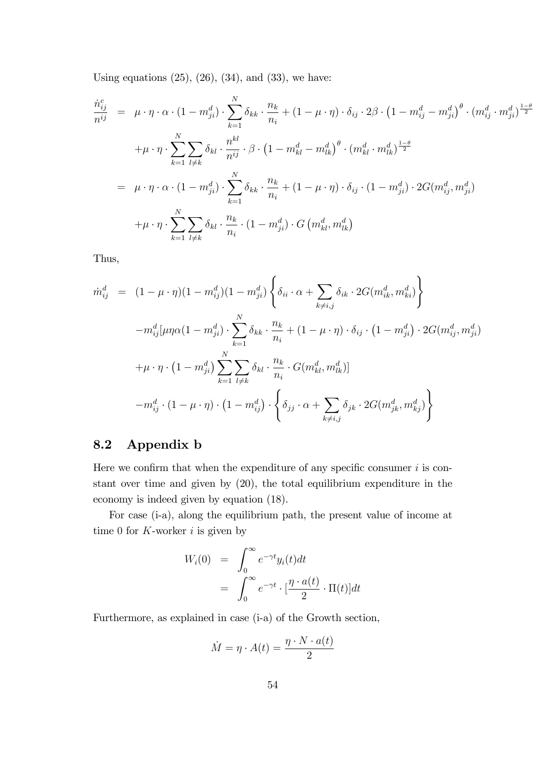Using equations  $(25)$ ,  $(26)$ ,  $(34)$ , and  $(33)$ , we have:

$$
\begin{split}\n\dot{n}_{ij}^c &= \mu \cdot \eta \cdot \alpha \cdot (1 - m_{ji}^d) \cdot \sum_{k=1}^N \delta_{kk} \cdot \frac{n_k}{n_i} + (1 - \mu \cdot \eta) \cdot \delta_{ij} \cdot 2\beta \cdot \left(1 - m_{ij}^d - m_{ji}^d\right)^{\theta} \cdot (m_{ij}^d \cdot m_{ji}^d)^{\frac{1-\theta}{2}} \\
&+ \mu \cdot \eta \cdot \sum_{k=1}^N \sum_{l \neq k} \delta_{kl} \cdot \frac{n^{kl}}{n^{ij}} \cdot \beta \cdot \left(1 - m_{kl}^d - m_{lk}^d\right)^{\theta} \cdot (m_{kl}^d \cdot m_{lk}^d)^{\frac{1-\theta}{2}} \\
&= \mu \cdot \eta \cdot \alpha \cdot (1 - m_{ji}^d) \cdot \sum_{k=1}^N \delta_{kk} \cdot \frac{n_k}{n_i} + (1 - \mu \cdot \eta) \cdot \delta_{ij} \cdot (1 - m_{ji}^d) \cdot 2G(m_{ij}^d, m_{ji}^d) \\
&+ \mu \cdot \eta \cdot \sum_{k=1}^N \sum_{l \neq k} \delta_{kl} \cdot \frac{n_k}{n_i} \cdot (1 - m_{ji}^d) \cdot G(m_{kl}^d, m_{lk}^d)\n\end{split}
$$

Thus,

$$
\dot{m}_{ij}^{d} = (1 - \mu \cdot \eta)(1 - m_{ij}^{d})(1 - m_{ji}^{d}) \left\{ \delta_{ii} \cdot \alpha + \sum_{k \neq i,j} \delta_{ik} \cdot 2G(m_{ik}^{d}, m_{ki}^{d}) \right\} \n- m_{ij}^{d} [\mu \eta \alpha (1 - m_{ji}^{d}) \cdot \sum_{k=1}^{N} \delta_{kk} \cdot \frac{n_{k}}{n_{i}} + (1 - \mu \cdot \eta) \cdot \delta_{ij} \cdot (1 - m_{ji}^{d}) \cdot 2G(m_{ij}^{d}, m_{ji}^{d}) \n+ \mu \cdot \eta \cdot (1 - m_{ji}^{d}) \sum_{k=1}^{N} \sum_{l \neq k} \delta_{kl} \cdot \frac{n_{k}}{n_{i}} \cdot G(m_{kl}^{d}, m_{lk}^{d})] \n- m_{ij}^{d} \cdot (1 - \mu \cdot \eta) \cdot (1 - m_{ij}^{d}) \cdot \left\{ \delta_{jj} \cdot \alpha + \sum_{k \neq i,j} \delta_{jk} \cdot 2G(m_{jk}^{d}, m_{kj}^{d}) \right\}
$$

### 8.2 Appendix b

Here we confirm that when the expenditure of any specific consumer  $i$  is constant over time and given by (20), the total equilibrium expenditure in the economy is indeed given by equation (18).

For case (i-a), along the equilibrium path, the present value of income at time 0 for  $K$ -worker i is given by

$$
W_i(0) = \int_0^\infty e^{-\gamma t} y_i(t) dt
$$
  
= 
$$
\int_0^\infty e^{-\gamma t} \cdot \left[\frac{\eta \cdot a(t)}{2} \cdot \Pi(t)\right] dt
$$

Furthermore, as explained in case (i-a) of the Growth section,

$$
\dot{M} = \eta \cdot A(t) = \frac{\eta \cdot N \cdot a(t)}{2}
$$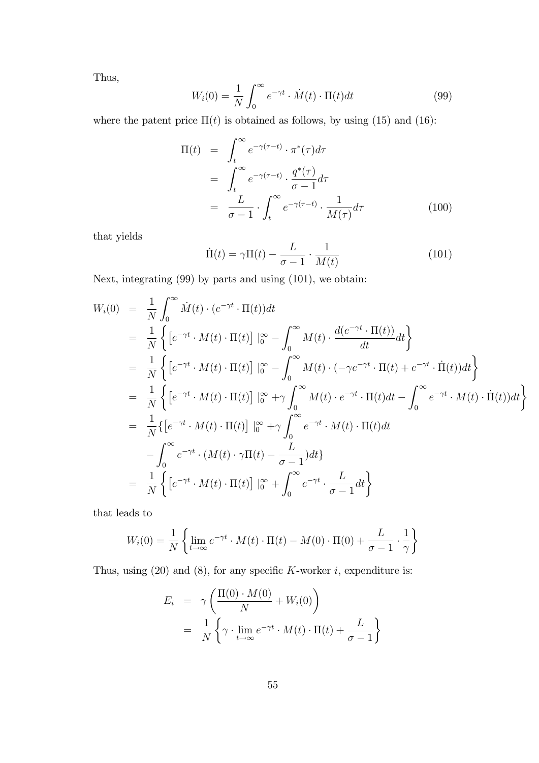Thus,

$$
W_i(0) = \frac{1}{N} \int_0^\infty e^{-\gamma t} \cdot \dot{M}(t) \cdot \Pi(t) dt \tag{99}
$$

where the patent price  $\Pi(t)$  is obtained as follows, by using (15) and (16):

$$
\Pi(t) = \int_{t}^{\infty} e^{-\gamma(\tau - t)} \cdot \pi^{*}(\tau) d\tau
$$

$$
= \int_{t}^{\infty} e^{-\gamma(\tau - t)} \cdot \frac{q^{*}(\tau)}{\sigma - 1} d\tau
$$

$$
= \frac{L}{\sigma - 1} \cdot \int_{t}^{\infty} e^{-\gamma(\tau - t)} \cdot \frac{1}{M(\tau)} d\tau
$$
(100)

that yields

$$
\dot{\Pi}(t) = \gamma \Pi(t) - \frac{L}{\sigma - 1} \cdot \frac{1}{M(t)} \tag{101}
$$

Next, integrating (99) by parts and using (101), we obtain:

$$
W_i(0) = \frac{1}{N} \int_0^\infty \dot{M}(t) \cdot (e^{-\gamma t} \cdot \Pi(t)) dt
$$
  
\n
$$
= \frac{1}{N} \left\{ \left[ e^{-\gamma t} \cdot M(t) \cdot \Pi(t) \right] \Big|_0^\infty - \int_0^\infty M(t) \cdot \frac{d(e^{-\gamma t} \cdot \Pi(t))}{dt} dt \right\}
$$
  
\n
$$
= \frac{1}{N} \left\{ \left[ e^{-\gamma t} \cdot M(t) \cdot \Pi(t) \right] \Big|_0^\infty - \int_0^\infty M(t) \cdot (-\gamma e^{-\gamma t} \cdot \Pi(t) + e^{-\gamma t} \cdot \Pi(t)) dt \right\}
$$
  
\n
$$
= \frac{1}{N} \left\{ \left[ e^{-\gamma t} \cdot M(t) \cdot \Pi(t) \right] \Big|_0^\infty + \gamma \int_0^\infty M(t) \cdot e^{-\gamma t} \cdot \Pi(t) dt - \int_0^\infty e^{-\gamma t} \cdot M(t) \cdot \Pi(t) dt \right\}
$$
  
\n
$$
= \frac{1}{N} \left\{ \left[ e^{-\gamma t} \cdot M(t) \cdot \Pi(t) \right] \Big|_0^\infty + \gamma \int_0^\infty e^{-\gamma t} \cdot M(t) \cdot \Pi(t) dt
$$
  
\n
$$
- \int_0^\infty e^{-\gamma t} \cdot (M(t) \cdot \gamma \Pi(t) - \frac{L}{\sigma - 1}) dt \right\}
$$
  
\n
$$
= \frac{1}{N} \left\{ \left[ e^{-\gamma t} \cdot M(t) \cdot \Pi(t) \right] \Big|_0^\infty + \int_0^\infty e^{-\gamma t} \cdot \frac{L}{\sigma - 1} dt \right\}
$$

that leads to

$$
W_i(0) = \frac{1}{N} \left\{ \lim_{t \to \infty} e^{-\gamma t} \cdot M(t) \cdot \Pi(t) - M(0) \cdot \Pi(0) + \frac{L}{\sigma - 1} \cdot \frac{1}{\gamma} \right\}
$$

Thus, using  $(20)$  and  $(8)$ , for any specific K-worker i, expenditure is:

$$
E_i = \gamma \left( \frac{\Pi(0) \cdot M(0)}{N} + W_i(0) \right)
$$
  
= 
$$
\frac{1}{N} \left\{ \gamma \cdot \lim_{t \to \infty} e^{-\gamma t} \cdot M(t) \cdot \Pi(t) + \frac{L}{\sigma - 1} \right\}
$$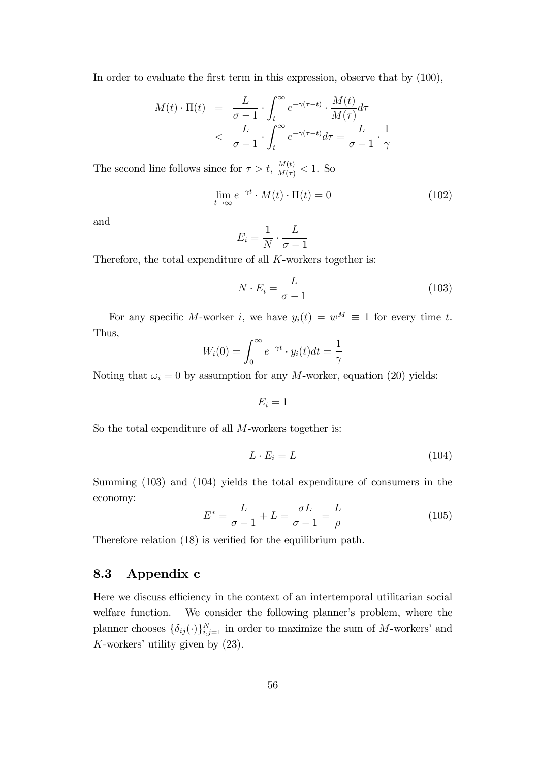In order to evaluate the first term in this expression, observe that by  $(100)$ ,

$$
M(t) \cdot \Pi(t) = \frac{L}{\sigma - 1} \cdot \int_{t}^{\infty} e^{-\gamma(\tau - t)} \cdot \frac{M(t)}{M(\tau)} d\tau
$$
  
< 
$$
< \frac{L}{\sigma - 1} \cdot \int_{t}^{\infty} e^{-\gamma(\tau - t)} d\tau = \frac{L}{\sigma - 1} \cdot \frac{1}{\gamma}
$$

The second line follows since for  $\tau > t$ ,  $\frac{M(t)}{M(\tau)} < 1$ . So

$$
\lim_{t \to \infty} e^{-\gamma t} \cdot M(t) \cdot \Pi(t) = 0 \tag{102}
$$

and

$$
E_i = \frac{1}{N} \cdot \frac{L}{\sigma - 1}
$$

Therefore, the total expenditure of all K-workers together is:

$$
N \cdot E_i = \frac{L}{\sigma - 1} \tag{103}
$$

For any specific M-worker i, we have  $y_i(t) = w^M \equiv 1$  for every time t. Thus,

$$
W_i(0) = \int_0^\infty e^{-\gamma t} \cdot y_i(t) dt = \frac{1}{\gamma}
$$

Noting that  $\omega_i = 0$  by assumption for any M-worker, equation (20) yields:

$$
E_i=1
$$

So the total expenditure of all M-workers together is:

$$
L \cdot E_i = L \tag{104}
$$

Summing (103) and (104) yields the total expenditure of consumers in the economy:

$$
E^* = \frac{L}{\sigma - 1} + L = \frac{\sigma L}{\sigma - 1} = \frac{L}{\rho}
$$
\n(105)

Therefore relation  $(18)$  is verified for the equilibrium path.

### 8.3 Appendix c

Here we discuss efficiency in the context of an intertemporal utilitarian social welfare function. We consider the following planner's problem, where the planner chooses  $\{\delta_{ij}(\cdot)\}_{i,j=1}^N$  in order to maximize the sum of M-workers' and K-workers' utility given by  $(23)$ .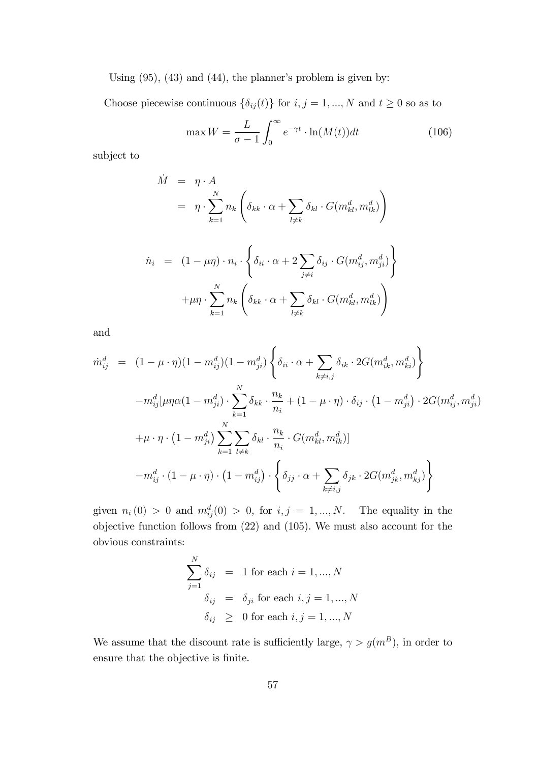Using  $(95)$ ,  $(43)$  and  $(44)$ , the planner's problem is given by:

Choose piecewise continuous  $\{\delta_{ij}(t)\}$  for  $i, j = 1, ..., N$  and  $t \geq 0$  so as to

$$
\max W = \frac{L}{\sigma - 1} \int_0^\infty e^{-\gamma t} \cdot \ln(M(t)) dt \tag{106}
$$

subject to

$$
\dot{M} = \eta \cdot A
$$
\n
$$
= \eta \cdot \sum_{k=1}^{N} n_k \left( \delta_{kk} \cdot \alpha + \sum_{l \neq k} \delta_{kl} \cdot G(m_{kl}^d, m_{lk}^d) \right)
$$
\n
$$
\dot{n}_i = (1 - \mu \eta) \cdot n_i \cdot \left\{ \delta_{ii} \cdot \alpha + 2 \sum_{j \neq i} \delta_{ij} \cdot G(m_{ij}^d, m_{ji}^d) \right\}
$$
\n
$$
+ \mu \eta \cdot \sum_{k=1}^{N} n_k \left( \delta_{kk} \cdot \alpha + \sum_{l \neq k} \delta_{kl} \cdot G(m_{kl}^d, m_{lk}^d) \right)
$$

and

$$
\dot{m}_{ij}^{d} = (1 - \mu \cdot \eta)(1 - m_{ij}^{d})(1 - m_{ji}^{d}) \left\{ \delta_{ii} \cdot \alpha + \sum_{k \neq i,j} \delta_{ik} \cdot 2G(m_{ik}^{d}, m_{ki}^{d}) \right\} \n- m_{ij}^{d} [\mu \eta \alpha (1 - m_{ji}^{d}) \cdot \sum_{k=1}^{N} \delta_{kk} \cdot \frac{n_{k}}{n_{i}} + (1 - \mu \cdot \eta) \cdot \delta_{ij} \cdot (1 - m_{ji}^{d}) \cdot 2G(m_{ij}^{d}, m_{ji}^{d}) \n+ \mu \cdot \eta \cdot (1 - m_{ji}^{d}) \sum_{k=1}^{N} \sum_{l \neq k} \delta_{kl} \cdot \frac{n_{k}}{n_{i}} \cdot G(m_{kl}^{d}, m_{lk}^{d})] \n- m_{ij}^{d} \cdot (1 - \mu \cdot \eta) \cdot (1 - m_{ij}^{d}) \cdot \left\{ \delta_{jj} \cdot \alpha + \sum_{k \neq i,j} \delta_{jk} \cdot 2G(m_{jk}^{d}, m_{kj}^{d}) \right\}
$$

given  $n_i(0) > 0$  and  $m_{ij}^d(0) > 0$ , for  $i, j = 1, ..., N$ . The equality in the objective function follows from (22) and (105). We must also account for the obvious constraints:

$$
\sum_{j=1}^{N} \delta_{ij} = 1 \text{ for each } i = 1, ..., N
$$

$$
\delta_{ij} = \delta_{ji} \text{ for each } i, j = 1, ..., N
$$

$$
\delta_{ij} \geq 0 \text{ for each } i, j = 1, ..., N
$$

We assume that the discount rate is sufficiently large,  $\gamma > g(m^B)$ , in order to ensure that the objective is finite.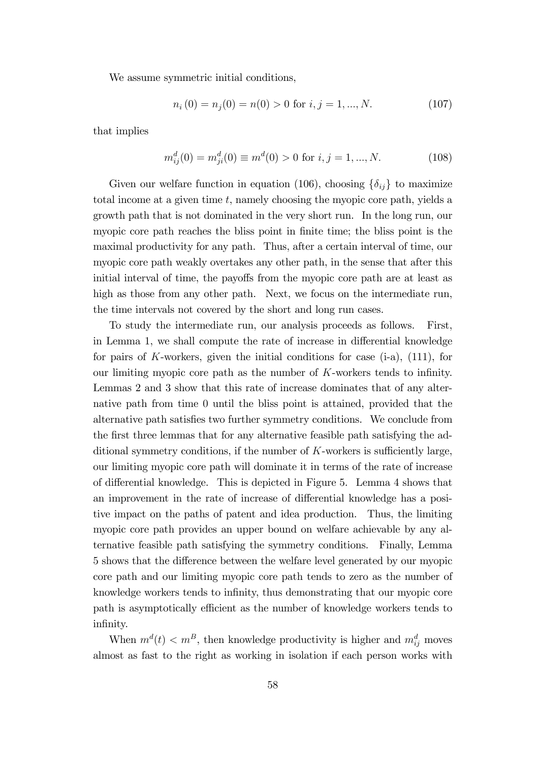We assume symmetric initial conditions,

$$
n_i(0) = n_j(0) = n(0) > 0 \text{ for } i, j = 1, \dots, N. \tag{107}
$$

that implies

$$
m_{ij}^d(0) = m_{ji}^d(0) \equiv m^d(0) > 0 \text{ for } i, j = 1, ..., N. \tag{108}
$$

Given our welfare function in equation (106), choosing  $\{\delta_{ij}\}\)$  to maximize total income at a given time  $t$ , namely choosing the myopic core path, yields a growth path that is not dominated in the very short run. In the long run, our myopic core path reaches the bliss point in finite time; the bliss point is the maximal productivity for any path. Thus, after a certain interval of time, our myopic core path weakly overtakes any other path, in the sense that after this initial interval of time, the payoffs from the myopic core path are at least as high as those from any other path. Next, we focus on the intermediate run, the time intervals not covered by the short and long run cases.

To study the intermediate run, our analysis proceeds as follows. First, in Lemma 1, we shall compute the rate of increase in differential knowledge for pairs of K-workers, given the initial conditions for case  $(i-a)$ ,  $(111)$ , for our limiting myopic core path as the number of  $K$ -workers tends to infinity. Lemmas 2 and 3 show that this rate of increase dominates that of any alternative path from time 0 until the bliss point is attained, provided that the alternative path satisfies two further symmetry conditions. We conclude from the first three lemmas that for any alternative feasible path satisfying the additional symmetry conditions, if the number of  $K$ -workers is sufficiently large, our limiting myopic core path will dominate it in terms of the rate of increase of differential knowledge. This is depicted in Figure 5. Lemma 4 shows that an improvement in the rate of increase of differential knowledge has a positive impact on the paths of patent and idea production. Thus, the limiting myopic core path provides an upper bound on welfare achievable by any alternative feasible path satisfying the symmetry conditions. Finally, Lemma 5 shows that the difference between the welfare level generated by our myopic core path and our limiting myopic core path tends to zero as the number of knowledge workers tends to inÖnity, thus demonstrating that our myopic core path is asymptotically efficient as the number of knowledge workers tends to infinity.

When  $m^d(t) < m^B$ , then knowledge productivity is higher and  $m^d_{ij}$  moves almost as fast to the right as working in isolation if each person works with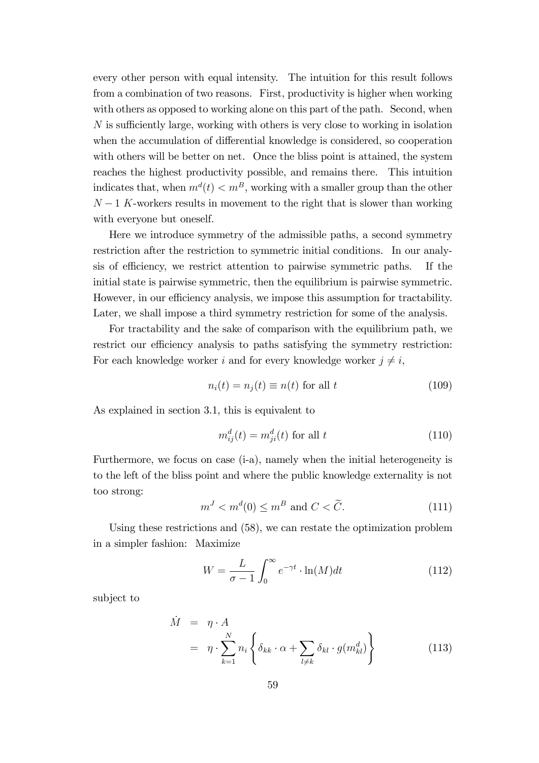every other person with equal intensity. The intuition for this result follows from a combination of two reasons. First, productivity is higher when working with others as opposed to working alone on this part of the path. Second, when  $N$  is sufficiently large, working with others is very close to working in isolation when the accumulation of differential knowledge is considered, so cooperation with others will be better on net. Once the bliss point is attained, the system reaches the highest productivity possible, and remains there. This intuition indicates that, when  $m^d(t) < m^B$ , working with a smaller group than the other  $N-1$  K-workers results in movement to the right that is slower than working with everyone but oneself.

Here we introduce symmetry of the admissible paths, a second symmetry restriction after the restriction to symmetric initial conditions. In our analysis of efficiency, we restrict attention to pairwise symmetric paths. If the initial state is pairwise symmetric, then the equilibrium is pairwise symmetric. However, in our efficiency analysis, we impose this assumption for tractability. Later, we shall impose a third symmetry restriction for some of the analysis.

For tractability and the sake of comparison with the equilibrium path, we restrict our efficiency analysis to paths satisfying the symmetry restriction: For each knowledge worker i and for every knowledge worker  $j \neq i$ ,

$$
n_i(t) = n_j(t) \equiv n(t) \text{ for all } t \tag{109}
$$

As explained in section 3.1, this is equivalent to

$$
m_{ij}^d(t) = m_{ji}^d(t) \text{ for all } t
$$
\n(110)

Furthermore, we focus on case (i-a), namely when the initial heterogeneity is to the left of the bliss point and where the public knowledge externality is not too strong:

$$
mJ < md(0) \le mB \text{ and } C < \tilde{C}.
$$
 (111)

Using these restrictions and (58), we can restate the optimization problem in a simpler fashion: Maximize

$$
W = \frac{L}{\sigma - 1} \int_0^\infty e^{-\gamma t} \cdot \ln(M) dt \tag{112}
$$

subject to

$$
\dot{M} = \eta \cdot A
$$
\n
$$
= \eta \cdot \sum_{k=1}^{N} n_i \left\{ \delta_{kk} \cdot \alpha + \sum_{l \neq k} \delta_{kl} \cdot g(m_{kl}^d) \right\}
$$
\n(113)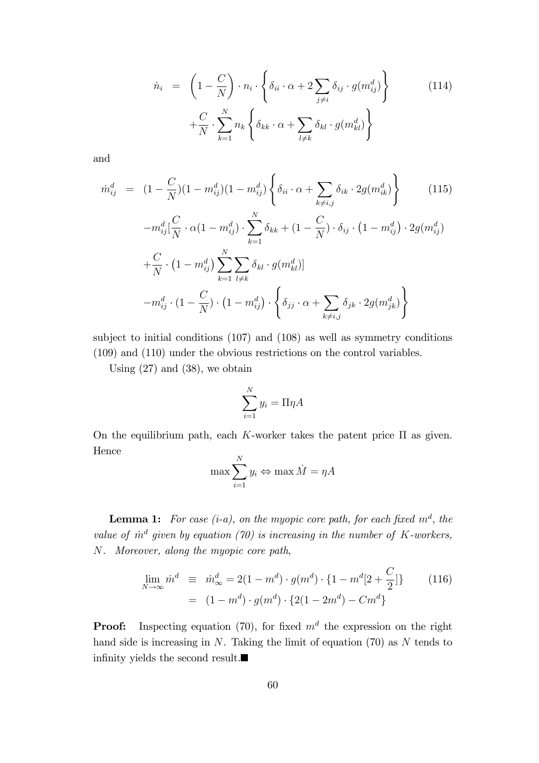$$
\dot{n}_i = \left(1 - \frac{C}{N}\right) \cdot n_i \cdot \left\{\delta_{ii} \cdot \alpha + 2 \sum_{j \neq i} \delta_{ij} \cdot g(m_{ij}^d) \right\} + \frac{C}{N} \cdot \sum_{k=1}^N n_k \left\{\delta_{kk} \cdot \alpha + \sum_{l \neq k} \delta_{kl} \cdot g(m_{kl}^d) \right\}
$$
\n(114)

and

$$
\dot{m}_{ij}^{d} = (1 - \frac{C}{N})(1 - m_{ij}^{d})(1 - m_{ij}^{d}) \left\{ \delta_{ii} \cdot \alpha + \sum_{k \neq i,j} \delta_{ik} \cdot 2g(m_{ik}^{d}) \right\}
$$
\n
$$
- m_{ij}^{d} [\frac{C}{N} \cdot \alpha (1 - m_{ij}^{d}) \cdot \sum_{k=1}^{N} \delta_{kk} + (1 - \frac{C}{N}) \cdot \delta_{ij} \cdot (1 - m_{ij}^{d}) \cdot 2g(m_{ij}^{d})
$$
\n
$$
+ \frac{C}{N} \cdot (1 - m_{ij}^{d}) \sum_{k=1}^{N} \sum_{l \neq k} \delta_{kl} \cdot g(m_{kl}^{d})]
$$
\n
$$
- m_{ij}^{d} \cdot (1 - \frac{C}{N}) \cdot (1 - m_{ij}^{d}) \cdot \left\{ \delta_{jj} \cdot \alpha + \sum_{k \neq i,j} \delta_{jk} \cdot 2g(m_{jk}^{d}) \right\}
$$
\n(115)

subject to initial conditions (107) and (108) as well as symmetry conditions (109) and (110) under the obvious restrictions on the control variables.

Using  $(27)$  and  $(38)$ , we obtain

$$
\sum_{i=1}^{N} y_i = \Pi \eta A
$$

On the equilibrium path, each K-worker takes the patent price  $\Pi$  as given. Hence

$$
\max \sum_{i=1}^{N} y_i \Leftrightarrow \max \dot{M} = \eta A
$$

**Lemma 1:** For case (i-a), on the myopic core path, for each fixed  $m^d$ , the value of  $\dot{m}^d$  given by equation (70) is increasing in the number of K-workers, N. Moreover, along the myopic core path,

$$
\lim_{N \to \infty} \dot{m}^d \equiv \dot{m}^d_{\infty} = 2(1 - m^d) \cdot g(m^d) \cdot \{1 - m^d [2 + \frac{C}{2}]\} \tag{116}
$$
\n
$$
= (1 - m^d) \cdot g(m^d) \cdot \{2(1 - 2m^d) - Cm^d\}
$$

**Proof:** Inspecting equation (70), for fixed  $m<sup>d</sup>$  the expression on the right hand side is increasing in  $N$ . Taking the limit of equation (70) as  $N$  tends to infinity yields the second result.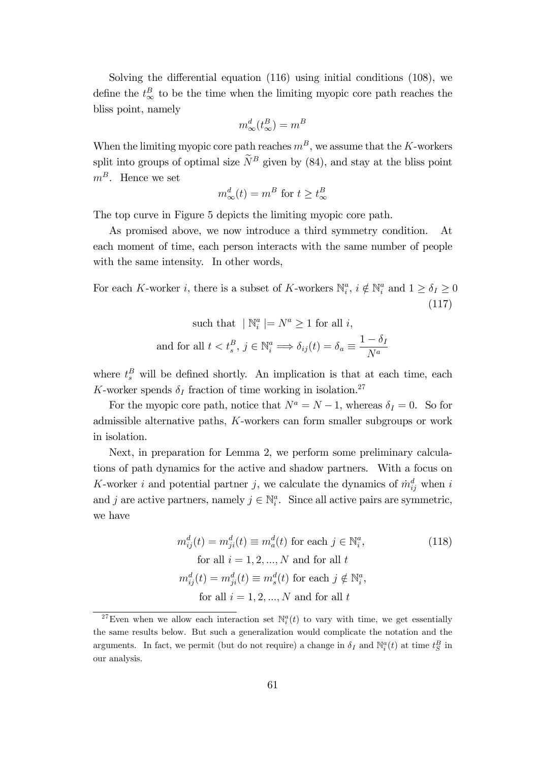Solving the differential equation  $(116)$  using initial conditions  $(108)$ , we define the  $t_{\infty}^{B}$  to be the time when the limiting myopic core path reaches the bliss point, namely

$$
m_{\infty}^d(t_{\infty}^B) = m^B
$$

When the limiting myopic core path reaches  $m<sup>B</sup>$ , we assume that the K-workers split into groups of optimal size  $\widetilde{N}^B$  given by (84), and stay at the bliss point  $m^B$ . Hence we set

$$
m_{\infty}^{d}(t) = m^{B} \text{ for } t \ge t_{\infty}^{B}
$$

The top curve in Figure 5 depicts the limiting myopic core path.

As promised above, we now introduce a third symmetry condition. At each moment of time, each person interacts with the same number of people with the same intensity. In other words,

For each K-worker *i*, there is a subset of K-workers  $\mathbb{N}_i^a$ ,  $i \notin \mathbb{N}_i^a$  and  $1 \ge \delta_I \ge 0$ (117)

such that 
$$
|\mathbb{N}_i^a| = N^a \ge 1
$$
 for all *i*,  
and for all  $t < t_s^B$ ,  $j \in \mathbb{N}_i^a \implies \delta_{ij}(t) = \delta_a \equiv \frac{1 - \delta_I}{N^a}$ 

where  $t_s^B$  will be defined shortly. An implication is that at each time, each K-worker spends  $\delta_I$  fraction of time working in isolation.<sup>27</sup>

For the myopic core path, notice that  $N^a = N - 1$ , whereas  $\delta_I = 0$ . So for admissible alternative paths, K-workers can form smaller subgroups or work in isolation.

Next, in preparation for Lemma 2, we perform some preliminary calculations of path dynamics for the active and shadow partners. With a focus on K-worker i and potential partner j, we calculate the dynamics of  $\dot{m}_{ij}^d$  when i and j are active partners, namely  $j \in \mathbb{N}_i^a$ . Since all active pairs are symmetric, we have

$$
m_{ij}^{d}(t) = m_{ji}^{d}(t) \equiv m_{a}^{d}(t) \text{ for each } j \in \mathbb{N}_{i}^{a},
$$
  
\nfor all  $i = 1, 2, ..., N$  and for all  $t$   
\n
$$
m_{ij}^{d}(t) = m_{ji}^{d}(t) \equiv m_{s}^{d}(t) \text{ for each } j \notin \mathbb{N}_{i}^{a},
$$
  
\nfor all  $i = 1, 2, ..., N$  and for all  $t$ 

<sup>&</sup>lt;sup>27</sup>Even when we allow each interaction set  $\mathbb{N}_i^a(t)$  to vary with time, we get essentially the same results below. But such a generalization would complicate the notation and the arguments. In fact, we permit (but do not require) a change in  $\delta_I$  and  $\mathbb{N}_i^a(t)$  at time  $t_S^B$  in our analysis.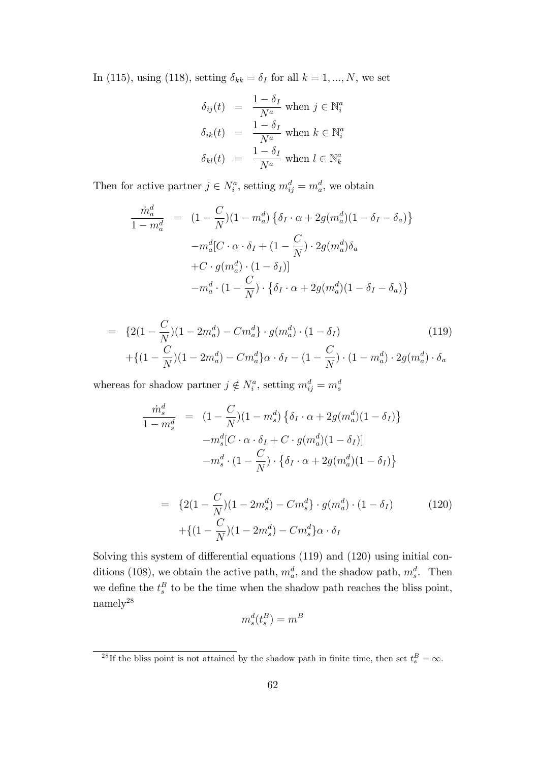In (115), using (118), setting  $\delta_{kk} = \delta_I$  for all  $k = 1, ..., N$ , we set

$$
\delta_{ij}(t) = \frac{1 - \delta_I}{N^a} \text{ when } j \in \mathbb{N}_i^a
$$

$$
\delta_{ik}(t) = \frac{1 - \delta_I}{N^a} \text{ when } k \in \mathbb{N}_i^a
$$

$$
\delta_{kl}(t) = \frac{1 - \delta_I}{N^a} \text{ when } l \in \mathbb{N}_k^a
$$

Then for active partner  $j \in N_i^a$ , setting  $m_{ij}^d = m_a^d$ , we obtain

$$
\frac{\dot{m}_a^d}{1 - m_a^d} = (1 - \frac{C}{N})(1 - m_a^d) \left\{ \delta_I \cdot \alpha + 2g(m_a^d)(1 - \delta_I - \delta_a) \right\}
$$

$$
-m_a^d [C \cdot \alpha \cdot \delta_I + (1 - \frac{C}{N}) \cdot 2g(m_a^d) \delta_a
$$

$$
+ C \cdot g(m_a^d) \cdot (1 - \delta_I)]
$$

$$
-m_a^d \cdot (1 - \frac{C}{N}) \cdot \left\{ \delta_I \cdot \alpha + 2g(m_a^d)(1 - \delta_I - \delta_a) \right\}
$$

$$
= \{2(1 - \frac{C}{N})(1 - 2m_a^d) - Cm_a^d\} \cdot g(m_a^d) \cdot (1 - \delta_I)
$$
\n
$$
+ \{(1 - \frac{C}{N})(1 - 2m_a^d) - Cm_a^d\}\alpha \cdot \delta_I - (1 - \frac{C}{N}) \cdot (1 - m_a^d) \cdot 2g(m_a^d) \cdot \delta_a
$$
\n(119)

whereas for shadow partner  $j \notin N_i^a$ , setting  $m_{ij}^d = m_s^d$ 

$$
\frac{\dot{m}_s^d}{1 - m_s^d} = (1 - \frac{C}{N})(1 - m_s^d) \left\{ \delta_I \cdot \alpha + 2g(m_a^d)(1 - \delta_I) \right\}
$$

$$
-m_s^d [C \cdot \alpha \cdot \delta_I + C \cdot g(m_a^d)(1 - \delta_I)]
$$

$$
-m_s^d \cdot (1 - \frac{C}{N}) \cdot \left\{ \delta_I \cdot \alpha + 2g(m_a^d)(1 - \delta_I) \right\}
$$

$$
= \{2(1 - \frac{C}{N})(1 - 2m_s^d) - Cm_s^d\} \cdot g(m_a^d) \cdot (1 - \delta_I) \tag{120}
$$

$$
+ \{(1 - \frac{C}{N})(1 - 2m_s^d) - Cm_s^d\} \alpha \cdot \delta_I
$$

Solving this system of differential equations  $(119)$  and  $(120)$  using initial conditions (108), we obtain the active path,  $m_a^d$ , and the shadow path,  $m_s^d$ . Then we define the  $t_s^B$  to be the time when the shadow path reaches the bliss point,  $\,$  namely  $^{28}$ 

$$
m_s^d(t_s^B) = m^B
$$

<sup>&</sup>lt;sup>28</sup>If the bliss point is not attained by the shadow path in finite time, then set  $t_s^B = \infty$ .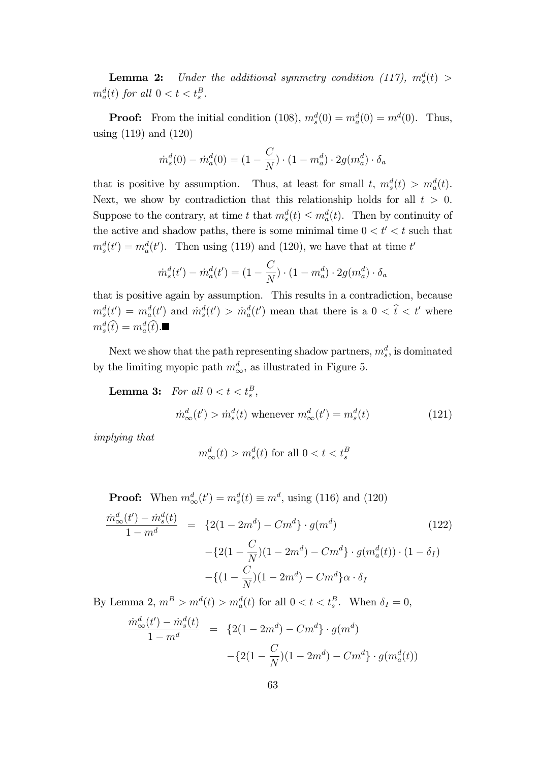**Lemma 2:** Under the additional symmetry condition (117),  $m_s^d(t)$  >  $m_a^d(t)$  for all  $0 < t < t_s^B$ .

**Proof:** From the initial condition (108),  $m_s^d(0) = m_a^d(0) = m^d(0)$ . Thus, using (119) and (120)

$$
m_s^d(0) - m_a^d(0) = (1 - \frac{C}{N}) \cdot (1 - m_a^d) \cdot 2g(m_a^d) \cdot \delta_a
$$

that is positive by assumption. Thus, at least for small  $t, m_s^d(t) > m_a^d(t)$ . Next, we show by contradiction that this relationship holds for all  $t > 0$ . Suppose to the contrary, at time t that  $m_s^d(t) \leq m_a^d(t)$ . Then by continuity of the active and shadow paths, there is some minimal time  $0 < t' < t$  such that  $m_s^d(t') = m_a^d(t')$ . Then using (119) and (120), we have that at time t'

$$
\dot{m}_s^d(t') - \dot{m}_a^d(t') = (1 - \frac{C}{N}) \cdot (1 - m_a^d) \cdot 2g(m_a^d) \cdot \delta_a
$$

that is positive again by assumption. This results in a contradiction, because  $m_s^d(t') = m_a^d(t')$  and  $\dot{m}_s^d(t') > \dot{m}_a^d(t')$  mean that there is a  $0 < \hat{t} < t'$  where  $m_s^d(\hat{t}) = m_a^d(\hat{t}).$ 

Next we show that the path representing shadow partners,  $m_s^d$ , is dominated by the limiting myopic path  $m_{\infty}^d$ , as illustrated in Figure 5.

**Lemma 3:** For all  $0 < t < t_s^B$ ,

$$
\dot{m}_{\infty}^d(t') > \dot{m}_s^d(t) \text{ whenever } m_{\infty}^d(t') = m_s^d(t) \tag{121}
$$

implying that

$$
m^d_{\infty}(t) > m^d_s(t)
$$
 for all  $0 < t < t^B_s$ 

**Proof:** When  $m_{\infty}^d(t') = m_s^d(t) \equiv m^d$ , using (116) and (120)

$$
\frac{\dot{m}_{\infty}^{d}(t') - \dot{m}_{s}^{d}(t)}{1 - m^{d}} = \{2(1 - 2m^{d}) - Cm^{d}\} \cdot g(m^{d}) \qquad (122)
$$

$$
- \{2(1 - \frac{C}{N})(1 - 2m^{d}) - Cm^{d}\} \cdot g(m_{a}^{d}(t)) \cdot (1 - \delta_{I})
$$

$$
- \{(1 - \frac{C}{N})(1 - 2m^{d}) - Cm^{d}\}\alpha \cdot \delta_{I}
$$

By Lemma 2,  $m^B > m^d(t) > m^d_a(t)$  for all  $0 < t < t_s^B$ . When  $\delta_I = 0$ ,

$$
\frac{\dot{m}_{\infty}^d(t') - \dot{m}_s^d(t)}{1 - m^d} = \{2(1 - 2m^d) - Cm^d\} \cdot g(m^d) -\{2(1 - \frac{C}{N})(1 - 2m^d) - Cm^d\} \cdot g(m_a^d(t))
$$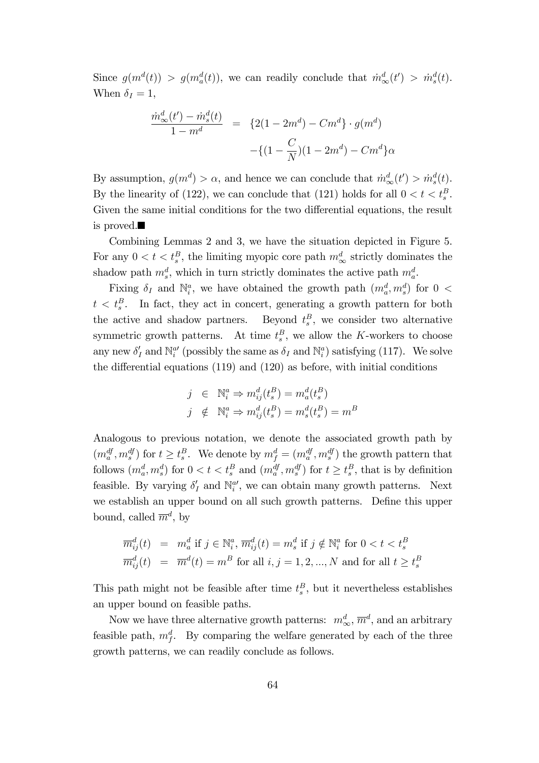Since  $g(m^d(t)) > g(m^d_a(t))$ , we can readily conclude that  $\dot{m}^d_\infty(t') > \dot{m}^d_s(t)$ . When  $\delta_I = 1$ ,

$$
\frac{\dot{m}_{\infty}^d(t') - \dot{m}_s^d(t)}{1 - m^d} = \{2(1 - 2m^d) - Cm^d\} \cdot g(m^d) - \{(1 - \frac{C}{N})(1 - 2m^d) - Cm^d\}\alpha
$$

By assumption,  $g(m^d) > \alpha$ , and hence we can conclude that  $\dot{m}_\infty^d(t) > \dot{m}_s^d(t)$ . By the linearity of (122), we can conclude that (121) holds for all  $0 < t < t_s^B$ . Given the same initial conditions for the two differential equations, the result is proved.

Combining Lemmas 2 and 3, we have the situation depicted in Figure 5. For any  $0 < t < t_s^B$ , the limiting myopic core path  $m_\infty^d$  strictly dominates the shadow path  $m_s^d$ , which in turn strictly dominates the active path  $m_a^d$ .

Fixing  $\delta_I$  and  $\mathbb{N}_i^a$ , we have obtained the growth path  $(m_a^d, m_s^d)$  for  $0 <$  $t < t_s^B$ . In fact, they act in concert, generating a growth pattern for both the active and shadow partners.  $B_s^B$ , we consider two alternative symmetric growth patterns. At time  $t_s^B$ , we allow the K-workers to choose any new  $\delta'_I$  and  $\mathbb{N}_i^{a'}$  (possibly the same as  $\delta_I$  and  $\mathbb{N}_i^a$ ) satisfying (117). We solve the differential equations  $(119)$  and  $(120)$  as before, with initial conditions

$$
\begin{aligned}\nj & \in & \mathbb{N}_i^a \Rightarrow m_{ij}^d(t_s^B) = m_a^d(t_s^B) \\
j & \notin & \mathbb{N}_i^a \Rightarrow m_{ij}^d(t_s^B) = m_s^d(t_s^B) = m^B\n\end{aligned}
$$

Analogous to previous notation, we denote the associated growth path by  $(m_a^{df}, m_s^{df})$  for  $t \ge t_s^B$ . We denote by  $m_f^d = (m_a^{df}, m_s^{df})$  the growth pattern that follows  $(m_a^d, m_s^d)$  for  $0 < t < t_s^B$  and  $(m_a^{df}, m_s^{df})$  for  $t \ge t_s^B$ , that is by definition feasible. By varying  $\delta'_{I}$  and  $\mathbb{N}_{i}^{a'}$ , we can obtain many growth patterns. Next we establish an upper bound on all such growth patterns. Define this upper bound, called  $\overline{m}^d$ , by

$$
\overline{m}_{ij}^d(t) = m_a^d \text{ if } j \in \mathbb{N}_i^a, \overline{m}_{ij}^d(t) = m_s^d \text{ if } j \notin \mathbb{N}_i^a \text{ for } 0 < t < t_s^B
$$
\n
$$
\overline{m}_{ij}^d(t) = \overline{m}^d(t) = m^B \text{ for all } i, j = 1, 2, ..., N \text{ and for all } t \ge t_s^B
$$

This path might not be feasible after time  $t_s^B$ , but it nevertheless establishes an upper bound on feasible paths.

Now we have three alternative growth patterns:  $m_{\infty}^{d}$ ,  $\overline{m}^{d}$ , and an arbitrary feasible path,  $m_f^d$ . By comparing the welfare generated by each of the three growth patterns, we can readily conclude as follows.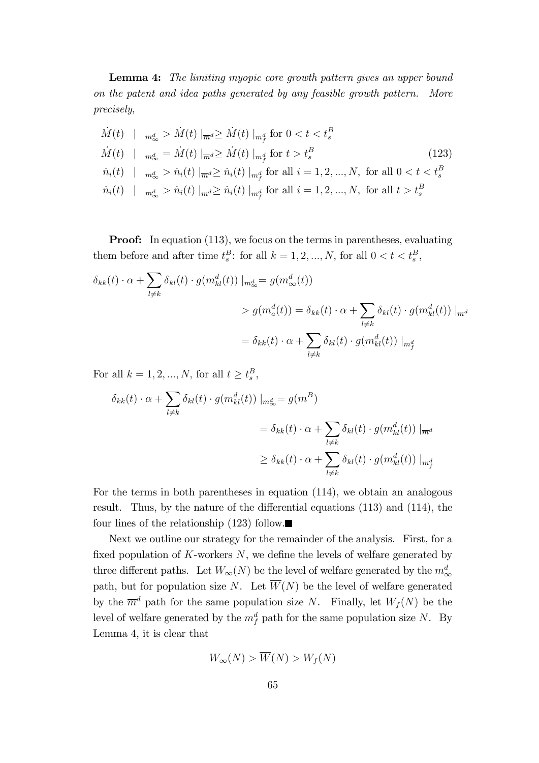**Lemma 4:** The limiting myopic core growth pattern gives an upper bound on the patent and idea paths generated by any feasible growth pattern. More precisely,

$$
\dot{M}(t) \mid \mathbf{m}_{\infty}^{d} > \dot{M}(t) \mid_{\overline{m}^{d}} \geq \dot{M}(t) \mid_{m_{f}^{d}} \text{ for } 0 < t < t_{s}^{B}
$$
\n
$$
\dot{M}(t) \mid \mathbf{m}_{\infty}^{d} = \dot{M}(t) \mid_{\overline{m}^{d}} \geq \dot{M}(t) \mid_{m_{f}^{d}} \text{ for } t > t_{s}^{B}
$$
\n
$$
\dot{n}_{i}(t) \mid \mathbf{m}_{\infty}^{d} > \dot{n}_{i}(t) \mid_{\overline{m}^{d}} \geq \dot{n}_{i}(t) \mid_{m_{f}^{d}} \text{ for all } i = 1, 2, ..., N, \text{ for all } 0 < t < t_{s}^{B}
$$
\n
$$
\dot{n}_{i}(t) \mid \mathbf{m}_{\infty}^{d} > \dot{n}_{i}(t) \mid_{\overline{m}^{d}} \geq \dot{n}_{i}(t) \mid_{m_{f}^{d}} \text{ for all } i = 1, 2, ..., N, \text{ for all } t > t_{s}^{B}
$$

**Proof:** In equation (113), we focus on the terms in parentheses, evaluating them before and after time  $t_s^B$ : for all  $k = 1, 2, ..., N$ , for all  $0 < t < t_s^B$ ,

$$
\delta_{kk}(t) \cdot \alpha + \sum_{l \neq k} \delta_{kl}(t) \cdot g(m_{kl}^d(t)) |_{m_{\infty}^d} = g(m_{\infty}^d(t))
$$
  
>  $g(m_a^d(t)) = \delta_{kk}(t) \cdot \alpha + \sum_{l \neq k} \delta_{kl}(t) \cdot g(m_{kl}^d(t)) |_{m_d^d}$   
=  $\delta_{kk}(t) \cdot \alpha + \sum_{l \neq k} \delta_{kl}(t) \cdot g(m_{kl}^d(t)) |_{m_f^d}$ 

For all  $k = 1, 2, ..., N$ , for all  $t \ge t_s^B$ ,

$$
\delta_{kk}(t) \cdot \alpha + \sum_{l \neq k} \delta_{kl}(t) \cdot g(m_{kl}^d(t)) \mid_{m_{\infty}^d} = g(m^B)
$$
  

$$
= \delta_{kk}(t) \cdot \alpha + \sum_{l \neq k} \delta_{kl}(t) \cdot g(m_{kl}^d(t)) \mid_{\overline{m}^d}
$$
  

$$
\geq \delta_{kk}(t) \cdot \alpha + \sum_{l \neq k} \delta_{kl}(t) \cdot g(m_{kl}^d(t)) \mid_{m_f^d}
$$

For the terms in both parentheses in equation (114), we obtain an analogous result. Thus, by the nature of the differential equations  $(113)$  and  $(114)$ , the four lines of the relationship  $(123)$  follow.

Next we outline our strategy for the remainder of the analysis. First, for a fixed population of  $K$ -workers  $N$ , we define the levels of welfare generated by three different paths. Let  $W_{\infty}(N)$  be the level of welfare generated by the  $m_{\infty}^{d}$ path, but for population size N. Let  $\overline{W}(N)$  be the level of welfare generated by the  $\overline{m}^d$  path for the same population size N. Finally, let  $W_f(N)$  be the level of welfare generated by the  $m_f^d$  path for the same population size N. By Lemma 4, it is clear that

$$
W_{\infty}(N) > \overline{W}(N) > W_f(N)
$$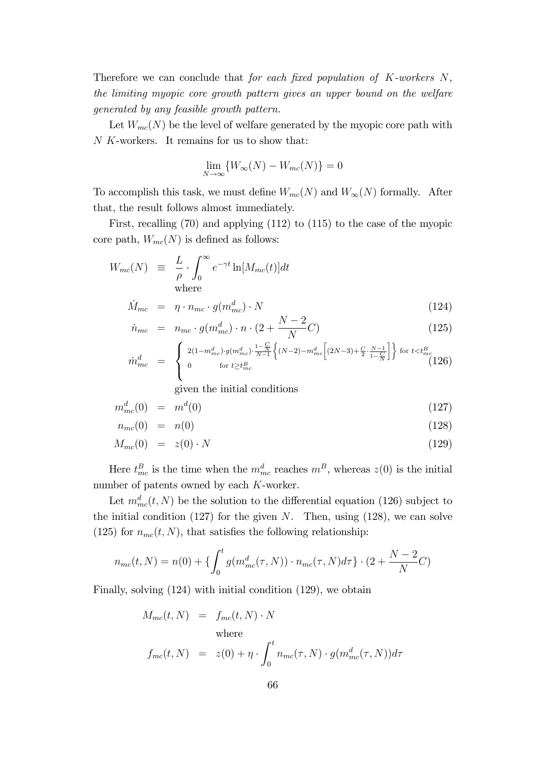Therefore we can conclude that for each fixed population of  $K$ -workers  $N$ , the limiting myopic core growth pattern gives an upper bound on the welfare generated by any feasible growth pattern.

Let  $W_{mc}(N)$  be the level of welfare generated by the myopic core path with N K-workers. It remains for us to show that:

$$
\lim_{N \to \infty} \{ W_{\infty}(N) - W_{mc}(N) \} = 0
$$

To accomplish this task, we must define  $W_{mc}(N)$  and  $W_{\infty}(N)$  formally. After that, the result follows almost immediately.

First, recalling (70) and applying (112) to (115) to the case of the myopic core path,  $W_{mc}(N)$  is defined as follows:

$$
W_{mc}(N) \equiv \frac{L}{\rho} \cdot \int_0^\infty e^{-\gamma t} \ln[M_{mc}(t)] dt
$$
  
where

$$
\dot{M}_{mc} = \eta \cdot n_{mc} \cdot g(m_{mc}^d) \cdot N \tag{124}
$$

$$
\dot{n}_{mc} = n_{mc} \cdot g(m_{mc}^d) \cdot n \cdot (2 + \frac{N-2}{N}C) \tag{125}
$$

$$
\dot{m}_{mc}^{d} = \begin{cases} 2(1 - m_{mc}^{d}) \cdot g(m_{mc}^{d}) \cdot \frac{1 - \frac{C}{N}}{N - 1} \left\{ (N - 2) - m_{mc}^{d} \left[ (2N - 3) + \frac{C}{2} \cdot \frac{N - 1}{1 - \frac{C}{N}} \right] \right\} & \text{for } t < t_{mc}^{B} \\ 0 & \text{for } t \geq t_{mc}^{B} \end{cases} \tag{126}
$$

given the initial conditions

$$
m_{mc}^d(0) = m^d(0) \tag{127}
$$

$$
n_{mc}(0) = n(0) \tag{128}
$$

$$
M_{mc}(0) = z(0) \cdot N \tag{129}
$$

Here  $t_{mc}^B$  is the time when the  $m_{mc}^d$  reaches  $m^B$ , whereas  $z(0)$  is the initial number of patents owned by each K-worker.

Let  $m_{mc}^d(t, N)$  be the solution to the differential equation (126) subject to the initial condition  $(127)$  for the given N. Then, using  $(128)$ , we can solve (125) for  $n_{mc}(t, N)$ , that satisfies the following relationship:

$$
n_{mc}(t, N) = n(0) + \left\{ \int_0^t g(m_{mc}^d(\tau, N)) \cdot n_{mc}(\tau, N) d\tau \right\} \cdot (2 + \frac{N - 2}{N}C)
$$

Finally, solving (124) with initial condition (129), we obtain

$$
M_{mc}(t, N) = f_{mc}(t, N) \cdot N
$$
  
where  

$$
f_{mc}(t, N) = z(0) + \eta \cdot \int_0^t n_{mc}(\tau, N) \cdot g(m_{mc}^d(\tau, N)) d\tau
$$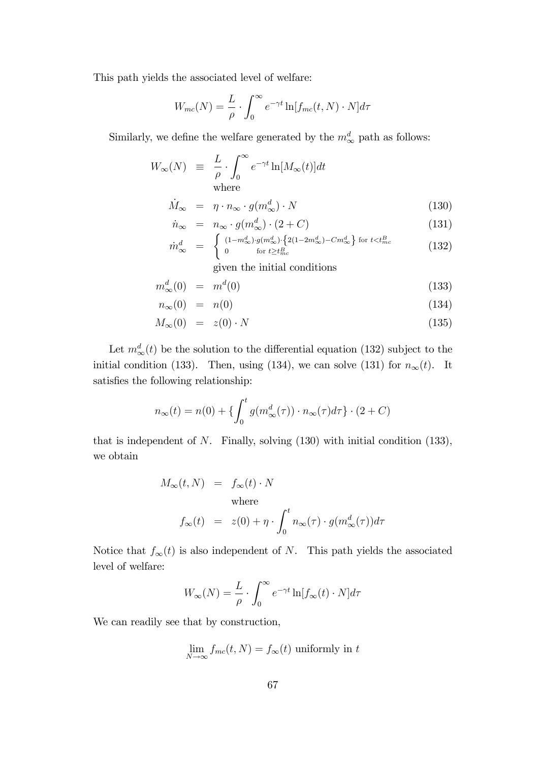This path yields the associated level of welfare:

$$
W_{mc}(N) = \frac{L}{\rho} \cdot \int_0^\infty e^{-\gamma t} \ln[f_{mc}(t, N) \cdot N] d\tau
$$

Similarly, we define the welfare generated by the  $m^d_{\infty}$  path as follows:

$$
W_{\infty}(N) \equiv \frac{L}{\rho} \cdot \int_0^{\infty} e^{-\gamma t} \ln[M_{\infty}(t)] dt
$$
  
where

$$
\dot{M}_{\infty} = \eta \cdot n_{\infty} \cdot g(m_{\infty}^d) \cdot N \tag{130}
$$

$$
\dot{n}_{\infty} = n_{\infty} \cdot g(m_{\infty}^d) \cdot (2 + C) \tag{131}
$$

$$
\dot{m}_{\infty}^{d} = \begin{cases}\n(1 - m_{\infty}^{d}) \cdot g(m_{\infty}^{d}) \cdot \left\{ 2(1 - 2m_{\infty}^{d}) - Cm_{\infty}^{d} \right\} \text{ for } t < t_{mc}^{B} \\
0 \qquad \text{for } t \geq t_{mc}^{B}\n\end{cases} \tag{132}
$$

given the initial conditions

$$
m^d_\infty(0) = m^d(0) \tag{133}
$$

$$
n_{\infty}(0) = n(0) \tag{134}
$$

$$
M_{\infty}(0) = z(0) \cdot N \tag{135}
$$

Let  $m_{\infty}^{d}(t)$  be the solution to the differential equation (132) subject to the initial condition (133). Then, using (134), we can solve (131) for  $n_{\infty}(t)$ . It satisfies the following relationship:

$$
n_{\infty}(t) = n(0) + \left\{ \int_0^t g(m_{\infty}^d(\tau)) \cdot n_{\infty}(\tau) d\tau \right\} \cdot (2+C)
$$

that is independent of  $N$ . Finally, solving  $(130)$  with initial condition  $(133)$ , we obtain

$$
M_{\infty}(t, N) = f_{\infty}(t) \cdot N
$$
  
where  

$$
f_{\infty}(t) = z(0) + \eta \cdot \int_0^t n_{\infty}(\tau) \cdot g(m_{\infty}^d(\tau)) d\tau
$$

Notice that  $f_{\infty}(t)$  is also independent of N. This path yields the associated level of welfare:

$$
W_{\infty}(N) = \frac{L}{\rho} \cdot \int_0^{\infty} e^{-\gamma t} \ln[f_{\infty}(t) \cdot N] d\tau
$$

We can readily see that by construction,

$$
\lim_{N \to \infty} f_{mc}(t, N) = f_{\infty}(t)
$$
 uniformly in t